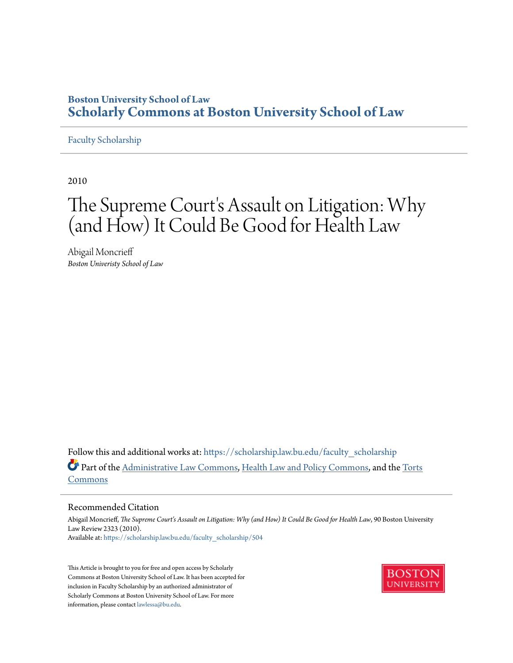# **Boston University School of Law [Scholarly Commons at Boston University School of Law](https://scholarship.law.bu.edu?utm_source=scholarship.law.bu.edu%2Ffaculty_scholarship%2F504&utm_medium=PDF&utm_campaign=PDFCoverPages)**

### [Faculty Scholarship](https://scholarship.law.bu.edu/faculty_scholarship?utm_source=scholarship.law.bu.edu%2Ffaculty_scholarship%2F504&utm_medium=PDF&utm_campaign=PDFCoverPages)

2010

# The Supreme Court's Assault on Litigation: Why (and How) It Could Be Good for Health Law

Abigail Moncrieff *Boston Univeristy School of Law*

Follow this and additional works at: [https://scholarship.law.bu.edu/faculty\\_scholarship](https://scholarship.law.bu.edu/faculty_scholarship?utm_source=scholarship.law.bu.edu%2Ffaculty_scholarship%2F504&utm_medium=PDF&utm_campaign=PDFCoverPages) Part of the [Administrative Law Commons,](http://network.bepress.com/hgg/discipline/579?utm_source=scholarship.law.bu.edu%2Ffaculty_scholarship%2F504&utm_medium=PDF&utm_campaign=PDFCoverPages) [Health Law and Policy Commons,](http://network.bepress.com/hgg/discipline/901?utm_source=scholarship.law.bu.edu%2Ffaculty_scholarship%2F504&utm_medium=PDF&utm_campaign=PDFCoverPages) and the [Torts](http://network.bepress.com/hgg/discipline/913?utm_source=scholarship.law.bu.edu%2Ffaculty_scholarship%2F504&utm_medium=PDF&utm_campaign=PDFCoverPages) [Commons](http://network.bepress.com/hgg/discipline/913?utm_source=scholarship.law.bu.edu%2Ffaculty_scholarship%2F504&utm_medium=PDF&utm_campaign=PDFCoverPages)

#### Recommended Citation

Abigail Moncrieff, *The Supreme Court's Assault on Litigation: Why (and How) It Could Be Good for Health Law*, 90 Boston University Law Review 2323 (2010). Available at: [https://scholarship.law.bu.edu/faculty\\_scholarship/504](https://scholarship.law.bu.edu/faculty_scholarship/504?utm_source=scholarship.law.bu.edu%2Ffaculty_scholarship%2F504&utm_medium=PDF&utm_campaign=PDFCoverPages)

This Article is brought to you for free and open access by Scholarly Commons at Boston University School of Law. It has been accepted for inclusion in Faculty Scholarship by an authorized administrator of Scholarly Commons at Boston University School of Law. For more information, please contact [lawlessa@bu.edu.](mailto:lawlessa@bu.edu)

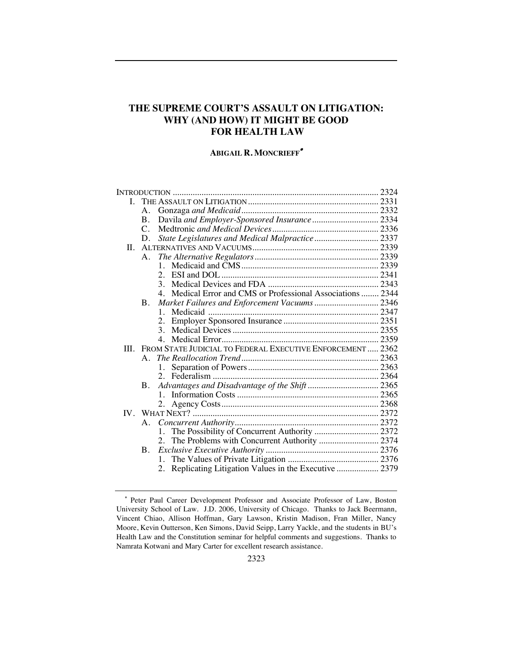## **THE SUPREME COURT'S ASSAULT ON LITIGATION: WHY (AND HOW) IT MIGHT BE GOOD FOR HEALTH LAW**

### **ABIGAIL R. MONCRIEFF**!

|      | A.             |                                                           |  |
|------|----------------|-----------------------------------------------------------|--|
|      | В.             |                                                           |  |
|      | $\mathsf{C}$ . |                                                           |  |
|      | D.             | State Legislatures and Medical Malpractice 2337           |  |
| Н.   |                |                                                           |  |
|      | A.             |                                                           |  |
|      |                | 1                                                         |  |
|      |                | $2^{\circ}$                                               |  |
|      |                |                                                           |  |
|      |                | Medical Error and CMS or Professional Associations  2344  |  |
|      | <b>B.</b>      |                                                           |  |
|      |                | 1                                                         |  |
|      |                | 2.                                                        |  |
|      |                | $\mathcal{E}$                                             |  |
|      |                |                                                           |  |
| III. |                | FROM STATE JUDICIAL TO FEDERAL EXECUTIVE ENFORCEMENT 2362 |  |
|      | A              |                                                           |  |
|      |                | 1.                                                        |  |
|      |                |                                                           |  |
|      | B.             |                                                           |  |
|      |                |                                                           |  |
|      |                |                                                           |  |
|      |                |                                                           |  |
|      | $A_{\cdot}$    |                                                           |  |
|      |                |                                                           |  |
|      |                | The Problems with Concurrent Authority  2374<br>2.        |  |
|      | B.             |                                                           |  |
|      |                | 1.                                                        |  |
|      |                | 2.                                                        |  |
|      |                |                                                           |  |

<sup>!</sup> Peter Paul Career Development Professor and Associate Professor of Law, Boston University School of Law. J.D. 2006, University of Chicago. Thanks to Jack Beermann, Vincent Chiao, Allison Hoffman, Gary Lawson, Kristin Madison, Fran Miller, Nancy Moore, Kevin Outterson, Ken Simons, David Seipp, Larry Yackle, and the students in BU's Health Law and the Constitution seminar for helpful comments and suggestions. Thanks to Namrata Kotwani and Mary Carter for excellent research assistance.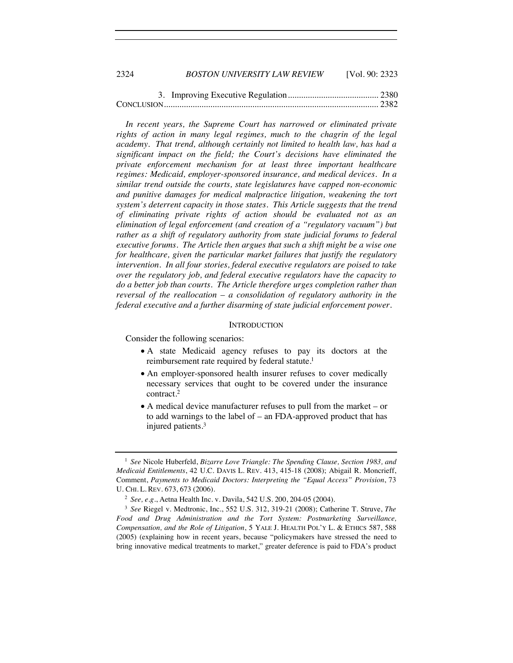| 2324 | <b>BOSTON UNIVERSITY LAW REVIEW</b> | [Vol. 90: 2323] |
|------|-------------------------------------|-----------------|
|      |                                     |                 |

*In recent years, the Supreme Court has narrowed or eliminated private*  rights of action in many legal regimes, much to the chagrin of the legal *academy. That trend, although certainly not limited to health law, has had a significant impact on the field; the Court's decisions have eliminated the private enforcement mechanism for at least three important healthcare regimes: Medicaid, employer-sponsored insurance, and medical devices. In a similar trend outside the courts, state legislatures have capped non-economic and punitive damages for medical malpractice litigation, weakening the tort system's deterrent capacity in those states. This Article suggests that the trend of eliminating private rights of action should be evaluated not as an elimination of legal enforcement (and creation of a "regulatory vacuum") but*  rather as a shift of regulatory authority from state judicial forums to federal *executive forums. The Article then argues that such a shift might be a wise one for healthcare, given the particular market failures that justify the regulatory intervention. In all four stories, federal executive regulators are poised to take over the regulatory job, and federal executive regulators have the capacity to do a better job than courts. The Article therefore urges completion rather than reversal of the reallocation – a consolidation of regulatory authority in the federal executive and a further disarming of state judicial enforcement power.*

#### **INTRODUCTION**

Consider the following scenarios:

- A state Medicaid agency refuses to pay its doctors at the reimbursement rate required by federal statute.<sup>1</sup>
- An employer-sponsored health insurer refuses to cover medically necessary services that ought to be covered under the insurance contract.2
- $\bullet$  A medical device manufacturer refuses to pull from the market or to add warnings to the label of – an FDA-approved product that has injured patients.3

<sup>1</sup> *See* Nicole Huberfeld, *Bizarre Love Triangle: The Spending Clause, Section 1983, and Medicaid Entitlements*, 42 U.C. DAVIS L. REV. 413, 415-18 (2008); Abigail R. Moncrieff, Comment, *Payments to Medicaid Doctors: Interpreting the "Equal Access" Provision*, 73 U. CHI. L. REV. 673, 673 (2006).

<sup>2</sup> *See, e.g.*, Aetna Health Inc. v. Davila, 542 U.S. 200, 204-05 (2004). 3 *See* Riegel v. Medtronic, Inc., 552 U.S. 312, 319-21 (2008); Catherine T. Struve, *The Food and Drug Administration and the Tort System: Postmarketing Surveillance, Compensation, and the Role of Litigation*, 5 YALE J. HEALTH POL'Y L. & ETHICS 587, 588 (2005) (explaining how in recent years, because "policymakers have stressed the need to bring innovative medical treatments to market," greater deference is paid to FDA's product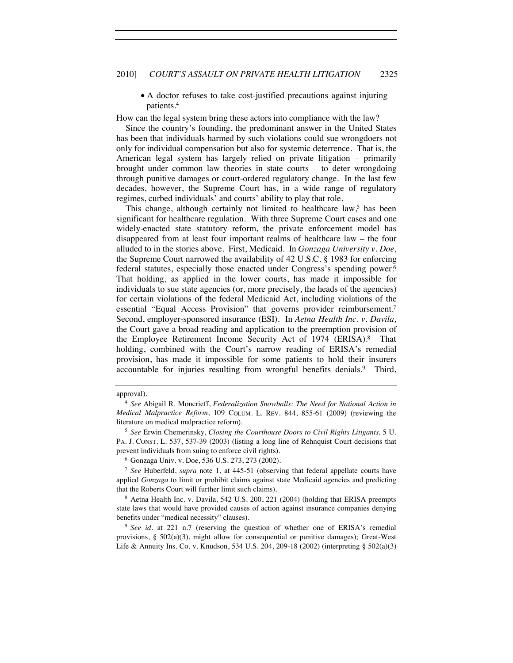" A doctor refuses to take cost-justified precautions against injuring patients.4

How can the legal system bring these actors into compliance with the law?

Since the country's founding, the predominant answer in the United States has been that individuals harmed by such violations could sue wrongdoers not only for individual compensation but also for systemic deterrence. That is, the American legal system has largely relied on private litigation – primarily brought under common law theories in state courts – to deter wrongdoing through punitive damages or court-ordered regulatory change. In the last few decades, however, the Supreme Court has, in a wide range of regulatory regimes, curbed individuals' and courts' ability to play that role.

This change, although certainly not limited to healthcare law, has been significant for healthcare regulation. With three Supreme Court cases and one widely-enacted state statutory reform, the private enforcement model has disappeared from at least four important realms of healthcare law – the four alluded to in the stories above. First, Medicaid. In *Gonzaga University v. Doe*, the Supreme Court narrowed the availability of 42 U.S.C. § 1983 for enforcing federal statutes, especially those enacted under Congress's spending power.6 That holding, as applied in the lower courts, has made it impossible for individuals to sue state agencies (or, more precisely, the heads of the agencies) for certain violations of the federal Medicaid Act, including violations of the essential "Equal Access Provision" that governs provider reimbursement.<sup>7</sup> Second, employer-sponsored insurance (ESI). In *Aetna Health Inc. v. Davila*, the Court gave a broad reading and application to the preemption provision of the Employee Retirement Income Security Act of 1974 (ERISA).<sup>8</sup> That holding, combined with the Court's narrow reading of ERISA's remedial provision, has made it impossible for some patients to hold their insurers accountable for injuries resulting from wrongful benefits denials.<sup>9</sup> Third,

approval).

<sup>4</sup> *See* Abigail R. Moncrieff, *Federalization Snowballs: The Need for National Action in Medical Malpractice Reform*, 109 COLUM. L. REV. 844, 855-61 (2009) (reviewing the literature on medical malpractice reform).

<sup>5</sup> *See* Erwin Chemerinsky, *Closing the Courthouse Doors to Civil Rights Litigants*, 5 U. PA. J. CONST. L. 537, 537-39 (2003) (listing a long line of Rehnquist Court decisions that prevent individuals from suing to enforce civil rights).<br><sup>6</sup> Gonzaga Univ. v. Doe, 536 U.S. 273, 273 (2002).

<sup>7</sup> *See* Huberfeld, *supra* note 1, at 445-51 (observing that federal appellate courts have applied *Gonzaga* to limit or prohibit claims against state Medicaid agencies and predicting that the Roberts Court will further limit such claims).

<sup>8</sup> Aetna Health Inc. v. Davila, 542 U.S. 200, 221 (2004) (holding that ERISA preempts state laws that would have provided causes of action against insurance companies denying benefits under "medical necessity" clauses).

<sup>9</sup> *See id.* at 221 n.7 (reserving the question of whether one of ERISA's remedial provisions,  $\S$  502(a)(3), might allow for consequential or punitive damages); Great-West Life & Annuity Ins. Co. v. Knudson, 534 U.S. 204, 209-18 (2002) (interpreting § 502(a)(3)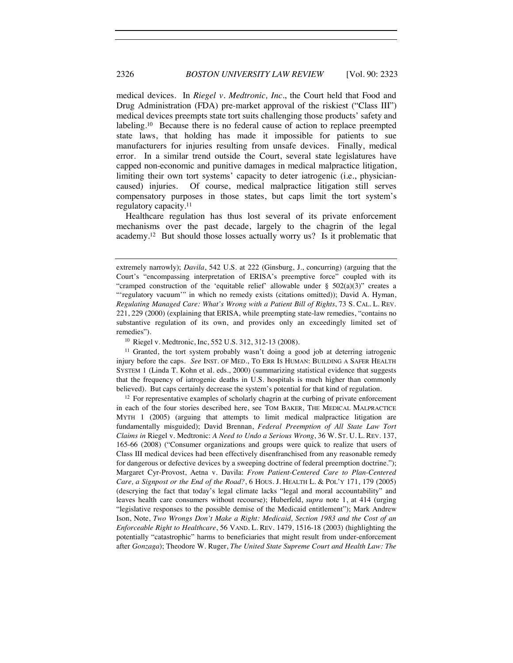medical devices. In *Riegel v. Medtronic, Inc.*, the Court held that Food and Drug Administration (FDA) pre-market approval of the riskiest ("Class III") medical devices preempts state tort suits challenging those products' safety and labeling.<sup>10</sup> Because there is no federal cause of action to replace preempted state laws, that holding has made it impossible for patients to sue manufacturers for injuries resulting from unsafe devices. Finally, medical error. In a similar trend outside the Court, several state legislatures have capped non-economic and punitive damages in medical malpractice litigation, limiting their own tort systems' capacity to deter iatrogenic (i.e., physiciancaused) injuries. Of course, medical malpractice litigation still serves compensatory purposes in those states, but caps limit the tort system's regulatory capacity.11

Healthcare regulation has thus lost several of its private enforcement mechanisms over the past decade, largely to the chagrin of the legal academy.12 But should those losses actually worry us? Is it problematic that

<sup>10</sup> Riegel v. Medtronic, Inc, 552 U.S. 312, 312-13 (2008).

 $11$  Granted, the tort system probably wasn't doing a good job at deterring jatrogenic injury before the caps. *See* INST. OF MED., TO ERR IS HUMAN: BUILDING A SAFER HEALTH SYSTEM 1 (Linda T. Kohn et al. eds., 2000) (summarizing statistical evidence that suggests that the frequency of iatrogenic deaths in U.S. hospitals is much higher than commonly believed). But caps certainly decrease the system's potential for that kind of regulation.

<sup>12</sup> For representative examples of scholarly chagrin at the curbing of private enforcement in each of the four stories described here, see TOM BAKER, THE MEDICAL MALPRACTICE MYTH 1 (2005) (arguing that attempts to limit medical malpractice litigation are fundamentally misguided); David Brennan, *Federal Preemption of All State Law Tort Claims in* Riegel v. Medtronic: *A Need to Undo a Serious Wrong*, 36 W. ST. U. L. REV. 137, 165-66 (2008) ("Consumer organizations and groups were quick to realize that users of Class III medical devices had been effectively disenfranchised from any reasonable remedy for dangerous or defective devices by a sweeping doctrine of federal preemption doctrine."); Margaret Cyr-Provost, Aetna v. Davila: *From Patient-Centered Care to Plan-Centered Care, a Signpost or the End of the Road?*, 6 HOUS. J. HEALTH L. & POL'Y 171, 179 (2005) (descrying the fact that today's legal climate lacks "legal and moral accountability" and leaves health care consumers without recourse); Huberfeld, *supra* note 1, at 414 (urging "legislative responses to the possible demise of the Medicaid entitlement"); Mark Andrew Ison, Note, *Two Wrongs Don't Make a Right: Medicaid, Section 1983 and the Cost of an Enforceable Right to Healthcare*, 56 VAND. L. REV. 1479, 1516-18 (2003) (highlighting the potentially "catastrophic" harms to beneficiaries that might result from under-enforcement after *Gonzaga*); Theodore W. Ruger, *The United State Supreme Court and Health Law: The* 

extremely narrowly); *Davila*, 542 U.S. at 222 (Ginsburg, J., concurring) (arguing that the Court's "encompassing interpretation of ERISA's preemptive force" coupled with its "cramped construction of the 'equitable relief' allowable under  $\S$  502(a)(3)" creates a "'regulatory vacuum'" in which no remedy exists (citations omitted)); David A. Hyman, *Regulating Managed Care: What's Wrong with a Patient Bill of Rights*, 73 S. CAL. L. REV. 221, 229 (2000) (explaining that ERISA, while preempting state-law remedies, "contains no substantive regulation of its own, and provides only an exceedingly limited set of remedies").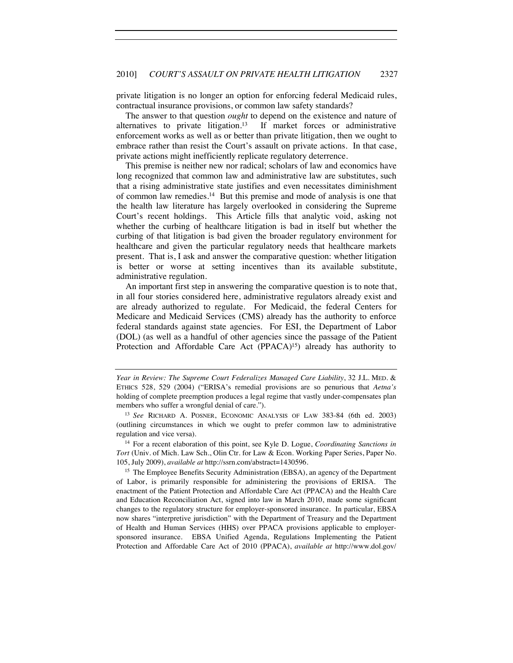private litigation is no longer an option for enforcing federal Medicaid rules, contractual insurance provisions, or common law safety standards?

The answer to that question *ought* to depend on the existence and nature of alternatives to private litigation.<sup>13</sup> If market forces or administrative enforcement works as well as or better than private litigation, then we ought to embrace rather than resist the Court's assault on private actions. In that case, private actions might inefficiently replicate regulatory deterrence.

This premise is neither new nor radical; scholars of law and economics have long recognized that common law and administrative law are substitutes, such that a rising administrative state justifies and even necessitates diminishment of common law remedies.14 But this premise and mode of analysis is one that the health law literature has largely overlooked in considering the Supreme Court's recent holdings. This Article fills that analytic void, asking not whether the curbing of healthcare litigation is bad in itself but whether the curbing of that litigation is bad given the broader regulatory environment for healthcare and given the particular regulatory needs that healthcare markets present. That is, I ask and answer the comparative question: whether litigation is better or worse at setting incentives than its available substitute, administrative regulation.

An important first step in answering the comparative question is to note that, in all four stories considered here, administrative regulators already exist and are already authorized to regulate. For Medicaid, the federal Centers for Medicare and Medicaid Services (CMS) already has the authority to enforce federal standards against state agencies. For ESI, the Department of Labor (DOL) (as well as a handful of other agencies since the passage of the Patient Protection and Affordable Care Act (PPACA)<sup>15</sup>) already has authority to

<sup>14</sup> For a recent elaboration of this point, see Kyle D. Logue, *Coordinating Sanctions in Tort* (Univ. of Mich. Law Sch., Olin Ctr. for Law & Econ. Working Paper Series, Paper No. 105, July 2009), *available at* http://ssrn.com/abstract=1430596.

<sup>15</sup> The Employee Benefits Security Administration (EBSA), an agency of the Department of Labor, is primarily responsible for administering the provisions of ERISA. The enactment of the Patient Protection and Affordable Care Act (PPACA) and the Health Care and Education Reconciliation Act, signed into law in March 2010, made some significant changes to the regulatory structure for employer-sponsored insurance. In particular, EBSA now shares "interpretive jurisdiction" with the Department of Treasury and the Department of Health and Human Services (HHS) over PPACA provisions applicable to employersponsored insurance. EBSA Unified Agenda, Regulations Implementing the Patient Protection and Affordable Care Act of 2010 (PPACA), *available at* http://www.dol.gov/

*Year in Review: The Supreme Court Federalizes Managed Care Liability*, 32 J.L. MED. & ETHICS 528, 529 (2004) ("ERISA's remedial provisions are so penurious that *Aetna's* holding of complete preemption produces a legal regime that vastly under-compensates plan members who suffer a wrongful denial of care.").<br><sup>13</sup> *See* RICHARD A. POSNER, ECONOMIC ANALYSIS OF LAW 383-84 (6th ed. 2003)

<sup>(</sup>outlining circumstances in which we ought to prefer common law to administrative regulation and vice versa).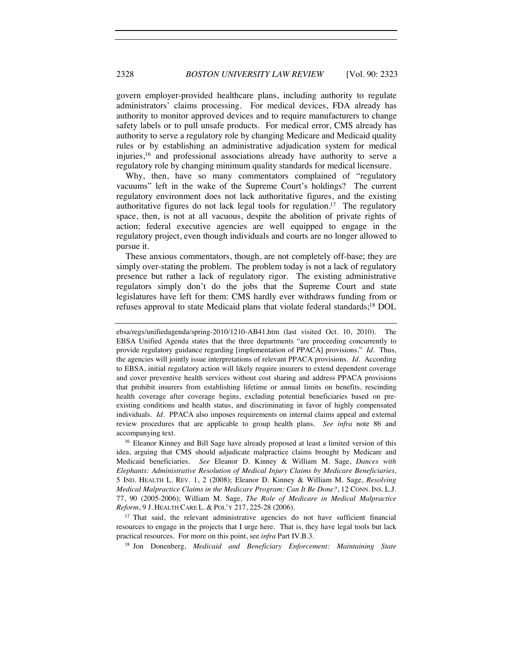govern employer-provided healthcare plans, including authority to regulate administrators' claims processing. For medical devices, FDA already has authority to monitor approved devices and to require manufacturers to change safety labels or to pull unsafe products. For medical error, CMS already has authority to serve a regulatory role by changing Medicare and Medicaid quality rules or by establishing an administrative adjudication system for medical injuries,16 and professional associations already have authority to serve a regulatory role by changing minimum quality standards for medical licensure.

Why, then, have so many commentators complained of "regulatory vacuums" left in the wake of the Supreme Court's holdings? The current regulatory environment does not lack authoritative figures, and the existing authoritative figures do not lack legal tools for regulation.17 The regulatory space, then, is not at all vacuous, despite the abolition of private rights of action; federal executive agencies are well equipped to engage in the regulatory project, even though individuals and courts are no longer allowed to pursue it.

These anxious commentators, though, are not completely off-base; they are simply over-stating the problem. The problem today is not a lack of regulatory presence but rather a lack of regulatory rigor. The existing administrative regulators simply don't do the jobs that the Supreme Court and state legislatures have left for them: CMS hardly ever withdraws funding from or refuses approval to state Medicaid plans that violate federal standards;18 DOL

idea, arguing that CMS should adjudicate malpractice claims brought by Medicare and Medicaid beneficiaries. *See* Eleanor D. Kinney & William M. Sage, *Dances with Elephants: Administrative Resolution of Medical Injury Claims by Medicare Beneficiaries*, 5 IND. HEALTH L. REV. 1, 2 (2008); Eleanor D. Kinney & William M. Sage, *Resolving Medical Malpractice Claims in the Medicare Program: Can It Be Done?*, 12 CONN. INS. L.J. 77, 90 (2005-2006); William M. Sage, *The Role of Medicare in Medical Malpractice Reform*, 9 J. HEALTH CARE L. & POL'Y 217, 225-28 (2006).

<sup>17</sup> That said, the relevant administrative agencies do not have sufficient financial resources to engage in the projects that I urge here. That is, they have legal tools but lack practical resources. For more on this point, see *infra* Part IV.B.3.

<sup>18</sup> Jon Donenberg, *Medicaid and Beneficiary Enforcement: Maintaining State* 

ebsa/regs/unifiedagenda/spring-2010/1210-AB41.htm (last visited Oct. 10, 2010). The EBSA Unified Agenda states that the three departments "are proceeding concurrently to provide regulatory guidance regarding [implementation of PPACA] provisions." *Id.* Thus, the agencies will jointly issue interpretations of relevant PPACA provisions. *Id.* According to EBSA, initial regulatory action will likely require insurers to extend dependent coverage and cover preventive health services without cost sharing and address PPACA provisions that prohibit insurers from establishing lifetime or annual limits on benefits, rescinding health coverage after coverage begins, excluding potential beneficiaries based on preexisting conditions and health status, and discriminating in favor of highly compensated individuals. *Id.* PPACA also imposes requirements on internal claims appeal and external review procedures that are applicable to group health plans. *See infra* note 86 and accompanying text.<br><sup>16</sup> Eleanor Kinney and Bill Sage have already proposed at least a limited version of this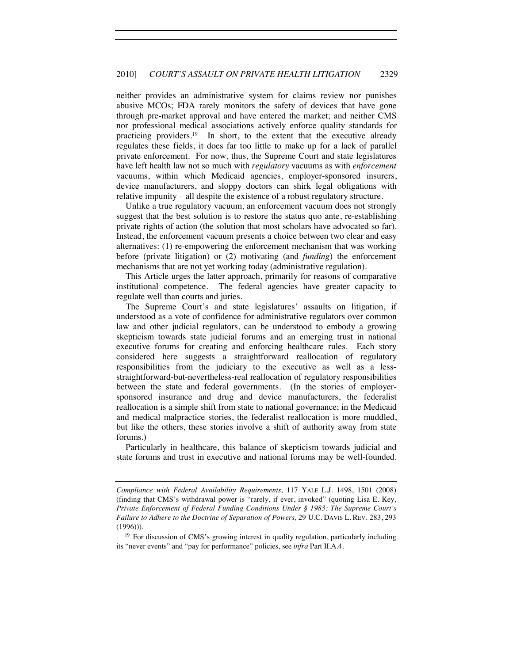neither provides an administrative system for claims review nor punishes abusive MCOs; FDA rarely monitors the safety of devices that have gone through pre-market approval and have entered the market; and neither CMS nor professional medical associations actively enforce quality standards for practicing providers.19 In short, to the extent that the executive already regulates these fields, it does far too little to make up for a lack of parallel private enforcement. For now, thus, the Supreme Court and state legislatures have left health law not so much with *regulatory* vacuums as with *enforcement* vacuums, within which Medicaid agencies, employer-sponsored insurers, device manufacturers, and sloppy doctors can shirk legal obligations with relative impunity – all despite the existence of a robust regulatory structure.

Unlike a true regulatory vacuum, an enforcement vacuum does not strongly suggest that the best solution is to restore the status quo ante, re-establishing private rights of action (the solution that most scholars have advocated so far). Instead, the enforcement vacuum presents a choice between two clear and easy alternatives: (1) re-empowering the enforcement mechanism that was working before (private litigation) or (2) motivating (and *funding*) the enforcement mechanisms that are not yet working today (administrative regulation).

This Article urges the latter approach, primarily for reasons of comparative institutional competence. The federal agencies have greater capacity to regulate well than courts and juries.

The Supreme Court's and state legislatures' assaults on litigation, if understood as a vote of confidence for administrative regulators over common law and other judicial regulators, can be understood to embody a growing skepticism towards state judicial forums and an emerging trust in national executive forums for creating and enforcing healthcare rules. Each story considered here suggests a straightforward reallocation of regulatory responsibilities from the judiciary to the executive as well as a lessstraightforward-but-nevertheless-real reallocation of regulatory responsibilities between the state and federal governments. (In the stories of employersponsored insurance and drug and device manufacturers, the federalist reallocation is a simple shift from state to national governance; in the Medicaid and medical malpractice stories, the federalist reallocation is more muddled, but like the others, these stories involve a shift of authority away from state forums.)

Particularly in healthcare, this balance of skepticism towards judicial and state forums and trust in executive and national forums may be well-founded.

*Compliance with Federal Availability Requirements*, 117 YALE L.J. 1498, 1501 (2008) (finding that CMS's withdrawal power is "rarely, if ever, invoked" (quoting Lisa E. Key, *Private Enforcement of Federal Funding Conditions Under § 1983: The Supreme Court's Failure to Adhere to the Doctrine of Separation of Powers*, 29 U.C. DAVIS L. REV. 283, 293 (1996))).

<sup>&</sup>lt;sup>19</sup> For discussion of CMS's growing interest in quality regulation, particularly including its "never events" and "pay for performance" policies, see *infra* Part II.A.4.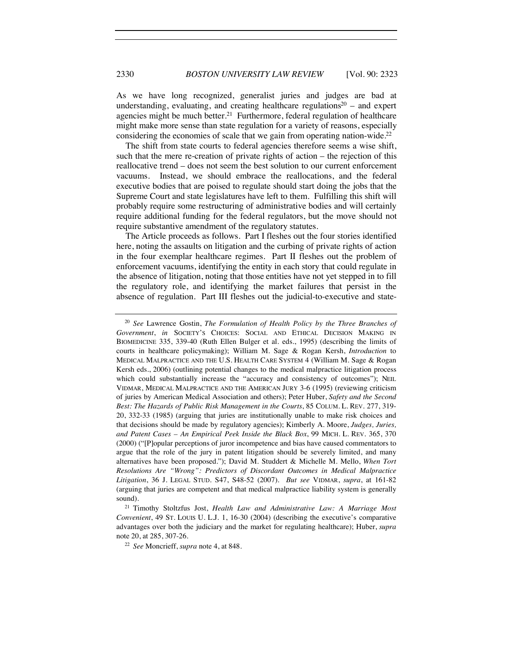As we have long recognized, generalist juries and judges are bad at understanding, evaluating, and creating healthcare regulations<sup>20</sup> – and expert agencies might be much better.<sup>21</sup> Furthermore, federal regulation of healthcare might make more sense than state regulation for a variety of reasons, especially considering the economies of scale that we gain from operating nation-wide.22

The shift from state courts to federal agencies therefore seems a wise shift, such that the mere re-creation of private rights of action – the rejection of this reallocative trend – does not seem the best solution to our current enforcement vacuums. Instead, we should embrace the reallocations, and the federal executive bodies that are poised to regulate should start doing the jobs that the Supreme Court and state legislatures have left to them. Fulfilling this shift will probably require some restructuring of administrative bodies and will certainly require additional funding for the federal regulators, but the move should not require substantive amendment of the regulatory statutes.

The Article proceeds as follows. Part I fleshes out the four stories identified here, noting the assaults on litigation and the curbing of private rights of action in the four exemplar healthcare regimes. Part II fleshes out the problem of enforcement vacuums, identifying the entity in each story that could regulate in the absence of litigation, noting that those entities have not yet stepped in to fill the regulatory role, and identifying the market failures that persist in the absence of regulation. Part III fleshes out the judicial-to-executive and state-

<sup>20</sup> *See* Lawrence Gostin, *The Formulation of Health Policy by the Three Branches of Government*, *in* SOCIETY'S CHOICES: SOCIAL AND ETHICAL DECISION MAKING IN BIOMEDICINE 335, 339-40 (Ruth Ellen Bulger et al. eds., 1995) (describing the limits of courts in healthcare policymaking); William M. Sage & Rogan Kersh, *Introduction* to MEDICAL MALPRACTICE AND THE U.S. HEALTH CARE SYSTEM 4 (William M. Sage & Rogan Kersh eds., 2006) (outlining potential changes to the medical malpractice litigation process which could substantially increase the "accuracy and consistency of outcomes"); NEIL VIDMAR, MEDICAL MALPRACTICE AND THE AMERICAN JURY 3-6 (1995) (reviewing criticism of juries by American Medical Association and others); Peter Huber, *Safety and the Second Best: The Hazards of Public Risk Management in the Courts*, 85 COLUM. L. REV. 277, 319- 20, 332-33 (1985) (arguing that juries are institutionally unable to make risk choices and that decisions should be made by regulatory agencies); Kimberly A. Moore, *Judges, Juries, and Patent Cases – An Empirical Peek Inside the Black Box*, 99 MICH. L. REV. 365, 370 (2000) ("[P]opular perceptions of juror incompetence and bias have caused commentators to argue that the role of the jury in patent litigation should be severely limited, and many alternatives have been proposed."); David M. Studdert & Michelle M. Mello, *When Tort Resolutions Are "Wrong": Predictors of Discordant Outcomes in Medical Malpractice Litigation*, 36 J. LEGAL STUD. S47, S48-52 (2007). *But see* VIDMAR, *supra*, at 161-82 (arguing that juries are competent and that medical malpractice liability system is generally sound). 21 Timothy Stoltzfus Jost, *Health Law and Administrative Law: A Marriage Most* 

*Convenient*, 49 ST. LOUIS U. L.J. 1, 16-30 (2004) (describing the executive's comparative advantages over both the judiciary and the market for regulating healthcare); Huber, *supra*  note 20, at 285, 307-26. 22 *See* Moncrieff, *supra* note 4, at 848.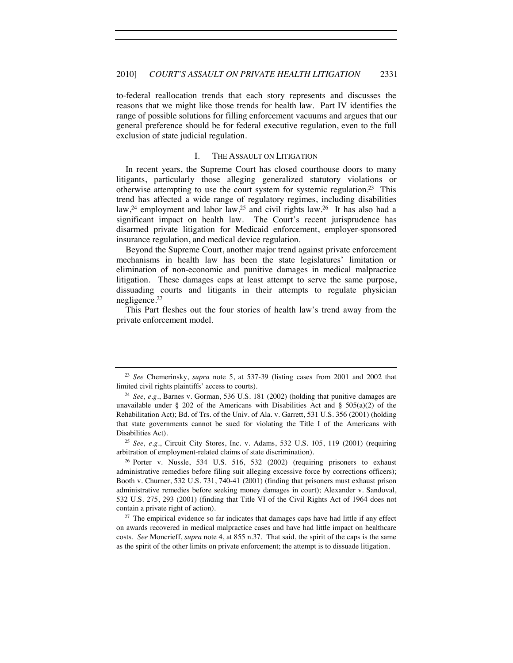to-federal reallocation trends that each story represents and discusses the reasons that we might like those trends for health law. Part IV identifies the range of possible solutions for filling enforcement vacuums and argues that our general preference should be for federal executive regulation, even to the full exclusion of state judicial regulation.

#### I. THE ASSAULT ON LITIGATION

In recent years, the Supreme Court has closed courthouse doors to many litigants, particularly those alleging generalized statutory violations or otherwise attempting to use the court system for systemic regulation.<sup>23</sup> This trend has affected a wide range of regulatory regimes, including disabilities law,<sup>24</sup> employment and labor law,<sup>25</sup> and civil rights law.<sup>26</sup> It has also had a significant impact on health law. The Court's recent jurisprudence has disarmed private litigation for Medicaid enforcement, employer-sponsored insurance regulation, and medical device regulation.

Beyond the Supreme Court, another major trend against private enforcement mechanisms in health law has been the state legislatures' limitation or elimination of non-economic and punitive damages in medical malpractice litigation. These damages caps at least attempt to serve the same purpose, dissuading courts and litigants in their attempts to regulate physician negligence.27

This Part fleshes out the four stories of health law's trend away from the private enforcement model.

arbitration of employment-related claims of state discrimination).

<sup>26</sup> Porter v. Nussle, 534 U.S. 516, 532 (2002) (requiring prisoners to exhaust administrative remedies before filing suit alleging excessive force by corrections officers); Booth v. Churner, 532 U.S. 731, 740-41 (2001) (finding that prisoners must exhaust prison administrative remedies before seeking money damages in court); Alexander v. Sandoval, 532 U.S. 275, 293 (2001) (finding that Title VI of the Civil Rights Act of 1964 does not contain a private right of action).<br><sup>27</sup> The empirical evidence so far indicates that damages caps have had little if any effect

on awards recovered in medical malpractice cases and have had little impact on healthcare costs. *See* Moncrieff, *supra* note 4, at 855 n.37. That said, the spirit of the caps is the same as the spirit of the other limits on private enforcement; the attempt is to dissuade litigation.

<sup>23</sup> *See* Chemerinsky, *supra* note 5, at 537-39 (listing cases from 2001 and 2002 that limited civil rights plaintiffs' access to courts).

<sup>24</sup> *See, e.g.*, Barnes v. Gorman, 536 U.S. 181 (2002) (holding that punitive damages are unavailable under § 202 of the Americans with Disabilities Act and § 505(a)(2) of the Rehabilitation Act); Bd. of Trs. of the Univ. of Ala. v. Garrett, 531 U.S. 356 (2001) (holding that state governments cannot be sued for violating the Title I of the Americans with Disabilities Act). 25 *See, e.g.*, Circuit City Stores, Inc. v. Adams, 532 U.S. 105, 119 (2001) (requiring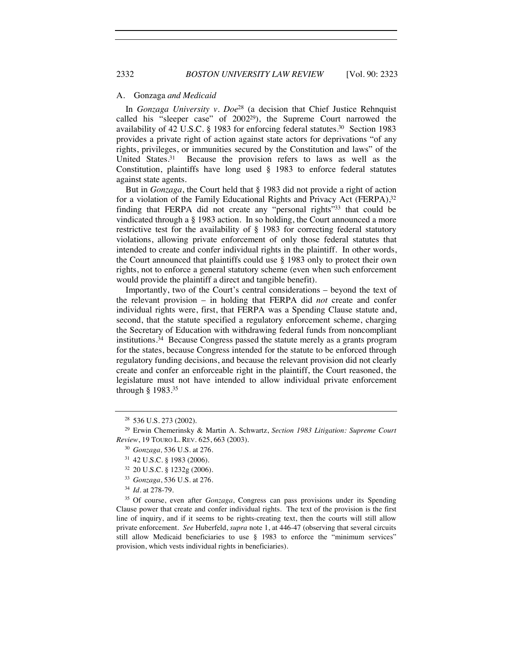#### A. Gonzaga *and Medicaid*

In *Gonzaga University v. Doe*28 (a decision that Chief Justice Rehnquist called his "sleeper case" of 2002<sup>29</sup>), the Supreme Court narrowed the availability of 42 U.S.C. § 1983 for enforcing federal statutes.<sup>30</sup> Section 1983 provides a private right of action against state actors for deprivations "of any rights, privileges, or immunities secured by the Constitution and laws" of the United States.<sup>31</sup> Because the provision refers to laws as well as the Constitution, plaintiffs have long used § 1983 to enforce federal statutes against state agents.

But in *Gonzaga*, the Court held that § 1983 did not provide a right of action for a violation of the Family Educational Rights and Privacy Act (FERPA),<sup>32</sup> finding that FERPA did not create any "personal rights"33 that could be vindicated through a § 1983 action. In so holding, the Court announced a more restrictive test for the availability of § 1983 for correcting federal statutory violations, allowing private enforcement of only those federal statutes that intended to create and confer individual rights in the plaintiff. In other words, the Court announced that plaintiffs could use § 1983 only to protect their own rights, not to enforce a general statutory scheme (even when such enforcement would provide the plaintiff a direct and tangible benefit).

Importantly, two of the Court's central considerations – beyond the text of the relevant provision – in holding that FERPA did *not* create and confer individual rights were, first, that FERPA was a Spending Clause statute and, second, that the statute specified a regulatory enforcement scheme, charging the Secretary of Education with withdrawing federal funds from noncompliant institutions.<sup>34</sup> Because Congress passed the statute merely as a grants program for the states, because Congress intended for the statute to be enforced through regulatory funding decisions, and because the relevant provision did not clearly create and confer an enforceable right in the plaintiff, the Court reasoned, the legislature must not have intended to allow individual private enforcement through § 1983.35

<sup>35</sup> Of course, even after *Gonzaga*, Congress can pass provisions under its Spending Clause power that create and confer individual rights. The text of the provision is the first line of inquiry, and if it seems to be rights-creating text, then the courts will still allow private enforcement. *See* Huberfeld, *supra* note 1, at 446-47 (observing that several circuits still allow Medicaid beneficiaries to use § 1983 to enforce the "minimum services" provision, which vests individual rights in beneficiaries).

<sup>28</sup> 536 U.S. 273 (2002).

<sup>29</sup> Erwin Chemerinsky & Martin A. Schwartz, *Section 1983 Litigation: Supreme Court Review*, 19 TOURO L. REV. 625, 663 (2003).

<sup>30</sup> *Gonzaga,* 536 U.S. at 276.

<sup>31</sup> 42 U.S.C. § 1983 (2006).

<sup>32</sup> 20 U.S.C. § 1232g (2006).

<sup>33</sup> *Gonzaga*, 536 U.S. at 276.

<sup>34</sup> *Id.* at 278-79.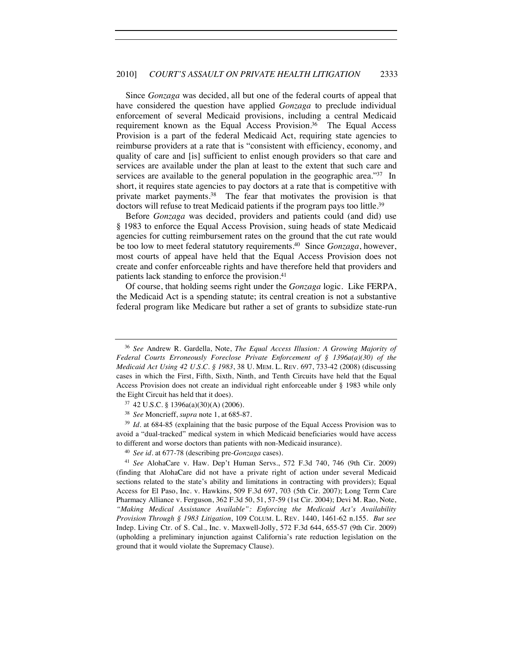Since *Gonzaga* was decided, all but one of the federal courts of appeal that have considered the question have applied *Gonzaga* to preclude individual enforcement of several Medicaid provisions, including a central Medicaid requirement known as the Equal Access Provision.<sup>36</sup> The Equal Access Provision is a part of the federal Medicaid Act, requiring state agencies to reimburse providers at a rate that is "consistent with efficiency, economy, and quality of care and [is] sufficient to enlist enough providers so that care and services are available under the plan at least to the extent that such care and services are available to the general population in the geographic area."<sup>37</sup> In short, it requires state agencies to pay doctors at a rate that is competitive with private market payments.38 The fear that motivates the provision is that doctors will refuse to treat Medicaid patients if the program pays too little.<sup>39</sup>

Before *Gonzaga* was decided, providers and patients could (and did) use § 1983 to enforce the Equal Access Provision, suing heads of state Medicaid agencies for cutting reimbursement rates on the ground that the cut rate would be too low to meet federal statutory requirements.40 Since *Gonzaga*, however, most courts of appeal have held that the Equal Access Provision does not create and confer enforceable rights and have therefore held that providers and patients lack standing to enforce the provision.<sup>41</sup>

Of course, that holding seems right under the *Gonzaga* logic. Like FERPA, the Medicaid Act is a spending statute; its central creation is not a substantive federal program like Medicare but rather a set of grants to subsidize state-run

<sup>36</sup> *See* Andrew R. Gardella, Note, *The Equal Access Illusion: A Growing Majority of Federal Courts Erroneously Foreclose Private Enforcement of § 1396a(a)(30) of the Medicaid Act Using 42 U.S.C. § 1983*, 38 U. MEM. L. REV. 697, 733-42 (2008) (discussing cases in which the First, Fifth, Sixth, Ninth, and Tenth Circuits have held that the Equal Access Provision does not create an individual right enforceable under § 1983 while only the Eight Circuit has held that it does).

<sup>37</sup> 42 U.S.C. § 1396a(a)(30)(A) (2006).

<sup>38</sup> *See* Moncrieff, *supra* note 1, at 685-87.

<sup>39</sup> *Id.* at 684-85 (explaining that the basic purpose of the Equal Access Provision was to avoid a "dual-tracked" medical system in which Medicaid beneficiaries would have access to different and worse doctors than patients with non-Medicaid insurance). 40 *See id.* at 677-78 (describing pre-*Gonzaga* cases).

<sup>41</sup> *See* AlohaCare v. Haw. Dep't Human Servs., 572 F.3d 740, 746 (9th Cir. 2009) (finding that AlohaCare did not have a private right of action under several Medicaid sections related to the state's ability and limitations in contracting with providers); Equal Access for El Paso, Inc. v. Hawkins, 509 F.3d 697, 703 (5th Cir. 2007); Long Term Care Pharmacy Alliance v. Ferguson, 362 F.3d 50, 51, 57-59 (1st Cir. 2004); Devi M. Rao, Note, *"Making Medical Assistance Available": Enforcing the Medicaid Act's Availability Provision Through § 1983 Litigation*, 109 COLUM. L. REV. 1440, 1461-62 n.155. *But see* Indep. Living Ctr. of S. Cal., Inc. v. Maxwell-Jolly, 572 F.3d 644, 655-57 (9th Cir. 2009) (upholding a preliminary injunction against California's rate reduction legislation on the ground that it would violate the Supremacy Clause).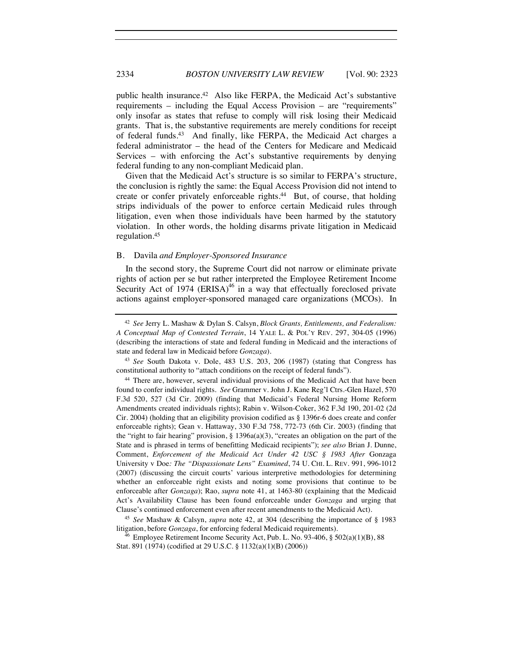public health insurance.<sup>42</sup> Also like FERPA, the Medicaid Act's substantive requirements – including the Equal Access Provision – are "requirements" only insofar as states that refuse to comply will risk losing their Medicaid grants. That is, the substantive requirements are merely conditions for receipt of federal funds.43 And finally, like FERPA, the Medicaid Act charges a federal administrator – the head of the Centers for Medicare and Medicaid Services – with enforcing the Act's substantive requirements by denying federal funding to any non-compliant Medicaid plan.

Given that the Medicaid Act's structure is so similar to FERPA's structure, the conclusion is rightly the same: the Equal Access Provision did not intend to create or confer privately enforceable rights.<sup>44</sup> But, of course, that holding strips individuals of the power to enforce certain Medicaid rules through litigation, even when those individuals have been harmed by the statutory violation. In other words, the holding disarms private litigation in Medicaid regulation.45

#### B. Davila *and Employer-Sponsored Insurance*

In the second story, the Supreme Court did not narrow or eliminate private rights of action per se but rather interpreted the Employee Retirement Income Security Act of 1974 (ERISA)<sup>46</sup> in a way that effectually foreclosed private actions against employer-sponsored managed care organizations (MCOs). In

<sup>42</sup> *See* Jerry L. Mashaw & Dylan S. Calsyn, *Block Grants, Entitlements, and Federalism: A Conceptual Map of Contested Terrain*, 14 YALE L. & POL'Y REV. 297, 304-05 (1996) (describing the interactions of state and federal funding in Medicaid and the interactions of state and federal law in Medicaid before *Gonzaga*).

<sup>43</sup> *See* South Dakota v. Dole, 483 U.S. 203, 206 (1987) (stating that Congress has constitutional authority to "attach conditions on the receipt of federal funds").

<sup>44</sup> There are, however, several individual provisions of the Medicaid Act that have been found to confer individual rights. *See* Grammer v. John J. Kane Reg'l Ctrs.-Glen Hazel, 570 F.3d 520, 527 (3d Cir. 2009) (finding that Medicaid's Federal Nursing Home Reform Amendments created individuals rights); Rabin v. Wilson-Coker, 362 F.3d 190, 201-02 (2d Cir. 2004) (holding that an eligibility provision codified as § 1396r-6 does create and confer enforceable rights); Gean v. Hattaway, 330 F.3d 758, 772-73 (6th Cir. 2003) (finding that the "right to fair hearing" provision,  $\S$  1396a(a)(3), "creates an obligation on the part of the State and is phrased in terms of benefitting Medicaid recipients"); *see also* Brian J. Dunne, Comment, *Enforcement of the Medicaid Act Under 42 USC § 1983 After* Gonzaga University v Doe*: The "Dispassionate Lens" Examined*, 74 U. CHI. L. REV. 991, 996-1012 (2007) (discussing the circuit courts' various interpretive methodologies for determining whether an enforceable right exists and noting some provisions that continue to be enforceable after *Gonzaga*); Rao, *supra* note 41, at 1463-80 (explaining that the Medicaid Act's Availability Clause has been found enforceable under *Gonzaga* and urging that Clause's continued enforcement even after recent amendments to the Medicaid Act).

<sup>45</sup> *See* Mashaw & Calsyn, *supra* note 42, at 304 (describing the importance of § 1983 litigation, before *Gonzaga*, for enforcing federal Medicaid requirements).<br><sup>46</sup> Employee Retirement Income Security Act, Pub. L. No. 93-406, § 502(a)(1)(B), 88

Stat. 891 (1974) (codified at 29 U.S.C. § 1132(a)(1)(B) (2006))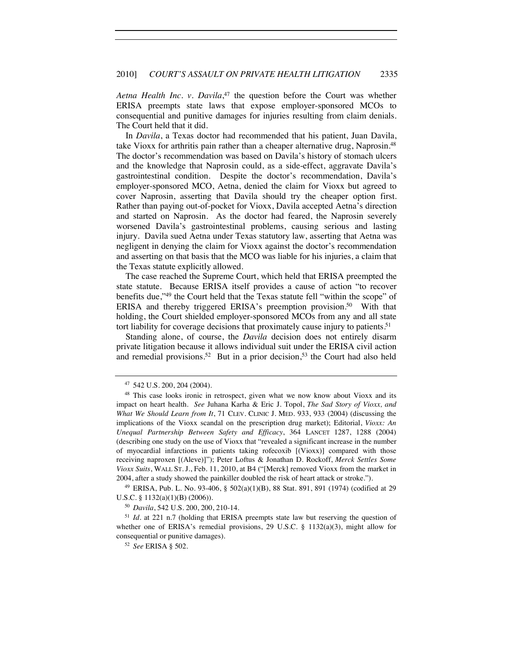*Aetna Health Inc. v. Davila*, 47 the question before the Court was whether ERISA preempts state laws that expose employer-sponsored MCOs to consequential and punitive damages for injuries resulting from claim denials. The Court held that it did.

In *Davila*, a Texas doctor had recommended that his patient, Juan Davila, take Vioxx for arthritis pain rather than a cheaper alternative drug, Naprosin.48 The doctor's recommendation was based on Davila's history of stomach ulcers and the knowledge that Naprosin could, as a side-effect, aggravate Davila's gastrointestinal condition. Despite the doctor's recommendation, Davila's employer-sponsored MCO, Aetna, denied the claim for Vioxx but agreed to cover Naprosin, asserting that Davila should try the cheaper option first. Rather than paying out-of-pocket for Vioxx, Davila accepted Aetna's direction and started on Naprosin. As the doctor had feared, the Naprosin severely worsened Davila's gastrointestinal problems, causing serious and lasting injury. Davila sued Aetna under Texas statutory law, asserting that Aetna was negligent in denying the claim for Vioxx against the doctor's recommendation and asserting on that basis that the MCO was liable for his injuries, a claim that the Texas statute explicitly allowed.

The case reached the Supreme Court, which held that ERISA preempted the state statute. Because ERISA itself provides a cause of action "to recover benefits due,"49 the Court held that the Texas statute fell "within the scope" of ERISA and thereby triggered ERISA's preemption provision.<sup>50</sup> With that holding, the Court shielded employer-sponsored MCOs from any and all state tort liability for coverage decisions that proximately cause injury to patients.<sup>51</sup>

Standing alone, of course, the *Davila* decision does not entirely disarm private litigation because it allows individual suit under the ERISA civil action and remedial provisions.<sup>52</sup> But in a prior decision,<sup>53</sup> the Court had also held

U.S.C. § 1132(a)(1)(B) (2006)).

<sup>50</sup> *Davila*, 542 U.S. 200, 200, 210-14.

<sup>51</sup> *Id.* at 221 n.7 (holding that ERISA preempts state law but reserving the question of whether one of ERISA's remedial provisions, 29 U.S.C. § 1132(a)(3), might allow for consequential or punitive damages).

<sup>52</sup> *See* ERISA § 502.

 $47\,$  542 U.S. 200, 204 (2004).  $48\,$  This case looks ironic in retrospect, given what we now know about Vioxx and its impact on heart health. *See* Juhana Karha & Eric J. Topol, *The Sad Story of Vioxx, and What We Should Learn from It*, 71 CLEV. CLINIC J. MED. 933, 933 (2004) (discussing the implications of the Vioxx scandal on the prescription drug market); Editorial, *Vioxx: An Unequal Partnership Between Safety and Efficacy*, 364 LANCET 1287, 1288 (2004) (describing one study on the use of Vioxx that "revealed a significant increase in the number of myocardial infarctions in patients taking rofecoxib [(Vioxx)] compared with those receiving naproxen [(Aleve)]"); Peter Loftus & Jonathan D. Rockoff, *Merck Settles Some Vioxx Suits*, WALL ST. J., Feb. 11, 2010, at B4 ("[Merck] removed Vioxx from the market in 2004, after a study showed the painkiller doubled the risk of heart attack or stroke.").<br><sup>49</sup> ERISA, Pub. L. No. 93-406, § 502(a)(1)(B), 88 Stat. 891, 891 (1974) (codified at 29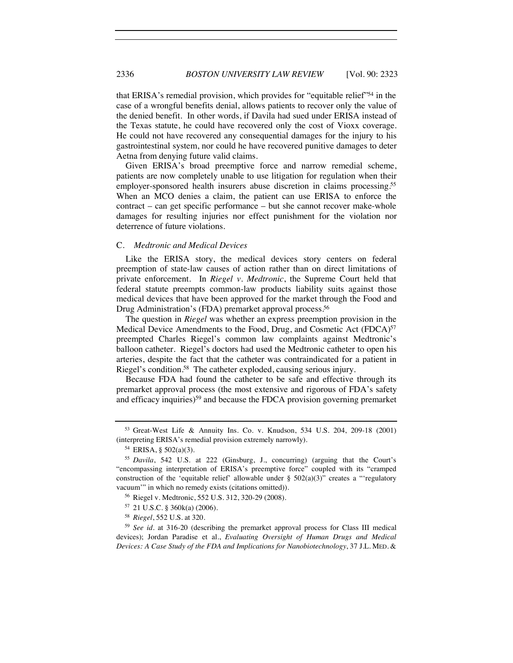that ERISA's remedial provision, which provides for "equitable relief"54 in the case of a wrongful benefits denial, allows patients to recover only the value of the denied benefit. In other words, if Davila had sued under ERISA instead of the Texas statute, he could have recovered only the cost of Vioxx coverage. He could not have recovered any consequential damages for the injury to his gastrointestinal system, nor could he have recovered punitive damages to deter Aetna from denying future valid claims.

Given ERISA's broad preemptive force and narrow remedial scheme, patients are now completely unable to use litigation for regulation when their employer-sponsored health insurers abuse discretion in claims processing.<sup>55</sup> When an MCO denies a claim, the patient can use ERISA to enforce the contract – can get specific performance – but she cannot recover make-whole damages for resulting injuries nor effect punishment for the violation nor deterrence of future violations.

#### C. *Medtronic and Medical Devices*

Like the ERISA story, the medical devices story centers on federal preemption of state-law causes of action rather than on direct limitations of private enforcement. In *Riegel v. Medtronic*, the Supreme Court held that federal statute preempts common-law products liability suits against those medical devices that have been approved for the market through the Food and Drug Administration's (FDA) premarket approval process.<sup>56</sup>

The question in *Riegel* was whether an express preemption provision in the Medical Device Amendments to the Food, Drug, and Cosmetic Act (FDCA)<sup>57</sup> preempted Charles Riegel's common law complaints against Medtronic's balloon catheter. Riegel's doctors had used the Medtronic catheter to open his arteries, despite the fact that the catheter was contraindicated for a patient in Riegel's condition.58 The catheter exploded, causing serious injury.

Because FDA had found the catheter to be safe and effective through its premarket approval process (the most extensive and rigorous of FDA's safety and efficacy inquiries)<sup>59</sup> and because the FDCA provision governing premarket

<sup>53</sup> Great-West Life & Annuity Ins. Co. v. Knudson, 534 U.S. 204, 209-18 (2001) (interpreting ERISA's remedial provision extremely narrowly).

<sup>54</sup> ERISA, § 502(a)(3).

<sup>55</sup> *Davila*, 542 U.S. at 222 (Ginsburg, J., concurring) (arguing that the Court's "encompassing interpretation of ERISA's preemptive force" coupled with its "cramped construction of the 'equitable relief' allowable under  $\S$  502(a)(3)" creates a "regulatory vacuum'" in which no remedy exists (citations omitted)).

<sup>56</sup> Riegel v. Medtronic, 552 U.S. 312, 320-29 (2008).

<sup>57</sup> 21 U.S.C. § 360k(a) (2006).

<sup>58</sup> *Riegel*, 552 U.S. at 320.

<sup>59</sup> *See id.* at 316-20 (describing the premarket approval process for Class III medical devices); Jordan Paradise et al., *Evaluating Oversight of Human Drugs and Medical Devices: A Case Study of the FDA and Implications for Nanobiotechnology*, 37 J.L. MED. &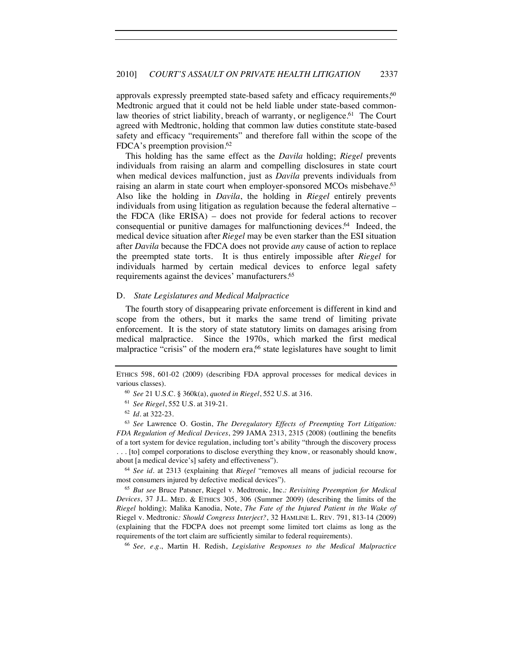approvals expressly preempted state-based safety and efficacy requirements,<sup>60</sup> Medtronic argued that it could not be held liable under state-based commonlaw theories of strict liability, breach of warranty, or negligence.<sup>61</sup> The Court agreed with Medtronic, holding that common law duties constitute state-based safety and efficacy "requirements" and therefore fall within the scope of the FDCA's preemption provision.<sup>62</sup>

This holding has the same effect as the *Davila* holding; *Riegel* prevents individuals from raising an alarm and compelling disclosures in state court when medical devices malfunction, just as *Davila* prevents individuals from raising an alarm in state court when employer-sponsored MCOs misbehave.<sup>63</sup> Also like the holding in *Davila*, the holding in *Riegel* entirely prevents individuals from using litigation as regulation because the federal alternative – the FDCA (like ERISA) – does not provide for federal actions to recover consequential or punitive damages for malfunctioning devices.64 Indeed, the medical device situation after *Riegel* may be even starker than the ESI situation after *Davila* because the FDCA does not provide *any* cause of action to replace the preempted state torts. It is thus entirely impossible after *Riegel* for individuals harmed by certain medical devices to enforce legal safety requirements against the devices' manufacturers.65

#### D. *State Legislatures and Medical Malpractice*

The fourth story of disappearing private enforcement is different in kind and scope from the others, but it marks the same trend of limiting private enforcement. It is the story of state statutory limits on damages arising from medical malpractice. Since the 1970s, which marked the first medical malpractice "crisis" of the modern era,<sup>66</sup> state legislatures have sought to limit

<sup>64</sup> *See id.* at 2313 (explaining that *Riegel* "removes all means of judicial recourse for most consumers injured by defective medical devices").

<sup>65</sup> *But see* Bruce Patsner, Riegel v. Medtronic, Inc*.: Revisiting Preemption for Medical Devices*, 37 J.L. MED. & ETHICS 305, 306 (Summer 2009) (describing the limits of the *Riegel* holding); Malika Kanodia, Note, *The Fate of the Injured Patient in the Wake of*  Riegel v. Medtronic*: Should Congress Interject?*, 32 HAMLINE L. REV. 791, 813-14 (2009) (explaining that the FDCPA does not preempt some limited tort claims as long as the requirements of the tort claim are sufficiently similar to federal requirements). 66 *See, e.g.*, Martin H. Redish, *Legislative Responses to the Medical Malpractice* 

ETHICS 598, 601-02 (2009) (describing FDA approval processes for medical devices in various classes).

<sup>60</sup> *See* 21 U.S.C. § 360k(a), *quoted in Riegel*, 552 U.S. at 316.

<sup>61</sup> *See Riegel*, 552 U.S. at 319-21.

<sup>62</sup> *Id.* at 322-23.

<sup>63</sup> *See* Lawrence O. Gostin, *The Deregulatory Effects of Preempting Tort Litigation: FDA Regulation of Medical Devices*, 299 JAMA 2313, 2315 (2008) (outlining the benefits of a tort system for device regulation, including tort's ability "through the discovery process . . . [to] compel corporations to disclose everything they know, or reasonably should know, about [a medical device's] safety and effectiveness").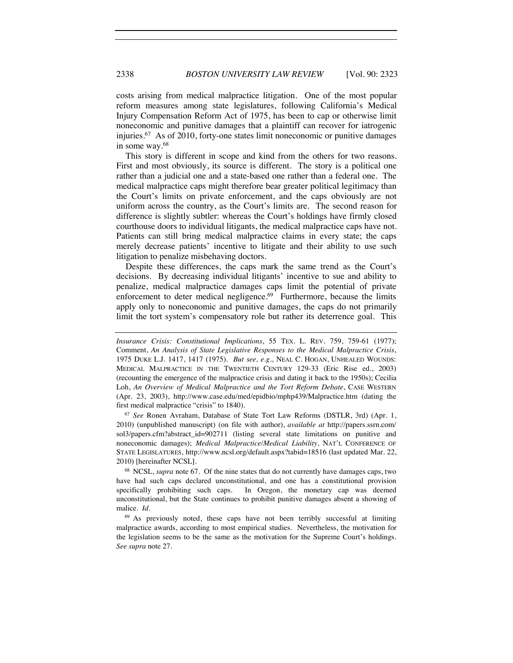costs arising from medical malpractice litigation. One of the most popular reform measures among state legislatures, following California's Medical Injury Compensation Reform Act of 1975, has been to cap or otherwise limit noneconomic and punitive damages that a plaintiff can recover for iatrogenic injuries.67 As of 2010, forty-one states limit noneconomic or punitive damages in some way.68

This story is different in scope and kind from the others for two reasons. First and most obviously, its source is different. The story is a political one rather than a judicial one and a state-based one rather than a federal one. The medical malpractice caps might therefore bear greater political legitimacy than the Court's limits on private enforcement, and the caps obviously are not uniform across the country, as the Court's limits are. The second reason for difference is slightly subtler: whereas the Court's holdings have firmly closed courthouse doors to individual litigants, the medical malpractice caps have not. Patients can still bring medical malpractice claims in every state; the caps merely decrease patients' incentive to litigate and their ability to use such litigation to penalize misbehaving doctors.

Despite these differences, the caps mark the same trend as the Court's decisions. By decreasing individual litigants' incentive to sue and ability to penalize, medical malpractice damages caps limit the potential of private enforcement to deter medical negligence.<sup>69</sup> Furthermore, because the limits apply only to noneconomic and punitive damages, the caps do not primarily limit the tort system's compensatory role but rather its deterrence goal. This

2010) (unpublished manuscript) (on file with author), *available at* http://papers.ssrn.com/ sol3/papers.cfm?abstract\_id=902711 (listing several state limitations on punitive and noneconomic damages); *Medical Malpractice/Medical Liability*, NAT'L CONFERENCE OF STATE LEGISLATURES, http://www.ncsl.org/default.aspx?tabid=18516 (last updated Mar. 22, 2010) [hereinafter NCSL].

<sup>68</sup> NCSL, *supra* note 67. Of the nine states that do not currently have damages caps, two have had such caps declared unconstitutional, and one has a constitutional provision specifically prohibiting such caps. In Oregon, the monetary cap was deemed unconstitutional, but the State continues to prohibit punitive damages absent a showing of malice. *Id.*

<sup>69</sup> As previously noted, these caps have not been terribly successful at limiting malpractice awards, according to most empirical studies. Nevertheless, the motivation for the legislation seems to be the same as the motivation for the Supreme Court's holdings. *See supra* note 27.

*Insurance Crisis: Constitutional Implications*, 55 TEX. L. REV. 759, 759-61 (1977); Comment, *An Analysis of State Legislative Responses to the Medical Malpractice Crisis*, 1975 DUKE L.J. 1417, 1417 (1975). *But see, e.g.*, NEAL C. HOGAN, UNHEALED WOUNDS: MEDICAL MALPRACTICE IN THE TWENTIETH CENTURY 129-33 (Eric Rise ed., 2003) (recounting the emergence of the malpractice crisis and dating it back to the 1950s); Cecilia Loh, *An Overview of Medical Malpractice and the Tort Reform Debate*, CASE WESTERN (Apr. 23, 2003), http://www.case.edu/med/epidbio/mphp439/Malpractice.htm (dating the first medical malpractice "crisis" to 1840). 67 *See* Ronen Avraham, Database of State Tort Law Reforms (DSTLR, 3rd) (Apr. 1,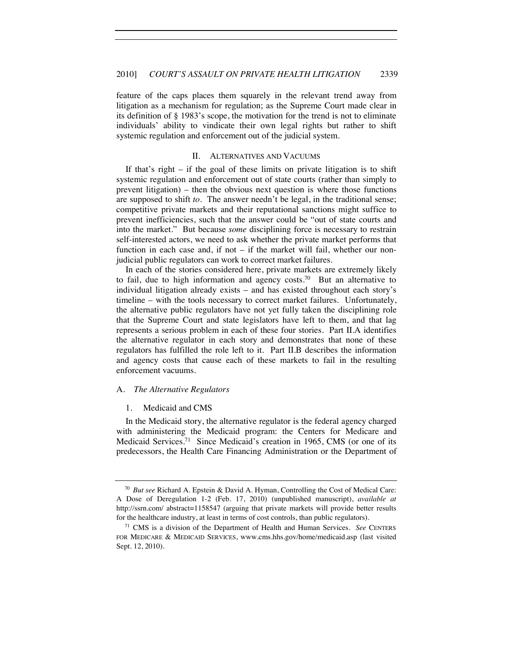feature of the caps places them squarely in the relevant trend away from litigation as a mechanism for regulation; as the Supreme Court made clear in its definition of § 1983's scope, the motivation for the trend is not to eliminate individuals' ability to vindicate their own legal rights but rather to shift systemic regulation and enforcement out of the judicial system.

#### II. ALTERNATIVES AND VACUUMS

If that's right – if the goal of these limits on private litigation is to shift systemic regulation and enforcement out of state courts (rather than simply to prevent litigation) – then the obvious next question is where those functions are supposed to shift *to*. The answer needn't be legal, in the traditional sense; competitive private markets and their reputational sanctions might suffice to prevent inefficiencies, such that the answer could be "out of state courts and into the market." But because *some* disciplining force is necessary to restrain self-interested actors, we need to ask whether the private market performs that function in each case and, if not – if the market will fail, whether our nonjudicial public regulators can work to correct market failures.

In each of the stories considered here, private markets are extremely likely to fail, due to high information and agency costs.<sup>70</sup> But an alternative to individual litigation already exists – and has existed throughout each story's timeline – with the tools necessary to correct market failures. Unfortunately, the alternative public regulators have not yet fully taken the disciplining role that the Supreme Court and state legislators have left to them, and that lag represents a serious problem in each of these four stories. Part II.A identifies the alternative regulator in each story and demonstrates that none of these regulators has fulfilled the role left to it. Part II.B describes the information and agency costs that cause each of these markets to fail in the resulting enforcement vacuums.

#### A. *The Alternative Regulators*

#### 1. Medicaid and CMS

In the Medicaid story, the alternative regulator is the federal agency charged with administering the Medicaid program: the Centers for Medicare and Medicaid Services.71 Since Medicaid's creation in 1965, CMS (or one of its predecessors, the Health Care Financing Administration or the Department of

<sup>70</sup> *But see* Richard A. Epstein & David A. Hyman, Controlling the Cost of Medical Care: A Dose of Deregulation 1-2 (Feb. 17, 2010) (unpublished manuscript), *available at* http://ssrn.com/ abstract=1158547 (arguing that private markets will provide better results for the healthcare industry, at least in terms of cost controls, than public regulators).

<sup>71</sup> CMS is a division of the Department of Health and Human Services. *See* CENTERS FOR MEDICARE & MEDICAID SERVICES, www.cms.hhs.gov/home/medicaid.asp (last visited Sept. 12, 2010).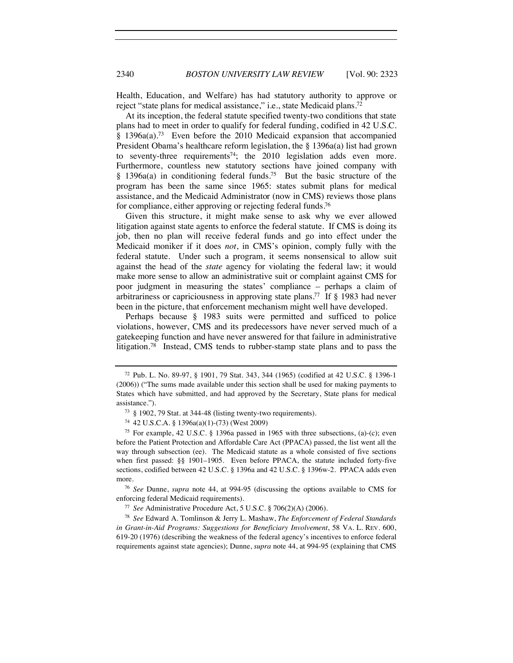Health, Education, and Welfare) has had statutory authority to approve or reject "state plans for medical assistance," i.e., state Medicaid plans.<sup>72</sup>

At its inception, the federal statute specified twenty-two conditions that state plans had to meet in order to qualify for federal funding, codified in 42 U.S.C. § 1396a(a).73 Even before the 2010 Medicaid expansion that accompanied President Obama's healthcare reform legislation, the § 1396a(a) list had grown to seventy-three requirements<sup>74</sup>; the 2010 legislation adds even more. Furthermore, countless new statutory sections have joined company with  $§$  1396a(a) in conditioning federal funds.<sup>75</sup> But the basic structure of the program has been the same since 1965: states submit plans for medical assistance, and the Medicaid Administrator (now in CMS) reviews those plans for compliance, either approving or rejecting federal funds.<sup>76</sup>

Given this structure, it might make sense to ask why we ever allowed litigation against state agents to enforce the federal statute. If CMS is doing its job, then no plan will receive federal funds and go into effect under the Medicaid moniker if it does *not*, in CMS's opinion, comply fully with the federal statute. Under such a program, it seems nonsensical to allow suit against the head of the *state* agency for violating the federal law; it would make more sense to allow an administrative suit or complaint against CMS for poor judgment in measuring the states' compliance – perhaps a claim of arbitrariness or capriciousness in approving state plans.77 If § 1983 had never been in the picture, that enforcement mechanism might well have developed.

Perhaps because § 1983 suits were permitted and sufficed to police violations, however, CMS and its predecessors have never served much of a gatekeeping function and have never answered for that failure in administrative litigation.78 Instead, CMS tends to rubber-stamp state plans and to pass the

<sup>76</sup> *See* Dunne, *supra* note 44, at 994-95 (discussing the options available to CMS for enforcing federal Medicaid requirements).

<sup>78</sup> *See* Edward A. Tomlinson & Jerry L. Mashaw, *The Enforcement of Federal Standards in Grant-in-Aid Programs: Suggestions for Beneficiary Involvement*, 58 VA. L. REV. 600, 619-20 (1976) (describing the weakness of the federal agency's incentives to enforce federal requirements against state agencies); Dunne, *supra* note 44, at 994-95 (explaining that CMS

<sup>72</sup> Pub. L. No. 89-97, § 1901, 79 Stat. 343, 344 (1965) (codified at 42 U.S.C. § 1396-1 (2006)) ("The sums made available under this section shall be used for making payments to States which have submitted, and had approved by the Secretary, State plans for medical assistance.").<br> $^{73}$  § 1902, 79 Stat. at 344-48 (listing twenty-two requirements).

<sup>74</sup> 42 U.S.C.A. § 1396a(a)(1)-(73) (West 2009)

<sup>75</sup> For example, 42 U.S.C. § 1396a passed in 1965 with three subsections, (a)-(c); even before the Patient Protection and Affordable Care Act (PPACA) passed, the list went all the way through subsection (ee). The Medicaid statute as a whole consisted of five sections when first passed: §§ 1901–1905. Even before PPACA, the statute included forty-five sections, codified between 42 U.S.C. § 1396a and 42 U.S.C. § 1396w-2. PPACA adds even more.

<sup>77</sup> *See* Administrative Procedure Act, 5 U.S.C. § 706(2)(A) (2006).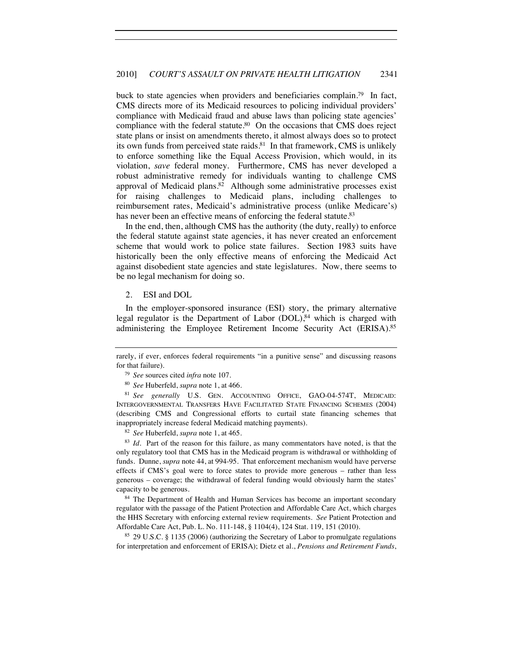buck to state agencies when providers and beneficiaries complain.<sup>79</sup> In fact, CMS directs more of its Medicaid resources to policing individual providers' compliance with Medicaid fraud and abuse laws than policing state agencies' compliance with the federal statute.<sup>80</sup> On the occasions that CMS does reject state plans or insist on amendments thereto, it almost always does so to protect its own funds from perceived state raids.<sup>81</sup> In that framework, CMS is unlikely to enforce something like the Equal Access Provision, which would, in its violation, *save* federal money. Furthermore, CMS has never developed a robust administrative remedy for individuals wanting to challenge CMS approval of Medicaid plans.<sup>82</sup> Although some administrative processes exist for raising challenges to Medicaid plans, including challenges to reimbursement rates, Medicaid's administrative process (unlike Medicare's) has never been an effective means of enforcing the federal statute.<sup>83</sup>

In the end, then, although CMS has the authority (the duty, really) to enforce the federal statute against state agencies, it has never created an enforcement scheme that would work to police state failures. Section 1983 suits have historically been the only effective means of enforcing the Medicaid Act against disobedient state agencies and state legislatures. Now, there seems to be no legal mechanism for doing so.

#### 2. ESI and DOL

In the employer-sponsored insurance (ESI) story, the primary alternative legal regulator is the Department of Labor (DOL),<sup>84</sup> which is charged with administering the Employee Retirement Income Security Act (ERISA).85

<sup>80</sup> *See* Huberfeld, *supra* note 1, at 466. 81 *See generally* U.S. GEN. ACCOUNTING OFFICE, GAO-04-574T, MEDICAID: INTERGOVERNMENTAL TRANSFERS HAVE FACILITATED STATE FINANCING SCHEMES (2004) (describing CMS and Congressional efforts to curtail state financing schemes that inappropriately increase federal Medicaid matching payments).<br><sup>82</sup> *See* Huberfeld, *supra* note 1, at 465.<br><sup>83</sup> *Id*. Part of the reason for this failure, as many commentators have noted, is that the

only regulatory tool that CMS has in the Medicaid program is withdrawal or withholding of funds. Dunne, *supra* note 44, at 994-95. That enforcement mechanism would have perverse effects if CMS's goal were to force states to provide more generous – rather than less generous – coverage; the withdrawal of federal funding would obviously harm the states' capacity to be generous.

<sup>84</sup> The Department of Health and Human Services has become an important secondary regulator with the passage of the Patient Protection and Affordable Care Act, which charges the HHS Secretary with enforcing external review requirements. *See* Patient Protection and Affordable Care Act, Pub. L. No. 111-148, § 1104(4), 124 Stat. 119, 151 (2010).

<sup>85</sup> 29 U.S.C. § 1135 (2006) (authorizing the Secretary of Labor to promulgate regulations for interpretation and enforcement of ERISA); Dietz et al., *Pensions and Retirement Funds*,

rarely, if ever, enforces federal requirements "in a punitive sense" and discussing reasons for that failure). 79 *See* sources cited *infra* note 107.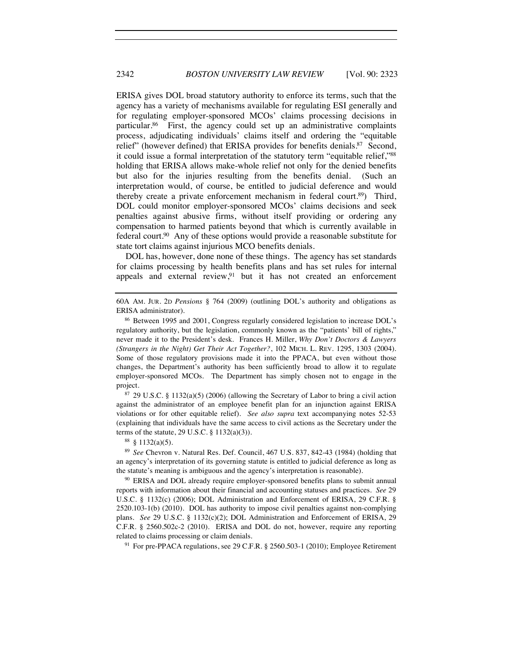ERISA gives DOL broad statutory authority to enforce its terms, such that the agency has a variety of mechanisms available for regulating ESI generally and for regulating employer-sponsored MCOs' claims processing decisions in particular.86 First, the agency could set up an administrative complaints process, adjudicating individuals' claims itself and ordering the "equitable relief" (however defined) that ERISA provides for benefits denials.<sup>87</sup> Second, it could issue a formal interpretation of the statutory term "equitable relief,"88 holding that ERISA allows make-whole relief not only for the denied benefits but also for the injuries resulting from the benefits denial. (Such an interpretation would, of course, be entitled to judicial deference and would thereby create a private enforcement mechanism in federal court.89) Third, DOL could monitor employer-sponsored MCOs' claims decisions and seek penalties against abusive firms, without itself providing or ordering any compensation to harmed patients beyond that which is currently available in federal court.90 Any of these options would provide a reasonable substitute for state tort claims against injurious MCO benefits denials.

DOL has, however, done none of these things. The agency has set standards for claims processing by health benefits plans and has set rules for internal appeals and external review, $91$  but it has not created an enforcement

against the administrator of an employee benefit plan for an injunction against ERISA violations or for other equitable relief). *See also supra* text accompanying notes 52-53 (explaining that individuals have the same access to civil actions as the Secretary under the terms of the statute,  $29 \text{ U.S.C.} \S 1132(a)(3)$ .

<sup>88</sup> § 1132(a)(5).

<sup>89</sup> *See* Chevron v. Natural Res. Def. Council, 467 U.S. 837, 842-43 (1984) (holding that an agency's interpretation of its governing statute is entitled to judicial deference as long as the statute's meaning is ambiguous and the agency's interpretation is reasonable).

<sup>90</sup> ERISA and DOL already require employer-sponsored benefits plans to submit annual reports with information about their financial and accounting statuses and practices. *See* 29 U.S.C. § 1132(c) (2006); DOL Administration and Enforcement of ERISA, 29 C.F.R. § 2520.103-1(b) (2010). DOL has authority to impose civil penalties against non-complying plans. *See* 29 U.S.C. § 1132(c)(2); DOL Administration and Enforcement of ERISA, 29 C.F.R. § 2560.502c-2 (2010). ERISA and DOL do not, however, require any reporting related to claims processing or claim denials.<br><sup>91</sup> For pre-PPACA regulations, see 29 C.F.R. § 2560.503-1 (2010); Employee Retirement

<sup>60</sup>A AM. JUR. 2D *Pensions* § 764 (2009) (outlining DOL's authority and obligations as ERISA administrator).

<sup>86</sup> Between 1995 and 2001, Congress regularly considered legislation to increase DOL's regulatory authority, but the legislation, commonly known as the "patients' bill of rights," never made it to the President's desk. Frances H. Miller, *Why Don't Doctors & Lawyers (Strangers in the Night) Get Their Act Together?*, 102 MICH. L. REV. 1295, 1303 (2004). Some of those regulatory provisions made it into the PPACA, but even without those changes, the Department's authority has been sufficiently broad to allow it to regulate employer-sponsored MCOs. The Department has simply chosen not to engage in the project.<br><sup>87</sup> 29 U.S.C. § 1132(a)(5) (2006) (allowing the Secretary of Labor to bring a civil action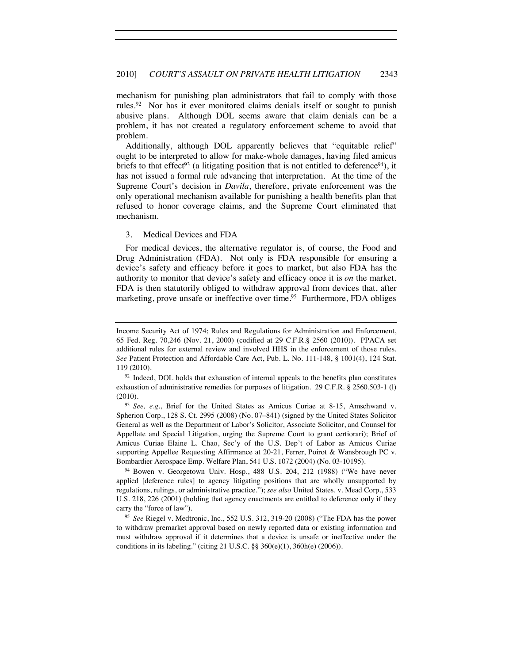mechanism for punishing plan administrators that fail to comply with those rules.92 Nor has it ever monitored claims denials itself or sought to punish abusive plans. Although DOL seems aware that claim denials can be a problem, it has not created a regulatory enforcement scheme to avoid that problem.

Additionally, although DOL apparently believes that "equitable relief" ought to be interpreted to allow for make-whole damages, having filed amicus briefs to that effect<sup>93</sup> (a litigating position that is not entitled to deference<sup>94</sup>), it has not issued a formal rule advancing that interpretation. At the time of the Supreme Court's decision in *Davila*, therefore, private enforcement was the only operational mechanism available for punishing a health benefits plan that refused to honor coverage claims, and the Supreme Court eliminated that mechanism.

#### 3. Medical Devices and FDA

For medical devices, the alternative regulator is, of course, the Food and Drug Administration (FDA). Not only is FDA responsible for ensuring a device's safety and efficacy before it goes to market, but also FDA has the authority to monitor that device's safety and efficacy once it is *on* the market. FDA is then statutorily obliged to withdraw approval from devices that, after marketing, prove unsafe or ineffective over time.<sup>95</sup> Furthermore, FDA obliges

Income Security Act of 1974; Rules and Regulations for Administration and Enforcement, 65 Fed. Reg. 70,246 (Nov. 21, 2000) (codified at 29 C.F.R.§ 2560 (2010)). PPACA set additional rules for external review and involved HHS in the enforcement of those rules. *See* Patient Protection and Affordable Care Act, Pub. L. No. 111-148, § 1001(4), 124 Stat. 119 (2010).<br><sup>92</sup> Indeed, DOL holds that exhaustion of internal appeals to the benefits plan constitutes

exhaustion of administrative remedies for purposes of litigation. 29 C.F.R. § 2560.503-1 (l) (2010).

<sup>93</sup> *See, e.g.*, Brief for the United States as Amicus Curiae at 8-15, Amschwand v. Spherion Corp., 128 S. Ct. 2995 (2008) (No. 07–841) (signed by the United States Solicitor General as well as the Department of Labor's Solicitor, Associate Solicitor, and Counsel for Appellate and Special Litigation, urging the Supreme Court to grant certiorari); Brief of Amicus Curiae Elaine L. Chao, Sec'y of the U.S. Dep't of Labor as Amicus Curiae supporting Appellee Requesting Affirmance at 20-21, Ferrer, Poirot & Wansbrough PC v. Bombardier Aerospace Emp. Welfare Plan, 541 U.S. 1072 (2004) (No. 03-10195).

<sup>94</sup> Bowen v. Georgetown Univ. Hosp., 488 U.S. 204, 212 (1988) ("We have never applied [deference rules] to agency litigating positions that are wholly unsupported by regulations, rulings, or administrative practice."); *see also* United States. v. Mead Corp., 533 U.S. 218, 226 (2001) (holding that agency enactments are entitled to deference only if they carry the "force of law").

<sup>95</sup> *See* Riegel v. Medtronic, Inc., 552 U.S. 312, 319-20 (2008) ("The FDA has the power to withdraw premarket approval based on newly reported data or existing information and must withdraw approval if it determines that a device is unsafe or ineffective under the conditions in its labeling." (citing 21 U.S.C. §§ 360(e)(1), 360h(e) (2006)).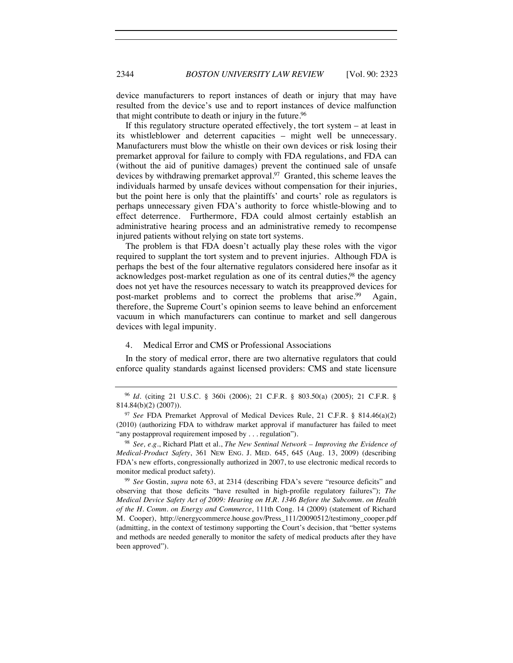device manufacturers to report instances of death or injury that may have resulted from the device's use and to report instances of device malfunction that might contribute to death or injury in the future.<sup>96</sup>

If this regulatory structure operated effectively, the tort system – at least in its whistleblower and deterrent capacities – might well be unnecessary. Manufacturers must blow the whistle on their own devices or risk losing their premarket approval for failure to comply with FDA regulations, and FDA can (without the aid of punitive damages) prevent the continued sale of unsafe devices by withdrawing premarket approval.<sup>97</sup> Granted, this scheme leaves the individuals harmed by unsafe devices without compensation for their injuries, but the point here is only that the plaintiffs' and courts' role as regulators is perhaps unnecessary given FDA's authority to force whistle-blowing and to effect deterrence. Furthermore, FDA could almost certainly establish an administrative hearing process and an administrative remedy to recompense injured patients without relying on state tort systems.

The problem is that FDA doesn't actually play these roles with the vigor required to supplant the tort system and to prevent injuries. Although FDA is perhaps the best of the four alternative regulators considered here insofar as it acknowledges post-market regulation as one of its central duties,<sup>98</sup> the agency does not yet have the resources necessary to watch its preapproved devices for post-market problems and to correct the problems that arise.<sup>99</sup> Again, therefore, the Supreme Court's opinion seems to leave behind an enforcement vacuum in which manufacturers can continue to market and sell dangerous devices with legal impunity.

#### 4. Medical Error and CMS or Professional Associations

In the story of medical error, there are two alternative regulators that could enforce quality standards against licensed providers: CMS and state licensure

<sup>96</sup> *Id.* (citing 21 U.S.C. § 360i (2006); 21 C.F.R. § 803.50(a) (2005); 21 C.F.R. § 814.84(b)(2) (2007)).

<sup>97</sup> *See* FDA Premarket Approval of Medical Devices Rule, 21 C.F.R. § 814.46(a)(2) (2010) (authorizing FDA to withdraw market approval if manufacturer has failed to meet "any postapproval requirement imposed by . . . regulation").

<sup>98</sup> *See, e.g*., Richard Platt et al., *The New Sentinal Network – Improving the Evidence of Medical-Product Safety*, 361 NEW ENG. J. MED. 645, 645 (Aug. 13, 2009) (describing FDA's new efforts, congressionally authorized in 2007, to use electronic medical records to monitor medical product safety).

<sup>99</sup> *See* Gostin, *supra* note 63, at 2314 (describing FDA's severe "resource deficits" and observing that those deficits "have resulted in high-profile regulatory failures"); *The Medical Device Safety Act of 2009: Hearing on H.R. 1346 Before the Subcomm. on Health of the H. Comm. on Energy and Commerce*, 111th Cong. 14 (2009) (statement of Richard M. Cooper), http://energycommerce.house.gov/Press\_111/20090512/testimony\_cooper.pdf (admitting, in the context of testimony supporting the Court's decision, that "better systems and methods are needed generally to monitor the safety of medical products after they have been approved").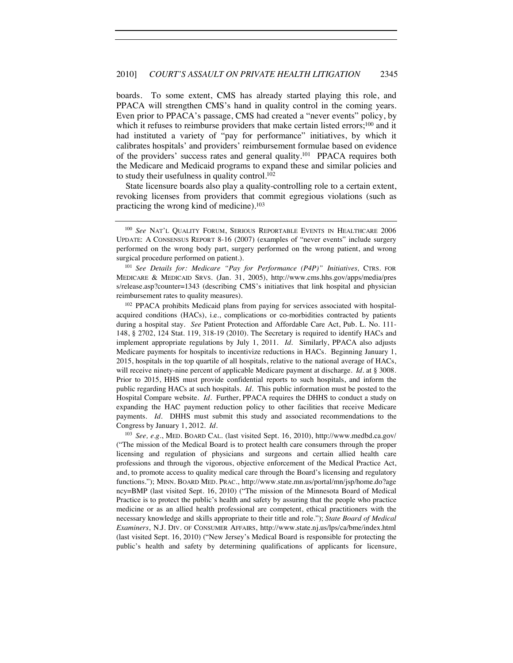boards. To some extent, CMS has already started playing this role, and PPACA will strengthen CMS's hand in quality control in the coming years. Even prior to PPACA's passage, CMS had created a "never events" policy, by which it refuses to reimburse providers that make certain listed errors;<sup>100</sup> and it had instituted a variety of "pay for performance" initiatives, by which it calibrates hospitals' and providers' reimbursement formulae based on evidence of the providers' success rates and general quality.<sup>101</sup> PPACA requires both the Medicare and Medicaid programs to expand these and similar policies and to study their usefulness in quality control.<sup>102</sup>

State licensure boards also play a quality-controlling role to a certain extent, revoking licenses from providers that commit egregious violations (such as practicing the wrong kind of medicine).<sup>103</sup>

<sup>101</sup> *See Details for: Medicare "Pay for Performance (P4P)" Initiatives,* CTRS. FOR MEDICARE & MEDICAID SRVS. (Jan. 31, 2005), http://www.cms.hhs.gov/apps/media/pres s/release.asp?counter=1343 (describing CMS's initiatives that link hospital and physician reimbursement rates to quality measures).

<sup>102</sup> PPACA prohibits Medicaid plans from paying for services associated with hospitalacquired conditions (HACs), i.e., complications or co-morbidities contracted by patients during a hospital stay. *See* Patient Protection and Affordable Care Act, Pub. L. No. 111- 148, § 2702, 124 Stat. 119, 318-19 (2010). The Secretary is required to identify HACs and implement appropriate regulations by July 1, 2011. *Id.* Similarly, PPACA also adjusts Medicare payments for hospitals to incentivize reductions in HACs. Beginning January 1, 2015, hospitals in the top quartile of all hospitals, relative to the national average of HACs, will receive ninety-nine percent of applicable Medicare payment at discharge. *Id.* at § 3008. Prior to 2015, HHS must provide confidential reports to such hospitals, and inform the public regarding HACs at such hospitals. *Id.* This public information must be posted to the Hospital Compare website. *Id.* Further, PPACA requires the DHHS to conduct a study on expanding the HAC payment reduction policy to other facilities that receive Medicare payments. *Id.* DHHS must submit this study and associated recommendations to the Congress by January 1, 2012. *Id.*

<sup>103</sup> *See, e.g.*, MED. BOARD CAL. (last visited Sept. 16, 2010), http://www.medbd.ca.gov/ ("The mission of the Medical Board is to protect health care consumers through the proper licensing and regulation of physicians and surgeons and certain allied health care professions and through the vigorous, objective enforcement of the Medical Practice Act, and, to promote access to quality medical care through the Board's licensing and regulatory functions."); MINN. BOARD MED. PRAC., http://www.state.mn.us/portal/mn/jsp/home.do?age ncy=BMP (last visited Sept. 16, 2010) ("The mission of the Minnesota Board of Medical Practice is to protect the public's health and safety by assuring that the people who practice medicine or as an allied health professional are competent, ethical practitioners with the necessary knowledge and skills appropriate to their title and role."); *State Board of Medical Examiners*, N.J. DIV. OF CONSUMER AFFAIRS, http://www.state.nj.us/lps/ca/bme/index.html (last visited Sept. 16, 2010) ("New Jersey's Medical Board is responsible for protecting the public's health and safety by determining qualifications of applicants for licensure,

<sup>100</sup> *See* NAT'L QUALITY FORUM, SERIOUS REPORTABLE EVENTS IN HEALTHCARE 2006 UPDATE: A CONSENSUS REPORT 8-16 (2007) (examples of "never events" include surgery performed on the wrong body part, surgery performed on the wrong patient, and wrong surgical procedure performed on patient.).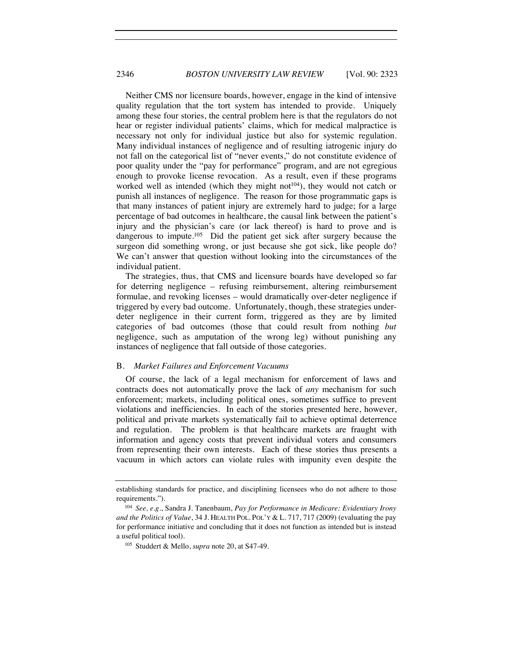Neither CMS nor licensure boards, however, engage in the kind of intensive quality regulation that the tort system has intended to provide. Uniquely among these four stories, the central problem here is that the regulators do not hear or register individual patients' claims, which for medical malpractice is necessary not only for individual justice but also for systemic regulation. Many individual instances of negligence and of resulting iatrogenic injury do not fall on the categorical list of "never events," do not constitute evidence of poor quality under the "pay for performance" program, and are not egregious enough to provoke license revocation. As a result, even if these programs worked well as intended (which they might not $104$ ), they would not catch or punish all instances of negligence. The reason for those programmatic gaps is that many instances of patient injury are extremely hard to judge; for a large percentage of bad outcomes in healthcare, the causal link between the patient's injury and the physician's care (or lack thereof) is hard to prove and is dangerous to impute.<sup>105</sup> Did the patient get sick after surgery because the surgeon did something wrong, or just because she got sick, like people do? We can't answer that question without looking into the circumstances of the individual patient.

The strategies, thus, that CMS and licensure boards have developed so far for deterring negligence – refusing reimbursement, altering reimbursement formulae, and revoking licenses – would dramatically over-deter negligence if triggered by every bad outcome. Unfortunately, though, these strategies underdeter negligence in their current form, triggered as they are by limited categories of bad outcomes (those that could result from nothing *but* negligence, such as amputation of the wrong leg) without punishing any instances of negligence that fall outside of those categories.

#### B. *Market Failures and Enforcement Vacuums*

Of course, the lack of a legal mechanism for enforcement of laws and contracts does not automatically prove the lack of *any* mechanism for such enforcement; markets, including political ones, sometimes suffice to prevent violations and inefficiencies. In each of the stories presented here, however, political and private markets systematically fail to achieve optimal deterrence and regulation. The problem is that healthcare markets are fraught with information and agency costs that prevent individual voters and consumers from representing their own interests. Each of these stories thus presents a vacuum in which actors can violate rules with impunity even despite the

establishing standards for practice, and disciplining licensees who do not adhere to those requirements."). 104 *See, e.g.*, Sandra J. Tanenbaum, *Pay for Performance in Medicare: Evidentiary Irony* 

*and the Politics of Value*, 34 J. HEALTH POL. POL'Y & L. 717, 717 (2009) (evaluating the pay for performance initiative and concluding that it does not function as intended but is instead a useful political tool). 105 Studdert & Mello, *supra* note 20, at S47-49.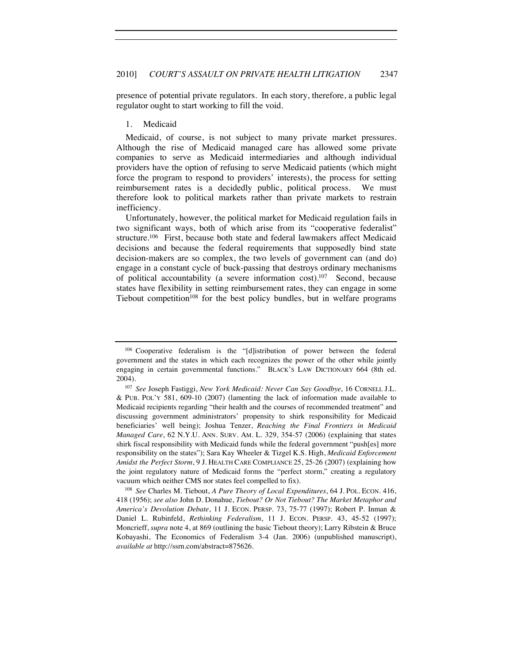presence of potential private regulators. In each story, therefore, a public legal regulator ought to start working to fill the void.

#### 1. Medicaid

Medicaid, of course, is not subject to many private market pressures. Although the rise of Medicaid managed care has allowed some private companies to serve as Medicaid intermediaries and although individual providers have the option of refusing to serve Medicaid patients (which might force the program to respond to providers' interests), the process for setting reimbursement rates is a decidedly public, political process. We must therefore look to political markets rather than private markets to restrain inefficiency.

Unfortunately, however, the political market for Medicaid regulation fails in two significant ways, both of which arise from its "cooperative federalist" structure.<sup>106</sup> First, because both state and federal lawmakers affect Medicaid decisions and because the federal requirements that supposedly bind state decision-makers are so complex, the two levels of government can (and do) engage in a constant cycle of buck-passing that destroys ordinary mechanisms of political accountability (a severe information cost).107 Second, because states have flexibility in setting reimbursement rates, they can engage in some Tiebout competition<sup>108</sup> for the best policy bundles, but in welfare programs

<sup>106</sup> Cooperative federalism is the "[d]istribution of power between the federal government and the states in which each recognizes the power of the other while jointly engaging in certain governmental functions." BLACK'S LAW DICTIONARY 664 (8th ed. 2004).

<sup>107</sup> *See* Joseph Fastiggi, *New York Medicaid: Never Can Say Goodbye*, 16 CORNELL J.L. & PUB. POL'Y 581, 609-10 (2007) (lamenting the lack of information made available to Medicaid recipients regarding "their health and the courses of recommended treatment" and discussing government administrators' propensity to shirk responsibility for Medicaid beneficiaries' well being); Joshua Tenzer, *Reaching the Final Frontiers in Medicaid Managed Care*, 62 N.Y.U. ANN. SURV. AM. L. 329, 354-57 (2006) (explaining that states shirk fiscal responsibility with Medicaid funds while the federal government "push[es] more responsibility on the states"); Sara Kay Wheeler & Tizgel K.S. High, *Medicaid Enforcement Amidst the Perfect Storm*, 9 J. HEALTH CARE COMPLIANCE 25, 25-26 (2007) (explaining how the joint regulatory nature of Medicaid forms the "perfect storm," creating a regulatory

vacuum which neither CMS nor states feel compelled to fix). 108 *See* Charles M. Tiebout, *A Pure Theory of Local Expenditures*, 64 J. POL. ECON. 416, 418 (1956); *see also* John D. Donahue, *Tiebout? Or Not Tiebout? The Market Metaphor and America's Devolution Debate*, 11 J. ECON. PERSP. 73, 75-77 (1997); Robert P. Inman & Daniel L. Rubinfeld, *Rethinking Federalism*, 11 J. ECON. PERSP. 43, 45-52 (1997); Moncrieff, *supra* note 4, at 869 (outlining the basic Tiebout theory); Larry Ribstein & Bruce Kobayashi, The Economics of Federalism 3-4 (Jan. 2006) (unpublished manuscript), *available at* http://ssrn.com/abstract=875626.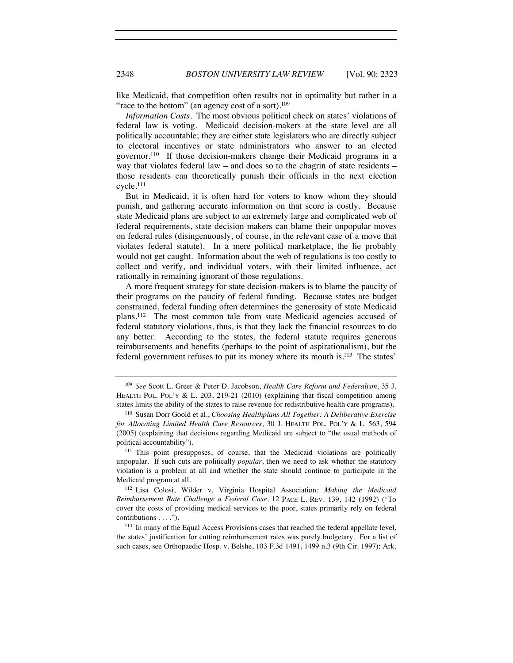like Medicaid, that competition often results not in optimality but rather in a "race to the bottom" (an agency cost of a sort).<sup>109</sup>

*Information Costs.* The most obvious political check on states' violations of federal law is voting. Medicaid decision-makers at the state level are all politically accountable; they are either state legislators who are directly subject to electoral incentives or state administrators who answer to an elected governor.110 If those decision-makers change their Medicaid programs in a way that violates federal law – and does so to the chagrin of state residents – those residents can theoretically punish their officials in the next election cycle.111

But in Medicaid, it is often hard for voters to know whom they should punish, and gathering accurate information on that score is costly. Because state Medicaid plans are subject to an extremely large and complicated web of federal requirements, state decision-makers can blame their unpopular moves on federal rules (disingenuously, of course, in the relevant case of a move that violates federal statute). In a mere political marketplace, the lie probably would not get caught. Information about the web of regulations is too costly to collect and verify, and individual voters, with their limited influence, act rationally in remaining ignorant of those regulations.

A more frequent strategy for state decision-makers is to blame the paucity of their programs on the paucity of federal funding. Because states are budget constrained, federal funding often determines the generosity of state Medicaid plans.112 The most common tale from state Medicaid agencies accused of federal statutory violations, thus, is that they lack the financial resources to do any better. According to the states, the federal statute requires generous reimbursements and benefits (perhaps to the point of aspirationalism), but the federal government refuses to put its money where its mouth is.113 The states'

<sup>109</sup> *See* Scott L. Greer & Peter D. Jacobson, *Health Care Reform and Federalism*, 35 J. HEALTH POL. POL'Y  $&$  L. 203, 219-21 (2010) (explaining that fiscal competition among states limits the ability of the states to raise revenue for redistributive health care programs).

<sup>110</sup> Susan Dorr Goold et al., *Choosing Healthplans All Together: A Deliberative Exercise for Allocating Limited Health Care Resources*, 30 J. HEALTH POL. POL'Y & L. 563, 594 (2005) (explaining that decisions regarding Medicaid are subject to "the usual methods of political accountability").

<sup>111</sup> This point presupposes, of course, that the Medicaid violations are politically unpopular. If such cuts are politically *popular*, then we need to ask whether the statutory violation is a problem at all and whether the state should continue to participate in the Medicaid program at all.

<sup>112</sup> Lisa Colosi, Wilder v. Virginia Hospital Association*: Making the Medicaid Reimbursement Rate Challenge a Federal Case*, 12 PACE L. REV. 139, 142 (1992) ("To cover the costs of providing medical services to the poor, states primarily rely on federal contributions . . . .").

<sup>&</sup>lt;sup>113</sup> In many of the Equal Access Provisions cases that reached the federal appellate level, the states' justification for cutting reimbursement rates was purely budgetary. For a list of such cases, see Orthopaedic Hosp. v. Belshe, 103 F.3d 1491, 1499 n.3 (9th Cir. 1997); Ark.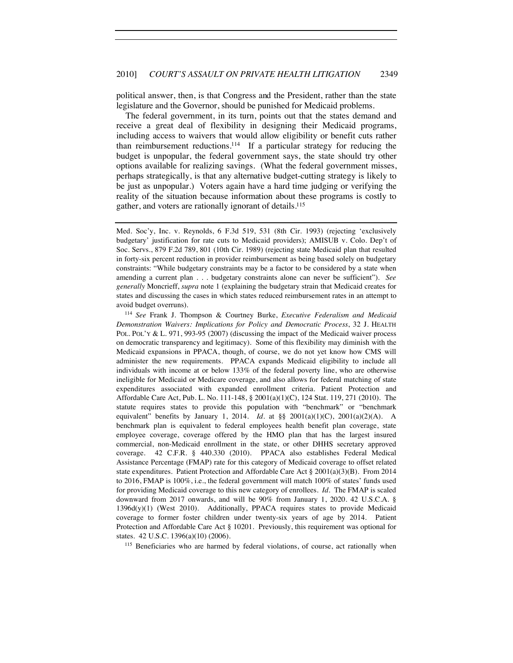political answer, then, is that Congress and the President, rather than the state legislature and the Governor, should be punished for Medicaid problems.

The federal government, in its turn, points out that the states demand and receive a great deal of flexibility in designing their Medicaid programs, including access to waivers that would allow eligibility or benefit cuts rather than reimbursement reductions.114 If a particular strategy for reducing the budget is unpopular, the federal government says, the state should try other options available for realizing savings. (What the federal government misses, perhaps strategically, is that any alternative budget-cutting strategy is likely to be just as unpopular.) Voters again have a hard time judging or verifying the reality of the situation because information about these programs is costly to gather, and voters are rationally ignorant of details.115

*Demonstration Waivers: Implications for Policy and Democratic Process*, 32 J. HEALTH POL. POL'Y & L. 971, 993-95 (2007) (discussing the impact of the Medicaid waiver process on democratic transparency and legitimacy). Some of this flexibility may diminish with the Medicaid expansions in PPACA, though, of course, we do not yet know how CMS will administer the new requirements. PPACA expands Medicaid eligibility to include all individuals with income at or below 133% of the federal poverty line, who are otherwise ineligible for Medicaid or Medicare coverage, and also allows for federal matching of state expenditures associated with expanded enrollment criteria. Patient Protection and Affordable Care Act, Pub. L. No. 111-148, § 2001(a)(1)(C), 124 Stat. 119, 271 (2010). The statute requires states to provide this population with "benchmark" or "benchmark equivalent" benefits by January 1, 2014. *Id.* at §§ 2001(a)(1)(C), 2001(a)(2)(A). A benchmark plan is equivalent to federal employees health benefit plan coverage, state employee coverage, coverage offered by the HMO plan that has the largest insured commercial, non-Medicaid enrollment in the state, or other DHHS secretary approved coverage. 42 C.F.R. § 440.330 (2010). PPACA also establishes Federal Medical Assistance Percentage (FMAP) rate for this category of Medicaid coverage to offset related state expenditures. Patient Protection and Affordable Care Act  $\S 2001(a)(3)(B)$ . From 2014 to 2016, FMAP is 100%, i.e., the federal government will match 100% of states' funds used for providing Medicaid coverage to this new category of enrollees. *Id*. The FMAP is scaled downward from 2017 onwards, and will be 90% from January 1, 2020. 42 U.S.C.A. § 1396d(y)(1) (West 2010). Additionally, PPACA requires states to provide Medicaid coverage to former foster children under twenty-six years of age by 2014. Patient Protection and Affordable Care Act § 10201. Previously, this requirement was optional for states. 42 U.S.C. 1396(a)(10) (2006).<br><sup>115</sup> Beneficiaries who are harmed by federal violations, of course, act rationally when

Med. Soc'y, Inc. v. Reynolds, 6 F.3d 519, 531 (8th Cir. 1993) (rejecting 'exclusively budgetary' justification for rate cuts to Medicaid providers); AMISUB v. Colo. Dep't of Soc. Servs., 879 F.2d 789, 801 (10th Cir. 1989) (rejecting state Medicaid plan that resulted in forty-six percent reduction in provider reimbursement as being based solely on budgetary constraints: "While budgetary constraints may be a factor to be considered by a state when amending a current plan . . . budgetary constraints alone can never be sufficient"). *See generally* Moncrieff, *supra* note 1 (explaining the budgetary strain that Medicaid creates for states and discussing the cases in which states reduced reimbursement rates in an attempt to avoid budget overruns). 114 *See* Frank J. Thompson & Courtney Burke, *Executive Federalism and Medicaid*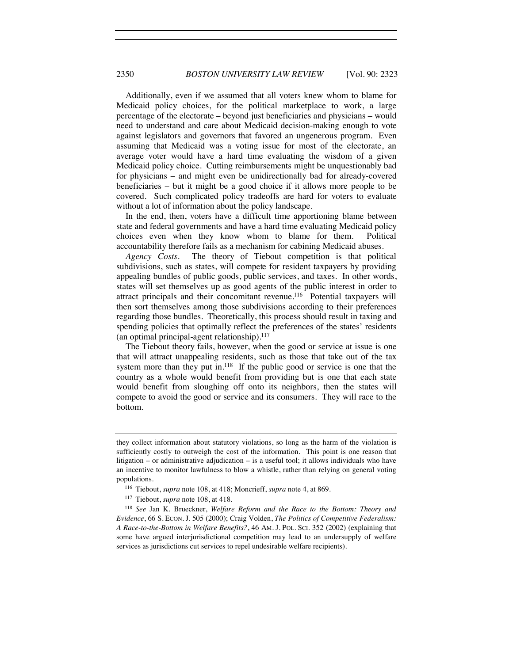Additionally, even if we assumed that all voters knew whom to blame for Medicaid policy choices, for the political marketplace to work, a large percentage of the electorate – beyond just beneficiaries and physicians – would need to understand and care about Medicaid decision-making enough to vote against legislators and governors that favored an ungenerous program. Even assuming that Medicaid was a voting issue for most of the electorate, an average voter would have a hard time evaluating the wisdom of a given Medicaid policy choice. Cutting reimbursements might be unquestionably bad for physicians – and might even be unidirectionally bad for already-covered beneficiaries – but it might be a good choice if it allows more people to be covered. Such complicated policy tradeoffs are hard for voters to evaluate without a lot of information about the policy landscape.

In the end, then, voters have a difficult time apportioning blame between state and federal governments and have a hard time evaluating Medicaid policy choices even when they know whom to blame for them. Political accountability therefore fails as a mechanism for cabining Medicaid abuses.

*Agency Costs.* The theory of Tiebout competition is that political subdivisions, such as states, will compete for resident taxpayers by providing appealing bundles of public goods, public services, and taxes. In other words, states will set themselves up as good agents of the public interest in order to attract principals and their concomitant revenue.116 Potential taxpayers will then sort themselves among those subdivisions according to their preferences regarding those bundles. Theoretically, this process should result in taxing and spending policies that optimally reflect the preferences of the states' residents (an optimal principal-agent relationship). $117$ 

The Tiebout theory fails, however, when the good or service at issue is one that will attract unappealing residents, such as those that take out of the tax system more than they put in.<sup>118</sup> If the public good or service is one that the country as a whole would benefit from providing but is one that each state would benefit from sloughing off onto its neighbors, then the states will compete to avoid the good or service and its consumers. They will race to the bottom.

they collect information about statutory violations, so long as the harm of the violation is sufficiently costly to outweigh the cost of the information. This point is one reason that litigation – or administrative adjudication – is a useful tool; it allows individuals who have an incentive to monitor lawfulness to blow a whistle, rather than relying on general voting populations.

<sup>116</sup> Tiebout, *supra* note 108, at 418; Moncrieff, *supra* note 4, at 869.

<sup>&</sup>lt;sup>117</sup> Tiebout, *supra* note 108, at 418.<br><sup>118</sup> *See Jan K. Brueckner, Welfare Reform and the Race to the Bottom: Theory and Evidence*, 66 S. ECON. J. 505 (2000); Craig Volden, *The Politics of Competitive Federalism: A Race-to-the-Bottom in Welfare Benefits?*, 46 AM. J. POL. SCI. 352 (2002) (explaining that some have argued interjurisdictional competition may lead to an undersupply of welfare services as jurisdictions cut services to repel undesirable welfare recipients).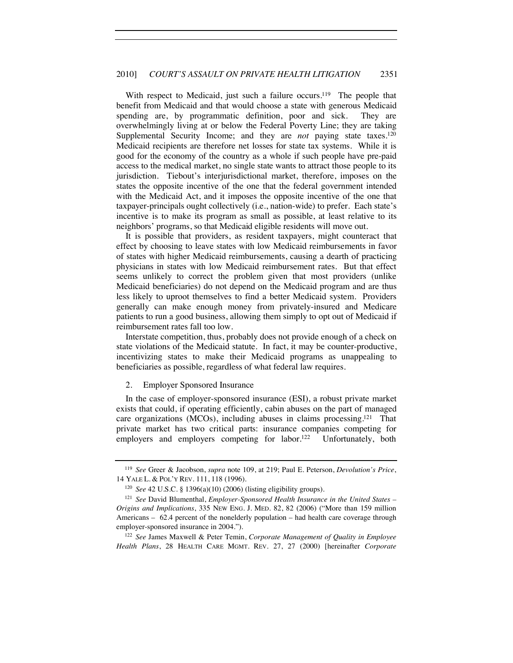With respect to Medicaid, just such a failure occurs.<sup>119</sup> The people that benefit from Medicaid and that would choose a state with generous Medicaid spending are, by programmatic definition, poor and sick. They are overwhelmingly living at or below the Federal Poverty Line; they are taking Supplemental Security Income; and they are *not* paying state taxes.<sup>120</sup> Medicaid recipients are therefore net losses for state tax systems. While it is good for the economy of the country as a whole if such people have pre-paid access to the medical market, no single state wants to attract those people to its jurisdiction. Tiebout's interjurisdictional market, therefore, imposes on the states the opposite incentive of the one that the federal government intended with the Medicaid Act, and it imposes the opposite incentive of the one that taxpayer-principals ought collectively (i.e., nation-wide) to prefer. Each state's incentive is to make its program as small as possible, at least relative to its neighbors' programs, so that Medicaid eligible residents will move out.

It is possible that providers, as resident taxpayers, might counteract that effect by choosing to leave states with low Medicaid reimbursements in favor of states with higher Medicaid reimbursements, causing a dearth of practicing physicians in states with low Medicaid reimbursement rates. But that effect seems unlikely to correct the problem given that most providers (unlike Medicaid beneficiaries) do not depend on the Medicaid program and are thus less likely to uproot themselves to find a better Medicaid system. Providers generally can make enough money from privately-insured and Medicare patients to run a good business, allowing them simply to opt out of Medicaid if reimbursement rates fall too low.

Interstate competition, thus, probably does not provide enough of a check on state violations of the Medicaid statute. In fact, it may be counter-productive, incentivizing states to make their Medicaid programs as unappealing to beneficiaries as possible, regardless of what federal law requires.

#### 2. Employer Sponsored Insurance

In the case of employer-sponsored insurance (ESI), a robust private market exists that could, if operating efficiently, cabin abuses on the part of managed care organizations (MCOs), including abuses in claims processing.121 That private market has two critical parts: insurance companies competing for employers and employers competing for labor.<sup>122</sup> Unfortunately, both

<sup>119</sup> *See* Greer & Jacobson, *supra* note 109, at 219; Paul E. Peterson, *Devolution's Price*, 14 YALE L. & POL'Y REV. 111, 118 (1996).

<sup>120</sup> *See* 42 U.S.C. § 1396(a)(10) (2006) (listing eligibility groups).

<sup>121</sup> *See* David Blumenthal, *Employer-Sponsored Health Insurance in the United States – Origins and Implications*, 335 NEW ENG. J. MED. 82, 82 (2006) ("More than 159 million Americans – 62.4 percent of the nonelderly population – had health care coverage through employer-sponsored insurance in 2004.").

<sup>122</sup> *See* James Maxwell & Peter Temin, *Corporate Management of Quality in Employee Health Plans*, 28 HEALTH CARE MGMT. REV. 27, 27 (2000) [hereinafter *Corporate*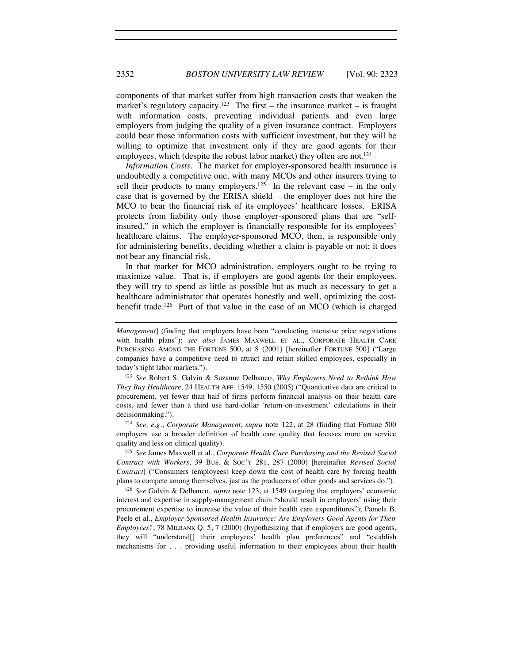2352 *BOSTON UNIVERSITY LAW REVIEW* [Vol. 90: 2323

components of that market suffer from high transaction costs that weaken the market's regulatory capacity.<sup>123</sup> The first – the insurance market – is fraught with information costs, preventing individual patients and even large employers from judging the quality of a given insurance contract. Employers could bear those information costs with sufficient investment, but they will be willing to optimize that investment only if they are good agents for their employees, which (despite the robust labor market) they often are not.<sup>124</sup>

*Information Costs.* The market for employer-sponsored health insurance is undoubtedly a competitive one, with many MCOs and other insurers trying to sell their products to many employers.<sup>125</sup> In the relevant case – in the only case that is governed by the ERISA shield – the employer does not hire the MCO to bear the financial risk of its employees' healthcare losses. ERISA protects from liability only those employer-sponsored plans that are "selfinsured," in which the employer is financially responsible for its employees' healthcare claims. The employer-sponsored MCO, then, is responsible only for administering benefits, deciding whether a claim is payable or not; it does not bear any financial risk.

In that market for MCO administration, employers ought to be trying to maximize value. That is, if employers are good agents for their employees, they will try to spend as little as possible but as much as necessary to get a healthcare administrator that operates honestly and well, optimizing the costbenefit trade.<sup>126</sup> Part of that value in the case of an MCO (which is charged

<sup>124</sup> *See, e.g.*, *Corporate Management*, *supra* note 122, at 28 (finding that Fortune 500 employers use a broader definition of health care quality that focuses more on service quality and less on clinical quality).<br><sup>125</sup> *See* James Maxwell et al., *Corporate Health Care Purchasing and the Revised Social* 

*Contract with Workers*, 39 BUS. & SOC'Y 281, 287 (2000) [hereinafter *Revised Social Contract*] ("Consumers (employees) keep down the cost of health care by forcing health plans to compete among themselves, just as the producers of other goods and services do."). 126 *See* Galvin & Delbanco, *supra* note 123, at 1549 (arguing that employers' economic

interest and expertise in supply-management chain "should result in employers' using their procurement expertise to increase the value of their health care expenditures"); Pamela B. Peele et al., *Employer-Sponsored Health Insurance: Are Employers Good Agents for Their Employees?*, 78 MILBANK Q. 5, 7 (2000) (hypothesizing that if employers are good agents, they will "understand[] their employees' health plan preferences" and "establish mechanisms for . . . providing useful information to their employees about their health

*Management*] (finding that employers have been "conducting intensive price negotiations with health plans"); *see also* JAMES MAXWELL ET AL., CORPORATE HEALTH CARE PURCHASING AMONG THE FORTUNE 500, at 8 (2001) [hereinafter FORTUNE 500] ("Large companies have a competitive need to attract and retain skilled employees, especially in today's tight labor markets."). 123 *See* Robert S. Galvin & Suzanne Delbanco, *Why Employers Need to Rethink How* 

*They Buy Healthcare*, 24 HEALTH AFF. 1549, 1550 (2005) ("Quantitative data are critical to procurement, yet fewer than half of firms perform financial analysis on their health care costs, and fewer than a third use hard-dollar 'return-on-investment' calculations in their decisionmaking.").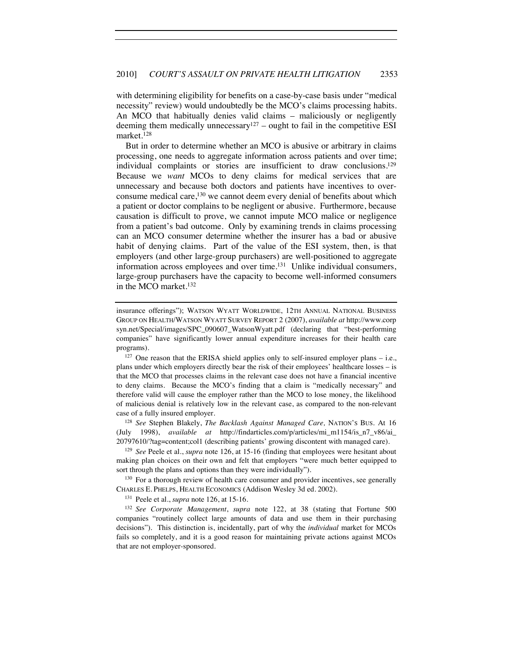with determining eligibility for benefits on a case-by-case basis under "medical necessity" review) would undoubtedly be the MCO's claims processing habits. An MCO that habitually denies valid claims – maliciously or negligently deeming them medically unnecessary<sup>127</sup> – ought to fail in the competitive ESI market.128

But in order to determine whether an MCO is abusive or arbitrary in claims processing, one needs to aggregate information across patients and over time; individual complaints or stories are insufficient to draw conclusions.<sup>129</sup> Because we *want* MCOs to deny claims for medical services that are unnecessary and because both doctors and patients have incentives to overconsume medical care,<sup>130</sup> we cannot deem every denial of benefits about which a patient or doctor complains to be negligent or abusive. Furthermore, because causation is difficult to prove, we cannot impute MCO malice or negligence from a patient's bad outcome. Only by examining trends in claims processing can an MCO consumer determine whether the insurer has a bad or abusive habit of denying claims. Part of the value of the ESI system, then, is that employers (and other large-group purchasers) are well-positioned to aggregate information across employees and over time.<sup>131</sup> Unlike individual consumers, large-group purchasers have the capacity to become well-informed consumers in the MCO market.132

insurance offerings"); WATSON WYATT WORLDWIDE, 12TH ANNUAL NATIONAL BUSINESS GROUP ON HEALTH/WATSON WYATT SURVEY REPORT 2 (2007), *available at* http://www.corp syn.net/Special/images/SPC\_090607\_WatsonWyatt.pdf (declaring that "best-performing companies" have significantly lower annual expenditure increases for their health care programs).<br><sup>127</sup> One reason that the ERISA shield applies only to self-insured employer plans – i.e.,

plans under which employers directly bear the risk of their employees' healthcare losses – is that the MCO that processes claims in the relevant case does not have a financial incentive to deny claims. Because the MCO's finding that a claim is "medically necessary" and therefore valid will cause the employer rather than the MCO to lose money, the likelihood of malicious denial is relatively low in the relevant case, as compared to the non-relevant

case of a fully insured employer. 128 *See* Stephen Blakely, *The Backlash Against Managed Care,* NATION'S BUS. At 16 (July 1998), *available at* http://findarticles.com/p/articles/mi\_m1154/is\_n7\_v86/ai\_ 20797610/?tag=content;col1 (describing patients' growing discontent with managed care).

<sup>129</sup> *See* Peele et al., *supra* note 126, at 15-16 (finding that employees were hesitant about making plan choices on their own and felt that employers "were much better equipped to sort through the plans and options than they were individually").

<sup>130</sup> For a thorough review of health care consumer and provider incentives, see generally CHARLES E. PHELPS, HEALTH ECONOMICS (Addison Wesley 3d ed. 2002).

<sup>131</sup> Peele et al., *supra* note 126, at 15-16. 132 *See Corporate Management*, *supra* note 122, at 38 (stating that Fortune 500 companies "routinely collect large amounts of data and use them in their purchasing decisions"). This distinction is, incidentally, part of why the *individual* market for MCOs fails so completely, and it is a good reason for maintaining private actions against MCOs that are not employer-sponsored.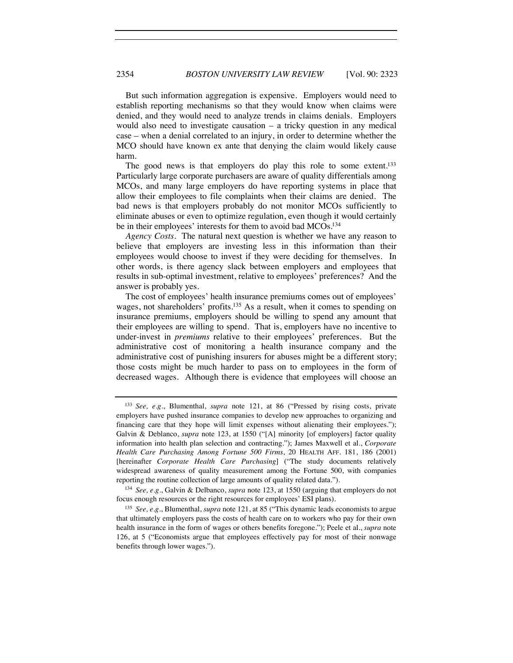But such information aggregation is expensive. Employers would need to establish reporting mechanisms so that they would know when claims were denied, and they would need to analyze trends in claims denials. Employers would also need to investigate causation – a tricky question in any medical case – when a denial correlated to an injury, in order to determine whether the MCO should have known ex ante that denying the claim would likely cause harm.

The good news is that employers do play this role to some extent.<sup>133</sup> Particularly large corporate purchasers are aware of quality differentials among MCOs, and many large employers do have reporting systems in place that allow their employees to file complaints when their claims are denied. The bad news is that employers probably do not monitor MCOs sufficiently to eliminate abuses or even to optimize regulation, even though it would certainly be in their employees' interests for them to avoid bad MCOs.<sup>134</sup>

*Agency Costs.* The natural next question is whether we have any reason to believe that employers are investing less in this information than their employees would choose to invest if they were deciding for themselves. In other words, is there agency slack between employers and employees that results in sub-optimal investment, relative to employees' preferences? And the answer is probably yes.

The cost of employees' health insurance premiums comes out of employees' wages, not shareholders' profits.135 As a result, when it comes to spending on insurance premiums, employers should be willing to spend any amount that their employees are willing to spend. That is, employers have no incentive to under-invest in *premiums* relative to their employees' preferences. But the administrative cost of monitoring a health insurance company and the administrative cost of punishing insurers for abuses might be a different story; those costs might be much harder to pass on to employees in the form of decreased wages. Although there is evidence that employees will choose an

<sup>133</sup> *See, e.g.*, Blumenthal, *supra* note 121, at 86 ("Pressed by rising costs, private employers have pushed insurance companies to develop new approaches to organizing and financing care that they hope will limit expenses without alienating their employees."); Galvin & Deblanco, *supra* note 123, at 1550 ("[A] minority [of employers] factor quality information into health plan selection and contracting."); James Maxwell et al., *Corporate Health Care Purchasing Among Fortune 500 Firms*, 20 HEALTH AFF. 181, 186 (2001) [hereinafter *Corporate Health Care Purchasing*] ("The study documents relatively widespread awareness of quality measurement among the Fortune 500, with companies reporting the routine collection of large amounts of quality related data.").

<sup>134</sup> *See, e.g.*, Galvin & Delbanco, *supra* note 123, at 1550 (arguing that employers do not focus enough resources or the right resources for employees' ESI plans).

<sup>135</sup> *See, e.g.*, Blumenthal, *supra* note 121, at 85 ("This dynamic leads economists to argue that ultimately employers pass the costs of health care on to workers who pay for their own health insurance in the form of wages or others benefits foregone."); Peele et al., *supra* note 126, at 5 ("Economists argue that employees effectively pay for most of their nonwage benefits through lower wages.").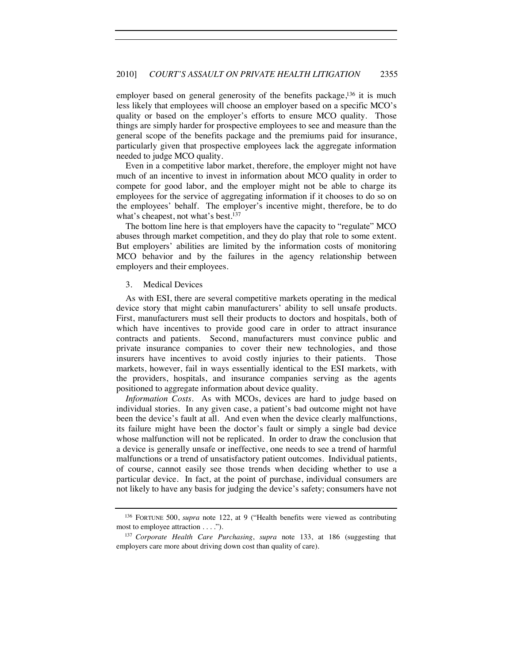employer based on general generosity of the benefits package,<sup>136</sup> it is much less likely that employees will choose an employer based on a specific MCO's quality or based on the employer's efforts to ensure MCO quality. Those things are simply harder for prospective employees to see and measure than the general scope of the benefits package and the premiums paid for insurance, particularly given that prospective employees lack the aggregate information needed to judge MCO quality.

Even in a competitive labor market, therefore, the employer might not have much of an incentive to invest in information about MCO quality in order to compete for good labor, and the employer might not be able to charge its employees for the service of aggregating information if it chooses to do so on the employees' behalf. The employer's incentive might, therefore, be to do what's cheapest, not what's best.<sup>137</sup>

The bottom line here is that employers have the capacity to "regulate" MCO abuses through market competition, and they do play that role to some extent. But employers' abilities are limited by the information costs of monitoring MCO behavior and by the failures in the agency relationship between employers and their employees.

#### 3. Medical Devices

As with ESI, there are several competitive markets operating in the medical device story that might cabin manufacturers' ability to sell unsafe products. First, manufacturers must sell their products to doctors and hospitals, both of which have incentives to provide good care in order to attract insurance contracts and patients. Second, manufacturers must convince public and private insurance companies to cover their new technologies, and those insurers have incentives to avoid costly injuries to their patients. Those markets, however, fail in ways essentially identical to the ESI markets, with the providers, hospitals, and insurance companies serving as the agents positioned to aggregate information about device quality.

*Information Costs.* As with MCOs, devices are hard to judge based on individual stories. In any given case, a patient's bad outcome might not have been the device's fault at all. And even when the device clearly malfunctions, its failure might have been the doctor's fault or simply a single bad device whose malfunction will not be replicated. In order to draw the conclusion that a device is generally unsafe or ineffective, one needs to see a trend of harmful malfunctions or a trend of unsatisfactory patient outcomes. Individual patients, of course, cannot easily see those trends when deciding whether to use a particular device. In fact, at the point of purchase, individual consumers are not likely to have any basis for judging the device's safety; consumers have not

<sup>136</sup> FORTUNE 500, *supra* note 122, at 9 ("Health benefits were viewed as contributing most to employee attraction . . . .").

<sup>137</sup> *Corporate Health Care Purchasing*, *supra* note 133, at 186 (suggesting that employers care more about driving down cost than quality of care).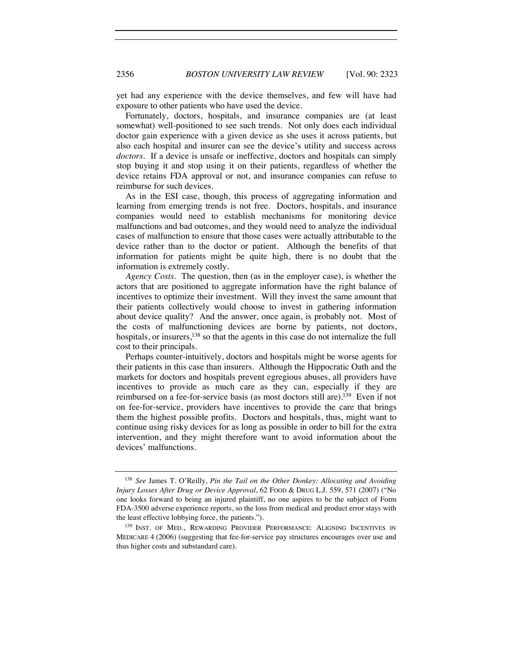yet had any experience with the device themselves, and few will have had exposure to other patients who have used the device.

Fortunately, doctors, hospitals, and insurance companies are (at least somewhat) well-positioned to see such trends. Not only does each individual doctor gain experience with a given device as she uses it across patients, but also each hospital and insurer can see the device's utility and success across *doctors*. If a device is unsafe or ineffective, doctors and hospitals can simply stop buying it and stop using it on their patients, regardless of whether the device retains FDA approval or not, and insurance companies can refuse to reimburse for such devices.

As in the ESI case, though, this process of aggregating information and learning from emerging trends is not free. Doctors, hospitals, and insurance companies would need to establish mechanisms for monitoring device malfunctions and bad outcomes, and they would need to analyze the individual cases of malfunction to ensure that those cases were actually attributable to the device rather than to the doctor or patient. Although the benefits of that information for patients might be quite high, there is no doubt that the information is extremely costly.

*Agency Costs.* The question, then (as in the employer case), is whether the actors that are positioned to aggregate information have the right balance of incentives to optimize their investment. Will they invest the same amount that their patients collectively would choose to invest in gathering information about device quality? And the answer, once again, is probably not. Most of the costs of malfunctioning devices are borne by patients, not doctors, hospitals, or insurers,<sup>138</sup> so that the agents in this case do not internalize the full cost to their principals.

Perhaps counter-intuitively, doctors and hospitals might be worse agents for their patients in this case than insurers. Although the Hippocratic Oath and the markets for doctors and hospitals prevent egregious abuses, all providers have incentives to provide as much care as they can, especially if they are reimbursed on a fee-for-service basis (as most doctors still are).<sup>139</sup> Even if not on fee-for-service, providers have incentives to provide the care that brings them the highest possible profits. Doctors and hospitals, thus, might want to continue using risky devices for as long as possible in order to bill for the extra intervention, and they might therefore want to avoid information about the devices' malfunctions.

<sup>138</sup> *See* James T. O'Reilly, *Pin the Tail on the Other Donkey: Allocating and Avoiding Injury Losses After Drug or Device Approval*, 62 FOOD & DRUG L.J. 559, 571 (2007) ("No one looks forward to being an injured plaintiff, no one aspires to be the subject of Form FDA-3500 adverse experience reports, so the loss from medical and product error stays with the least effective lobbying force, the patients.").

<sup>&</sup>lt;sup>139</sup> INST. OF MED., REWARDING PROVIDER PERFORMANCE: ALIGNING INCENTIVES IN MEDICARE 4 (2006) (suggesting that fee-for-service pay structures encourages over use and thus higher costs and substandard care).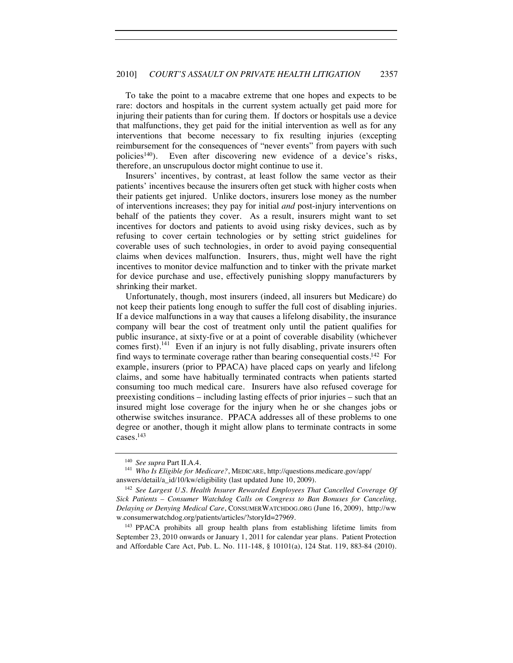To take the point to a macabre extreme that one hopes and expects to be rare: doctors and hospitals in the current system actually get paid more for injuring their patients than for curing them. If doctors or hospitals use a device that malfunctions, they get paid for the initial intervention as well as for any interventions that become necessary to fix resulting injuries (excepting reimbursement for the consequences of "never events" from payers with such policies<sup>140</sup>). Even after discovering new evidence of a device's risks, therefore, an unscrupulous doctor might continue to use it.

Insurers' incentives, by contrast, at least follow the same vector as their patients' incentives because the insurers often get stuck with higher costs when their patients get injured. Unlike doctors, insurers lose money as the number of interventions increases; they pay for initial *and* post-injury interventions on behalf of the patients they cover. As a result, insurers might want to set incentives for doctors and patients to avoid using risky devices, such as by refusing to cover certain technologies or by setting strict guidelines for coverable uses of such technologies, in order to avoid paying consequential claims when devices malfunction. Insurers, thus, might well have the right incentives to monitor device malfunction and to tinker with the private market for device purchase and use, effectively punishing sloppy manufacturers by shrinking their market.

Unfortunately, though, most insurers (indeed, all insurers but Medicare) do not keep their patients long enough to suffer the full cost of disabling injuries. If a device malfunctions in a way that causes a lifelong disability, the insurance company will bear the cost of treatment only until the patient qualifies for public insurance, at sixty-five or at a point of coverable disability (whichever comes first).<sup>141</sup> Even if an injury is not fully disabling, private insurers often find ways to terminate coverage rather than bearing consequential costs.142 For example, insurers (prior to PPACA) have placed caps on yearly and lifelong claims, and some have habitually terminated contracts when patients started consuming too much medical care. Insurers have also refused coverage for preexisting conditions – including lasting effects of prior injuries – such that an insured might lose coverage for the injury when he or she changes jobs or otherwise switches insurance. PPACA addresses all of these problems to one degree or another, though it might allow plans to terminate contracts in some cases.143

<sup>&</sup>lt;sup>140</sup> *See supra* Part II.A.4.<br><sup>141</sup> *Who Is Eligible for Medicare?*, MEDICARE, http://questions.medicare.gov/app/ answers/detail/a\_id/10/kw/eligibility (last updated June 10, 2009).

<sup>142</sup> *See Largest U.S. Health Insurer Rewarded Employees That Cancelled Coverage Of Sick Patients – Consumer Watchdog Calls on Congress to Ban Bonuses for Canceling, Delaying or Denying Medical Care*, CONSUMERWATCHDOG.ORG (June 16, 2009), http://ww w.consumerwatchdog.org/patients/articles/?storyId=27969.

<sup>143</sup> PPACA prohibits all group health plans from establishing lifetime limits from September 23, 2010 onwards or January 1, 2011 for calendar year plans. Patient Protection and Affordable Care Act, Pub. L. No. 111-148, § 10101(a), 124 Stat. 119, 883-84 (2010).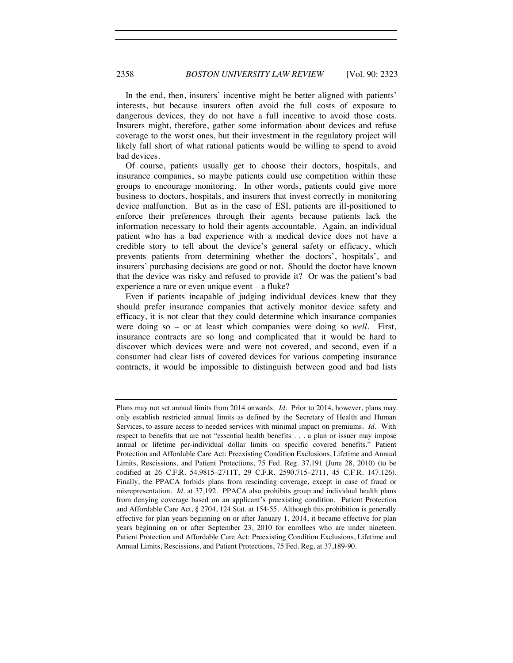In the end, then, insurers' incentive might be better aligned with patients' interests, but because insurers often avoid the full costs of exposure to dangerous devices, they do not have a full incentive to avoid those costs. Insurers might, therefore, gather some information about devices and refuse coverage to the worst ones, but their investment in the regulatory project will likely fall short of what rational patients would be willing to spend to avoid bad devices.

Of course, patients usually get to choose their doctors, hospitals, and insurance companies, so maybe patients could use competition within these groups to encourage monitoring. In other words, patients could give more business to doctors, hospitals, and insurers that invest correctly in monitoring device malfunction. But as in the case of ESI, patients are ill-positioned to enforce their preferences through their agents because patients lack the information necessary to hold their agents accountable. Again, an individual patient who has a bad experience with a medical device does not have a credible story to tell about the device's general safety or efficacy, which prevents patients from determining whether the doctors', hospitals', and insurers' purchasing decisions are good or not. Should the doctor have known that the device was risky and refused to provide it? Or was the patient's bad experience a rare or even unique event – a fluke?

Even if patients incapable of judging individual devices knew that they should prefer insurance companies that actively monitor device safety and efficacy, it is not clear that they could determine which insurance companies were doing so – or at least which companies were doing so *well*. First, insurance contracts are so long and complicated that it would be hard to discover which devices were and were not covered, and second, even if a consumer had clear lists of covered devices for various competing insurance contracts, it would be impossible to distinguish between good and bad lists

Plans may not set annual limits from 2014 onwards. *Id.* Prior to 2014, however, plans may only establish restricted annual limits as defined by the Secretary of Health and Human Services, to assure access to needed services with minimal impact on premiums. *Id.* With respect to benefits that are not "essential health benefits . . . a plan or issuer may impose annual or lifetime per-individual dollar limits on specific covered benefits." Patient Protection and Affordable Care Act: Preexisting Condition Exclusions, Lifetime and Annual Limits, Rescissions, and Patient Protections, 75 Fed. Reg. 37,191 (June 28, 2010) (to be codified at 26 C.F.R. 54.9815–2711T, 29 C.F.R. 2590.715–2711, 45 C.F.R. 147.126). Finally, the PPACA forbids plans from rescinding coverage, except in case of fraud or misrepresentation. *Id.* at 37,192. PPACA also prohibits group and individual health plans from denying coverage based on an applicant's preexisting condition. Patient Protection and Affordable Care Act, § 2704, 124 Stat. at 154-55. Although this prohibition is generally effective for plan years beginning on or after January 1, 2014, it became effective for plan years beginning on or after September 23, 2010 for enrollees who are under nineteen. Patient Protection and Affordable Care Act: Preexisting Condition Exclusions, Lifetime and Annual Limits, Rescissions, and Patient Protections, 75 Fed. Reg. at 37,189-90.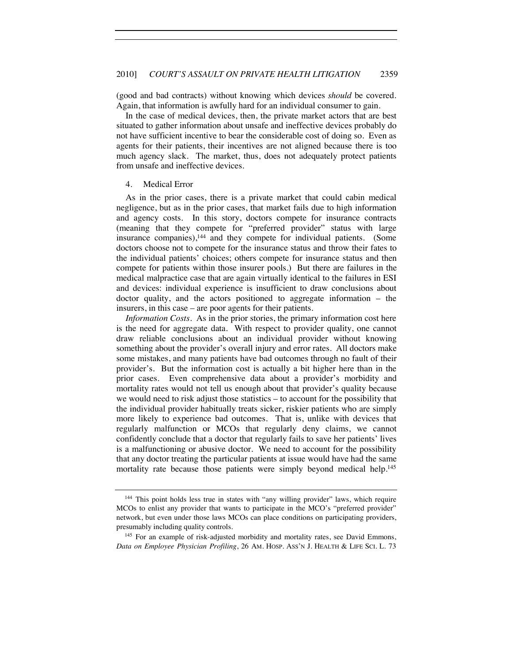(good and bad contracts) without knowing which devices *should* be covered. Again, that information is awfully hard for an individual consumer to gain.

In the case of medical devices, then, the private market actors that are best situated to gather information about unsafe and ineffective devices probably do not have sufficient incentive to bear the considerable cost of doing so. Even as agents for their patients, their incentives are not aligned because there is too much agency slack. The market, thus, does not adequately protect patients from unsafe and ineffective devices.

#### 4. Medical Error

As in the prior cases, there is a private market that could cabin medical negligence, but as in the prior cases, that market fails due to high information and agency costs. In this story, doctors compete for insurance contracts (meaning that they compete for "preferred provider" status with large insurance companies),<sup>144</sup> and they compete for individual patients. (Some doctors choose not to compete for the insurance status and throw their fates to the individual patients' choices; others compete for insurance status and then compete for patients within those insurer pools.) But there are failures in the medical malpractice case that are again virtually identical to the failures in ESI and devices: individual experience is insufficient to draw conclusions about doctor quality, and the actors positioned to aggregate information – the insurers, in this case – are poor agents for their patients.

*Information Costs.* As in the prior stories, the primary information cost here is the need for aggregate data. With respect to provider quality, one cannot draw reliable conclusions about an individual provider without knowing something about the provider's overall injury and error rates. All doctors make some mistakes, and many patients have bad outcomes through no fault of their provider's. But the information cost is actually a bit higher here than in the prior cases. Even comprehensive data about a provider's morbidity and mortality rates would not tell us enough about that provider's quality because we would need to risk adjust those statistics – to account for the possibility that the individual provider habitually treats sicker, riskier patients who are simply more likely to experience bad outcomes. That is, unlike with devices that regularly malfunction or MCOs that regularly deny claims, we cannot confidently conclude that a doctor that regularly fails to save her patients' lives is a malfunctioning or abusive doctor. We need to account for the possibility that any doctor treating the particular patients at issue would have had the same mortality rate because those patients were simply beyond medical help.<sup>145</sup>

<sup>&</sup>lt;sup>144</sup> This point holds less true in states with "any willing provider" laws, which require MCOs to enlist any provider that wants to participate in the MCO's "preferred provider" network, but even under those laws MCOs can place conditions on participating providers, presumably including quality controls.

<sup>145</sup> For an example of risk-adjusted morbidity and mortality rates, see David Emmons, *Data on Employee Physician Profiling*, 26 AM. HOSP. ASS'N J. HEALTH & LIFE SCI. L. 73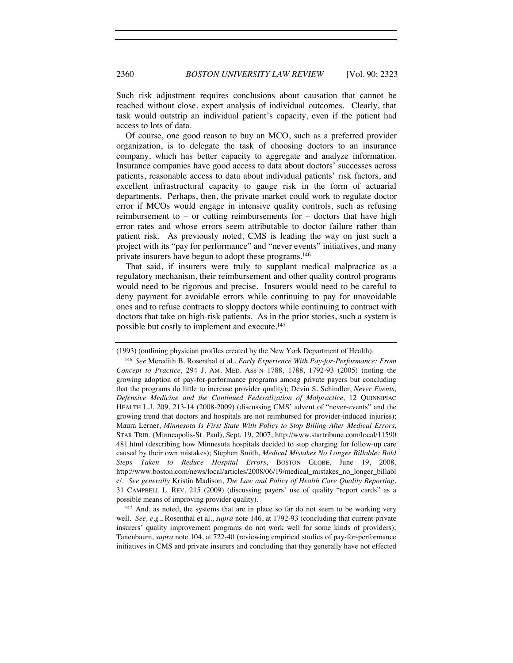Such risk adjustment requires conclusions about causation that cannot be reached without close, expert analysis of individual outcomes. Clearly, that task would outstrip an individual patient's capacity, even if the patient had access to lots of data.

Of course, one good reason to buy an MCO, such as a preferred provider organization, is to delegate the task of choosing doctors to an insurance company, which has better capacity to aggregate and analyze information. Insurance companies have good access to data about doctors' successes across patients, reasonable access to data about individual patients' risk factors, and excellent infrastructural capacity to gauge risk in the form of actuarial departments. Perhaps, then, the private market could work to regulate doctor error if MCOs would engage in intensive quality controls, such as refusing reimbursement to – or cutting reimbursements for – doctors that have high error rates and whose errors seem attributable to doctor failure rather than patient risk. As previously noted, CMS is leading the way on just such a project with its "pay for performance" and "never events" initiatives, and many private insurers have begun to adopt these programs.146

That said, if insurers were truly to supplant medical malpractice as a regulatory mechanism, their reimbursement and other quality control programs would need to be rigorous and precise. Insurers would need to be careful to deny payment for avoidable errors while continuing to pay for unavoidable ones and to refuse contracts to sloppy doctors while continuing to contract with doctors that take on high-risk patients. As in the prior stories, such a system is possible but costly to implement and execute.147

<sup>(1993) (</sup>outlining physician profiles created by the New York Department of Health).

<sup>146</sup> *See* Meredith B. Rosenthal et al., *Early Experience With Pay-for-Performance: From Concept to Practice*, 294 J. AM. MED. ASS'N 1788, 1788, 1792-93 (2005) (noting the growing adoption of pay-for-performance programs among private payers but concluding that the programs do little to increase provider quality); Devin S. Schindler, *Never Events, Defensive Medicine and the Continued Federalization of Malpractice*, 12 QUINNIPIAC HEALTH L.J. 209, 213-14 (2008-2009) (discussing CMS' advent of "never-events" and the growing trend that doctors and hospitals are not reimbursed for provider-induced injuries); Maura Lerner, *Minnesota Is First State With Policy to Stop Billing After Medical Errors*, STAR TRIB. (Minneapolis-St. Paul), Sept. 19, 2007, http://www.startribune.com/local/11590 481.html (describing how Minnesota hospitals decided to stop charging for follow-up care caused by their own mistakes); Stephen Smith, *Medical Mistakes No Longer Billable: Bold Steps Taken to Reduce Hospital Errors*, BOSTON GLOBE, June 19, 2008, http://www.boston.com/news/local/articles/2008/06/19/medical\_mistakes\_no\_longer\_billabl e/. *See generally* Kristin Madison, *The Law and Policy of Health Care Quality Reporting*, 31 CAMPBELL L. REV. 215 (2009) (discussing payers' use of quality "report cards" as a possible means of improving provider quality).

<sup>&</sup>lt;sup>147</sup> And, as noted, the systems that are in place so far do not seem to be working very well. *See, e.g.*, Rosenthal et al., *supra* note 146, at 1792-93 (concluding that current private insurers' quality improvement programs do not work well for some kinds of providers); Tanenbaum, *supra* note 104, at 722-40 (reviewing empirical studies of pay-for-performance initiatives in CMS and private insurers and concluding that they generally have not effected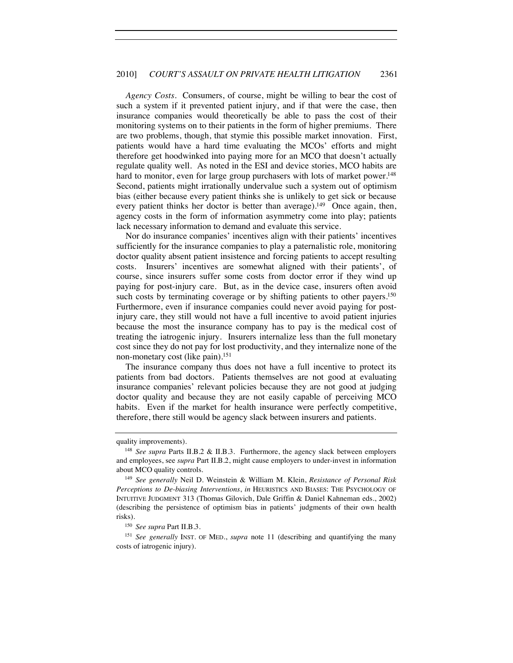*Agency Costs.* Consumers, of course, might be willing to bear the cost of such a system if it prevented patient injury, and if that were the case, then insurance companies would theoretically be able to pass the cost of their monitoring systems on to their patients in the form of higher premiums. There are two problems, though, that stymie this possible market innovation. First, patients would have a hard time evaluating the MCOs' efforts and might therefore get hoodwinked into paying more for an MCO that doesn't actually regulate quality well. As noted in the ESI and device stories, MCO habits are hard to monitor, even for large group purchasers with lots of market power.<sup>148</sup> Second, patients might irrationally undervalue such a system out of optimism bias (either because every patient thinks she is unlikely to get sick or because every patient thinks her doctor is better than average).<sup>149</sup> Once again, then, agency costs in the form of information asymmetry come into play; patients lack necessary information to demand and evaluate this service.

Nor do insurance companies' incentives align with their patients' incentives sufficiently for the insurance companies to play a paternalistic role, monitoring doctor quality absent patient insistence and forcing patients to accept resulting costs. Insurers' incentives are somewhat aligned with their patients', of course, since insurers suffer some costs from doctor error if they wind up paying for post-injury care. But, as in the device case, insurers often avoid such costs by terminating coverage or by shifting patients to other payers.<sup>150</sup> Furthermore, even if insurance companies could never avoid paying for postinjury care, they still would not have a full incentive to avoid patient injuries because the most the insurance company has to pay is the medical cost of treating the iatrogenic injury. Insurers internalize less than the full monetary cost since they do not pay for lost productivity, and they internalize none of the non-monetary cost (like pain).<sup>151</sup>

The insurance company thus does not have a full incentive to protect its patients from bad doctors. Patients themselves are not good at evaluating insurance companies' relevant policies because they are not good at judging doctor quality and because they are not easily capable of perceiving MCO habits. Even if the market for health insurance were perfectly competitive, therefore, there still would be agency slack between insurers and patients.

<sup>150</sup> *See supra* Part II.B.3.<br><sup>151</sup> *See generally* INST. OF MED., *supra* note 11 (describing and quantifying the many costs of iatrogenic injury).

quality improvements).

<sup>148</sup> *See supra* Parts II.B.2 & II.B.3. Furthermore, the agency slack between employers and employees, see *supra* Part II.B.2, might cause employers to under-invest in information about MCO quality controls.

<sup>149</sup> *See generally* Neil D. Weinstein & William M. Klein, *Resistance of Personal Risk Perceptions to De-biasing Interventions*, *in* HEURISTICS AND BIASES: THE PSYCHOLOGY OF INTUITIVE JUDGMENT 313 (Thomas Gilovich, Dale Griffin & Daniel Kahneman eds., 2002) (describing the persistence of optimism bias in patients' judgments of their own health risks).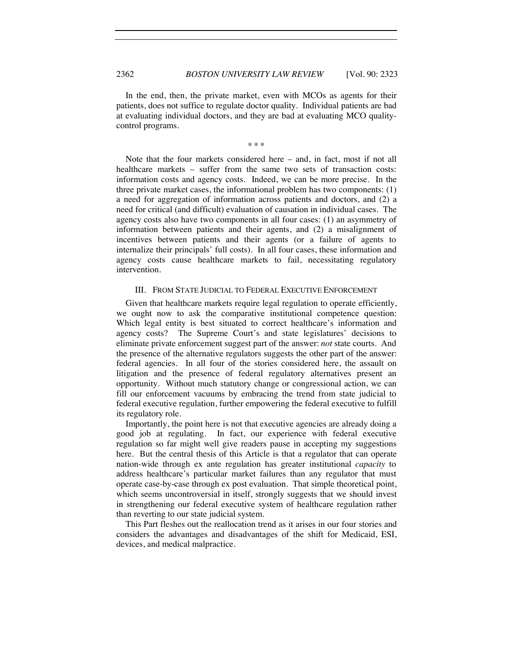In the end, then, the private market, even with MCOs as agents for their patients, does not suffice to regulate doctor quality. Individual patients are bad at evaluating individual doctors, and they are bad at evaluating MCO qualitycontrol programs.

\* \* \*

Note that the four markets considered here – and, in fact, most if not all healthcare markets – suffer from the same two sets of transaction costs: information costs and agency costs. Indeed, we can be more precise. In the three private market cases, the informational problem has two components: (1) a need for aggregation of information across patients and doctors, and (2) a need for critical (and difficult) evaluation of causation in individual cases. The agency costs also have two components in all four cases: (1) an asymmetry of information between patients and their agents, and (2) a misalignment of incentives between patients and their agents (or a failure of agents to internalize their principals' full costs). In all four cases, these information and agency costs cause healthcare markets to fail, necessitating regulatory intervention.

#### III. FROM STATE JUDICIAL TO FEDERAL EXECUTIVE ENFORCEMENT

Given that healthcare markets require legal regulation to operate efficiently, we ought now to ask the comparative institutional competence question: Which legal entity is best situated to correct healthcare's information and agency costs? The Supreme Court's and state legislatures' decisions to eliminate private enforcement suggest part of the answer: *not* state courts. And the presence of the alternative regulators suggests the other part of the answer: federal agencies. In all four of the stories considered here, the assault on litigation and the presence of federal regulatory alternatives present an opportunity. Without much statutory change or congressional action, we can fill our enforcement vacuums by embracing the trend from state judicial to federal executive regulation, further empowering the federal executive to fulfill its regulatory role.

Importantly, the point here is not that executive agencies are already doing a good job at regulating. In fact, our experience with federal executive regulation so far might well give readers pause in accepting my suggestions here. But the central thesis of this Article is that a regulator that can operate nation-wide through ex ante regulation has greater institutional *capacity* to address healthcare's particular market failures than any regulator that must operate case-by-case through ex post evaluation. That simple theoretical point, which seems uncontroversial in itself, strongly suggests that we should invest in strengthening our federal executive system of healthcare regulation rather than reverting to our state judicial system.

This Part fleshes out the reallocation trend as it arises in our four stories and considers the advantages and disadvantages of the shift for Medicaid, ESI, devices, and medical malpractice.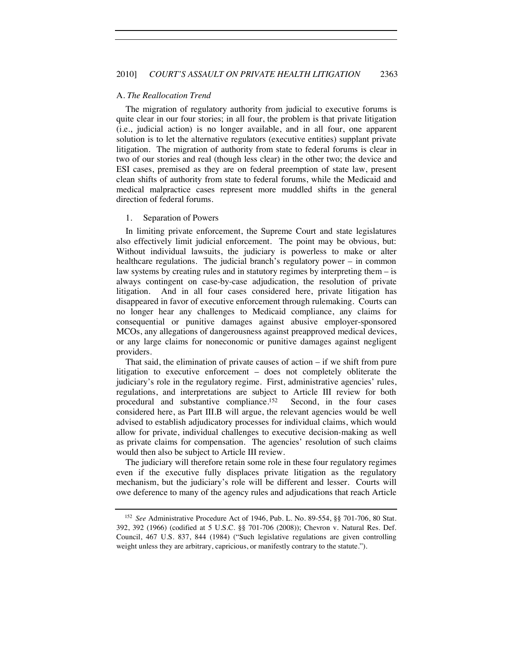#### A. *The Reallocation Trend*

The migration of regulatory authority from judicial to executive forums is quite clear in our four stories; in all four, the problem is that private litigation (i.e., judicial action) is no longer available, and in all four, one apparent solution is to let the alternative regulators (executive entities) supplant private litigation. The migration of authority from state to federal forums is clear in two of our stories and real (though less clear) in the other two; the device and ESI cases, premised as they are on federal preemption of state law, present clean shifts of authority from state to federal forums, while the Medicaid and medical malpractice cases represent more muddled shifts in the general direction of federal forums.

#### 1. Separation of Powers

In limiting private enforcement, the Supreme Court and state legislatures also effectively limit judicial enforcement. The point may be obvious, but: Without individual lawsuits, the judiciary is powerless to make or alter healthcare regulations. The judicial branch's regulatory power – in common law systems by creating rules and in statutory regimes by interpreting them – is always contingent on case-by-case adjudication, the resolution of private litigation. And in all four cases considered here, private litigation has disappeared in favor of executive enforcement through rulemaking. Courts can no longer hear any challenges to Medicaid compliance, any claims for consequential or punitive damages against abusive employer-sponsored MCOs, any allegations of dangerousness against preapproved medical devices, or any large claims for noneconomic or punitive damages against negligent providers.

That said, the elimination of private causes of action – if we shift from pure litigation to executive enforcement – does not completely obliterate the judiciary's role in the regulatory regime. First, administrative agencies' rules, regulations, and interpretations are subject to Article III review for both procedural and substantive compliance.152 Second, in the four cases considered here, as Part III.B will argue, the relevant agencies would be well advised to establish adjudicatory processes for individual claims, which would allow for private, individual challenges to executive decision-making as well as private claims for compensation. The agencies' resolution of such claims would then also be subject to Article III review.

The judiciary will therefore retain some role in these four regulatory regimes even if the executive fully displaces private litigation as the regulatory mechanism, but the judiciary's role will be different and lesser. Courts will owe deference to many of the agency rules and adjudications that reach Article

<sup>152</sup> *See* Administrative Procedure Act of 1946, Pub. L. No. 89-554, §§ 701-706, 80 Stat. 392, 392 (1966) (codified at 5 U.S.C. §§ 701-706 (2008)); Chevron v. Natural Res. Def. Council, 467 U.S. 837, 844 (1984) ("Such legislative regulations are given controlling weight unless they are arbitrary, capricious, or manifestly contrary to the statute.").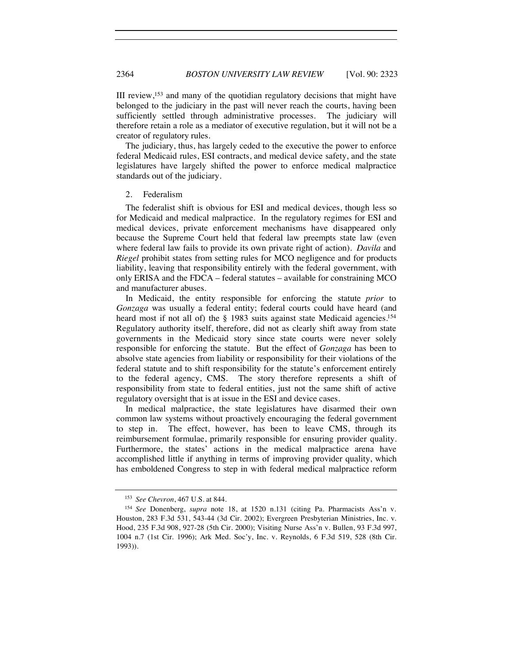III review,153 and many of the quotidian regulatory decisions that might have belonged to the judiciary in the past will never reach the courts, having been sufficiently settled through administrative processes. The judiciary will therefore retain a role as a mediator of executive regulation, but it will not be a creator of regulatory rules.

The judiciary, thus, has largely ceded to the executive the power to enforce federal Medicaid rules, ESI contracts, and medical device safety, and the state legislatures have largely shifted the power to enforce medical malpractice standards out of the judiciary.

#### 2. Federalism

The federalist shift is obvious for ESI and medical devices, though less so for Medicaid and medical malpractice. In the regulatory regimes for ESI and medical devices, private enforcement mechanisms have disappeared only because the Supreme Court held that federal law preempts state law (even where federal law fails to provide its own private right of action). *Davila* and *Riegel* prohibit states from setting rules for MCO negligence and for products liability, leaving that responsibility entirely with the federal government, with only ERISA and the FDCA – federal statutes – available for constraining MCO and manufacturer abuses.

In Medicaid, the entity responsible for enforcing the statute *prior* to *Gonzaga* was usually a federal entity; federal courts could have heard (and heard most if not all of) the § 1983 suits against state Medicaid agencies.<sup>154</sup> Regulatory authority itself, therefore, did not as clearly shift away from state governments in the Medicaid story since state courts were never solely responsible for enforcing the statute. But the effect of *Gonzaga* has been to absolve state agencies from liability or responsibility for their violations of the federal statute and to shift responsibility for the statute's enforcement entirely to the federal agency, CMS. The story therefore represents a shift of responsibility from state to federal entities, just not the same shift of active regulatory oversight that is at issue in the ESI and device cases.

In medical malpractice, the state legislatures have disarmed their own common law systems without proactively encouraging the federal government to step in. The effect, however, has been to leave CMS, through its reimbursement formulae, primarily responsible for ensuring provider quality. Furthermore, the states' actions in the medical malpractice arena have accomplished little if anything in terms of improving provider quality, which has emboldened Congress to step in with federal medical malpractice reform

<sup>153</sup> *See Chevron*, 467 U.S. at 844. 154 *See* Donenberg, *supra* note 18, at 1520 n.131 (citing Pa. Pharmacists Ass'n v. Houston, 283 F.3d 531, 543-44 (3d Cir. 2002); Evergreen Presbyterian Ministries, Inc. v. Hood, 235 F.3d 908, 927-28 (5th Cir. 2000); Visiting Nurse Ass'n v. Bullen, 93 F.3d 997, 1004 n.7 (1st Cir. 1996); Ark Med. Soc'y, Inc. v. Reynolds, 6 F.3d 519, 528 (8th Cir. 1993)).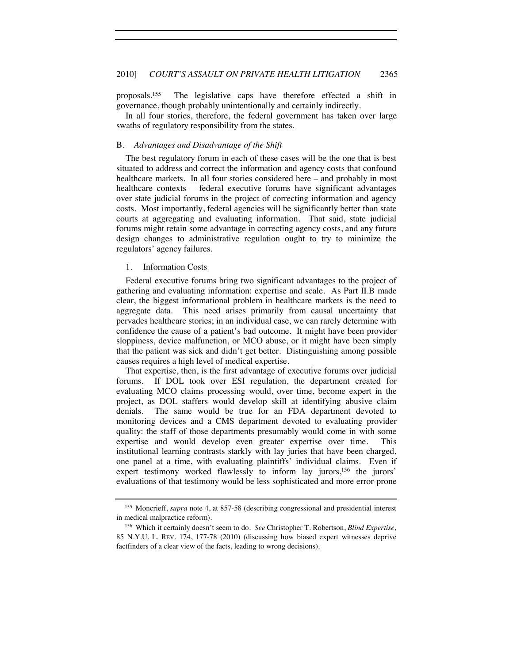proposals.155 The legislative caps have therefore effected a shift in governance, though probably unintentionally and certainly indirectly.

In all four stories, therefore, the federal government has taken over large swaths of regulatory responsibility from the states.

#### B. *Advantages and Disadvantage of the Shift*

The best regulatory forum in each of these cases will be the one that is best situated to address and correct the information and agency costs that confound healthcare markets. In all four stories considered here – and probably in most healthcare contexts – federal executive forums have significant advantages over state judicial forums in the project of correcting information and agency costs. Most importantly, federal agencies will be significantly better than state courts at aggregating and evaluating information. That said, state judicial forums might retain some advantage in correcting agency costs, and any future design changes to administrative regulation ought to try to minimize the regulators' agency failures.

#### 1. Information Costs

Federal executive forums bring two significant advantages to the project of gathering and evaluating information: expertise and scale. As Part II.B made clear, the biggest informational problem in healthcare markets is the need to aggregate data. This need arises primarily from causal uncertainty that pervades healthcare stories; in an individual case, we can rarely determine with confidence the cause of a patient's bad outcome. It might have been provider sloppiness, device malfunction, or MCO abuse, or it might have been simply that the patient was sick and didn't get better. Distinguishing among possible causes requires a high level of medical expertise.

That expertise, then, is the first advantage of executive forums over judicial forums. If DOL took over ESI regulation, the department created for evaluating MCO claims processing would, over time, become expert in the project, as DOL staffers would develop skill at identifying abusive claim denials. The same would be true for an FDA department devoted to monitoring devices and a CMS department devoted to evaluating provider quality: the staff of those departments presumably would come in with some expertise and would develop even greater expertise over time. This institutional learning contrasts starkly with lay juries that have been charged, one panel at a time, with evaluating plaintiffs' individual claims. Even if expert testimony worked flawlessly to inform lay jurors,<sup>156</sup> the jurors' evaluations of that testimony would be less sophisticated and more error-prone

<sup>155</sup> Moncrieff, *supra* note 4, at 857-58 (describing congressional and presidential interest in medical malpractice reform).

<sup>156</sup> Which it certainly doesn't seem to do. *See* Christopher T. Robertson, *Blind Expertise*, 85 N.Y.U. L. REV. 174, 177-78 (2010) (discussing how biased expert witnesses deprive factfinders of a clear view of the facts, leading to wrong decisions).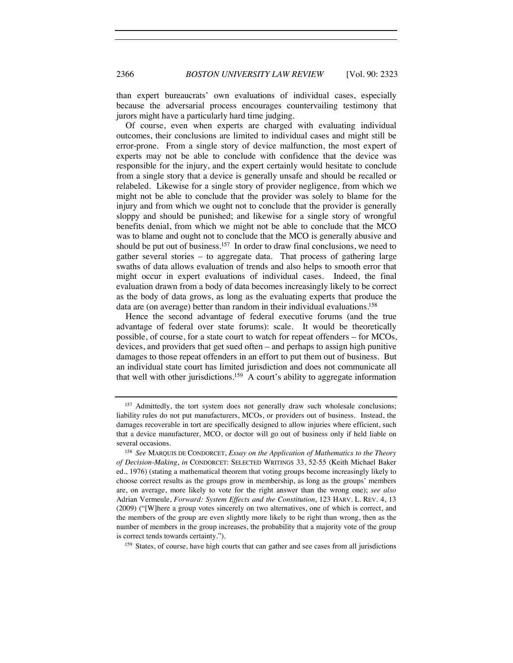than expert bureaucrats' own evaluations of individual cases, especially because the adversarial process encourages countervailing testimony that jurors might have a particularly hard time judging.

Of course, even when experts are charged with evaluating individual outcomes, their conclusions are limited to individual cases and might still be error-prone. From a single story of device malfunction, the most expert of experts may not be able to conclude with confidence that the device was responsible for the injury, and the expert certainly would hesitate to conclude from a single story that a device is generally unsafe and should be recalled or relabeled. Likewise for a single story of provider negligence, from which we might not be able to conclude that the provider was solely to blame for the injury and from which we ought not to conclude that the provider is generally sloppy and should be punished; and likewise for a single story of wrongful benefits denial, from which we might not be able to conclude that the MCO was to blame and ought not to conclude that the MCO is generally abusive and should be put out of business.<sup>157</sup> In order to draw final conclusions, we need to gather several stories – to aggregate data. That process of gathering large swaths of data allows evaluation of trends and also helps to smooth error that might occur in expert evaluations of individual cases. Indeed, the final evaluation drawn from a body of data becomes increasingly likely to be correct as the body of data grows, as long as the evaluating experts that produce the data are (on average) better than random in their individual evaluations.158

Hence the second advantage of federal executive forums (and the true advantage of federal over state forums): scale. It would be theoretically possible, of course, for a state court to watch for repeat offenders – for MCOs, devices, and providers that get sued often – and perhaps to assign high punitive damages to those repeat offenders in an effort to put them out of business. But an individual state court has limited jurisdiction and does not communicate all that well with other jurisdictions.159 A court's ability to aggregate information

<sup>&</sup>lt;sup>157</sup> Admittedly, the tort system does not generally draw such wholesale conclusions; liability rules do not put manufacturers, MCOs, or providers out of business. Instead, the damages recoverable in tort are specifically designed to allow injuries where efficient, such that a device manufacturer, MCO, or doctor will go out of business only if held liable on

several occasions. 158 *See* MARQUIS DE CONDORCET, *Essay on the Application of Mathematics to the Theory of Decision-Making*, *in* CONDORCET: SELECTED WRITINGS 33, 52-55 (Keith Michael Baker ed., 1976) (stating a mathematical theorem that voting groups become increasingly likely to choose correct results as the groups grow in membership, as long as the groups' members are, on average, more likely to vote for the right answer than the wrong one); *see also* Adrian Vermeule, *Forward: System Effects and the Constitution*, 123 HARV. L. REV. 4, 13 (2009) ("[W]here a group votes sincerely on two alternatives, one of which is correct, and the members of the group are even slightly more likely to be right than wrong, then as the number of members in the group increases, the probability that a majority vote of the group is correct tends towards certainty.").<br><sup>159</sup> States, of course, have high courts that can gather and see cases from all jurisdictions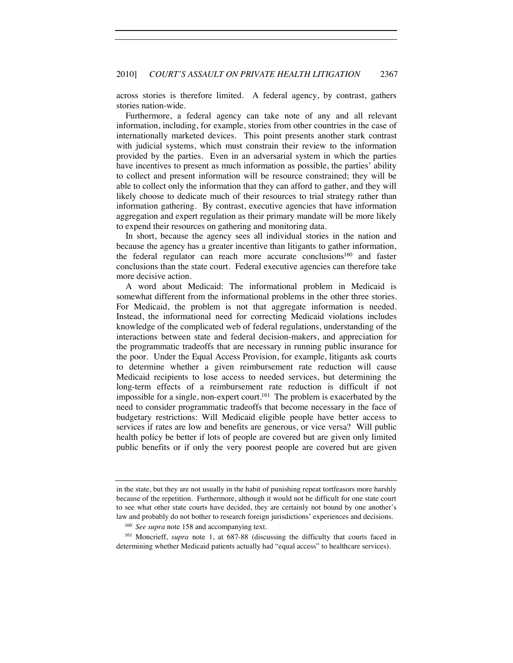across stories is therefore limited. A federal agency, by contrast, gathers stories nation-wide.

Furthermore, a federal agency can take note of any and all relevant information, including, for example, stories from other countries in the case of internationally marketed devices. This point presents another stark contrast with judicial systems, which must constrain their review to the information provided by the parties. Even in an adversarial system in which the parties have incentives to present as much information as possible, the parties' ability to collect and present information will be resource constrained; they will be able to collect only the information that they can afford to gather, and they will likely choose to dedicate much of their resources to trial strategy rather than information gathering. By contrast, executive agencies that have information aggregation and expert regulation as their primary mandate will be more likely to expend their resources on gathering and monitoring data.

In short, because the agency sees all individual stories in the nation and because the agency has a greater incentive than litigants to gather information, the federal regulator can reach more accurate conclusions<sup>160</sup> and faster conclusions than the state court. Federal executive agencies can therefore take more decisive action.

A word about Medicaid: The informational problem in Medicaid is somewhat different from the informational problems in the other three stories. For Medicaid, the problem is not that aggregate information is needed. Instead, the informational need for correcting Medicaid violations includes knowledge of the complicated web of federal regulations, understanding of the interactions between state and federal decision-makers, and appreciation for the programmatic tradeoffs that are necessary in running public insurance for the poor. Under the Equal Access Provision, for example, litigants ask courts to determine whether a given reimbursement rate reduction will cause Medicaid recipients to lose access to needed services, but determining the long-term effects of a reimbursement rate reduction is difficult if not impossible for a single, non-expert court.161 The problem is exacerbated by the need to consider programmatic tradeoffs that become necessary in the face of budgetary restrictions: Will Medicaid eligible people have better access to services if rates are low and benefits are generous, or vice versa? Will public health policy be better if lots of people are covered but are given only limited public benefits or if only the very poorest people are covered but are given

in the state, but they are not usually in the habit of punishing repeat tortfeasors more harshly because of the repetition. Furthermore, although it would not be difficult for one state court to see what other state courts have decided, they are certainly not bound by one another's law and probably do not bother to research foreign jurisdictions' experiences and decisions.

<sup>&</sup>lt;sup>160</sup> *See supra* note 158 and accompanying text.<br><sup>161</sup> Moncrieff, *supra* note 1, at 687-88 (discussing the difficulty that courts faced in determining whether Medicaid patients actually had "equal access" to healthcare services).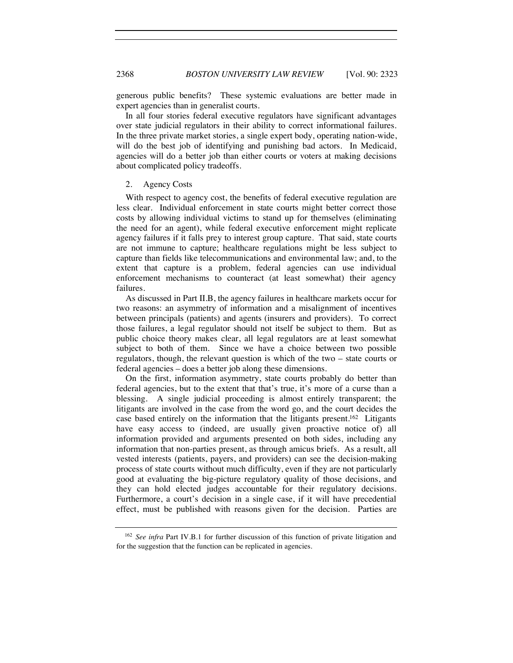generous public benefits? These systemic evaluations are better made in expert agencies than in generalist courts.

In all four stories federal executive regulators have significant advantages over state judicial regulators in their ability to correct informational failures. In the three private market stories, a single expert body, operating nation-wide, will do the best job of identifying and punishing bad actors. In Medicaid, agencies will do a better job than either courts or voters at making decisions about complicated policy tradeoffs.

#### 2. Agency Costs

With respect to agency cost, the benefits of federal executive regulation are less clear. Individual enforcement in state courts might better correct those costs by allowing individual victims to stand up for themselves (eliminating the need for an agent), while federal executive enforcement might replicate agency failures if it falls prey to interest group capture. That said, state courts are not immune to capture; healthcare regulations might be less subject to capture than fields like telecommunications and environmental law; and, to the extent that capture is a problem, federal agencies can use individual enforcement mechanisms to counteract (at least somewhat) their agency failures.

As discussed in Part II.B, the agency failures in healthcare markets occur for two reasons: an asymmetry of information and a misalignment of incentives between principals (patients) and agents (insurers and providers). To correct those failures, a legal regulator should not itself be subject to them. But as public choice theory makes clear, all legal regulators are at least somewhat subject to both of them. Since we have a choice between two possible regulators, though, the relevant question is which of the two – state courts or federal agencies – does a better job along these dimensions.

On the first, information asymmetry, state courts probably do better than federal agencies, but to the extent that that's true, it's more of a curse than a blessing. A single judicial proceeding is almost entirely transparent; the litigants are involved in the case from the word go, and the court decides the case based entirely on the information that the litigants present.<sup>162</sup> Litigants have easy access to (indeed, are usually given proactive notice of) all information provided and arguments presented on both sides, including any information that non-parties present, as through amicus briefs. As a result, all vested interests (patients, payers, and providers) can see the decision-making process of state courts without much difficulty, even if they are not particularly good at evaluating the big-picture regulatory quality of those decisions, and they can hold elected judges accountable for their regulatory decisions. Furthermore, a court's decision in a single case, if it will have precedential effect, must be published with reasons given for the decision. Parties are

<sup>162</sup> *See infra* Part IV.B.1 for further discussion of this function of private litigation and for the suggestion that the function can be replicated in agencies.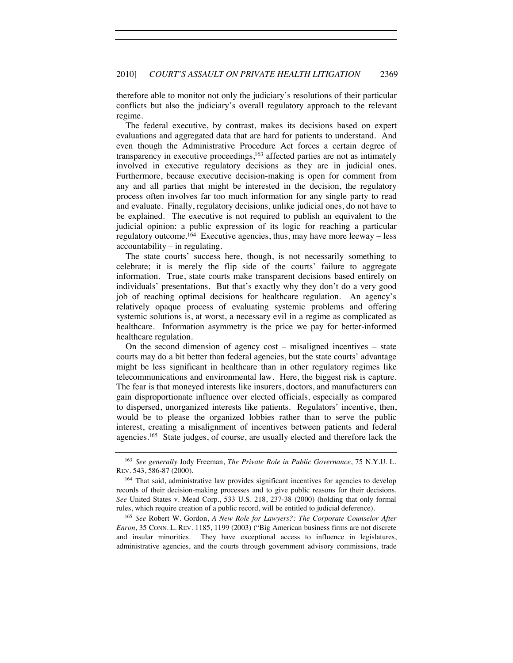therefore able to monitor not only the judiciary's resolutions of their particular conflicts but also the judiciary's overall regulatory approach to the relevant regime.

The federal executive, by contrast, makes its decisions based on expert evaluations and aggregated data that are hard for patients to understand. And even though the Administrative Procedure Act forces a certain degree of transparency in executive proceedings,<sup>163</sup> affected parties are not as intimately involved in executive regulatory decisions as they are in judicial ones. Furthermore, because executive decision-making is open for comment from any and all parties that might be interested in the decision, the regulatory process often involves far too much information for any single party to read and evaluate. Finally, regulatory decisions, unlike judicial ones, do not have to be explained. The executive is not required to publish an equivalent to the judicial opinion: a public expression of its logic for reaching a particular regulatory outcome.164 Executive agencies, thus, may have more leeway – less accountability – in regulating.

The state courts' success here, though, is not necessarily something to celebrate; it is merely the flip side of the courts' failure to aggregate information. True, state courts make transparent decisions based entirely on individuals' presentations. But that's exactly why they don't do a very good job of reaching optimal decisions for healthcare regulation. An agency's relatively opaque process of evaluating systemic problems and offering systemic solutions is, at worst, a necessary evil in a regime as complicated as healthcare. Information asymmetry is the price we pay for better-informed healthcare regulation.

On the second dimension of agency cost – misaligned incentives – state courts may do a bit better than federal agencies, but the state courts' advantage might be less significant in healthcare than in other regulatory regimes like telecommunications and environmental law. Here, the biggest risk is capture. The fear is that moneyed interests like insurers, doctors, and manufacturers can gain disproportionate influence over elected officials, especially as compared to dispersed, unorganized interests like patients. Regulators' incentive, then, would be to please the organized lobbies rather than to serve the public interest, creating a misalignment of incentives between patients and federal agencies.165 State judges, of course, are usually elected and therefore lack the

*Enron*, 35 CONN. L. REV. 1185, 1199 (2003) ("Big American business firms are not discrete and insular minorities. They have exceptional access to influence in legislatures, administrative agencies, and the courts through government advisory commissions, trade

<sup>163</sup> *See generally* Jody Freeman, *The Private Role in Public Governance*, 75 N.Y.U. L. REV. 543, 586-87 (2000).

<sup>164</sup> That said, administrative law provides significant incentives for agencies to develop records of their decision-making processes and to give public reasons for their decisions. *See* United States v. Mead Corp*.*, 533 U.S. 218, 237-38 (2000) (holding that only formal rules, which require creation of a public record, will be entitled to judicial deference). 165 *See* Robert W. Gordon, *A New Role for Lawyers?: The Corporate Counselor After*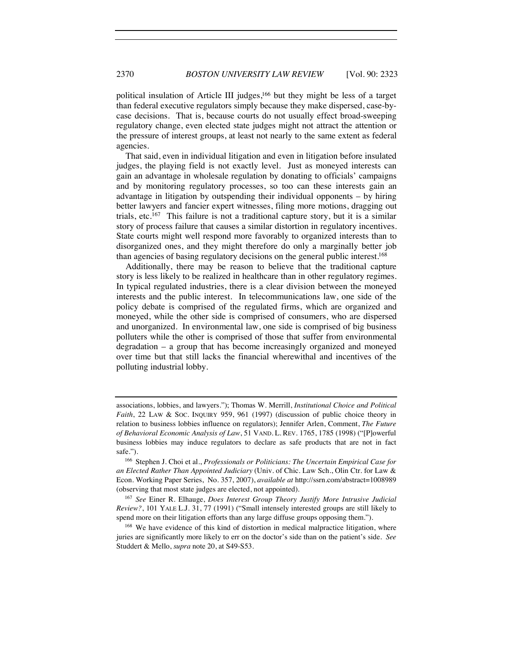political insulation of Article III judges,<sup>166</sup> but they might be less of a target than federal executive regulators simply because they make dispersed, case-bycase decisions. That is, because courts do not usually effect broad-sweeping regulatory change, even elected state judges might not attract the attention or the pressure of interest groups, at least not nearly to the same extent as federal agencies.

That said, even in individual litigation and even in litigation before insulated judges, the playing field is not exactly level. Just as moneyed interests can gain an advantage in wholesale regulation by donating to officials' campaigns and by monitoring regulatory processes, so too can these interests gain an advantage in litigation by outspending their individual opponents – by hiring better lawyers and fancier expert witnesses, filing more motions, dragging out trials, etc.167 This failure is not a traditional capture story, but it is a similar story of process failure that causes a similar distortion in regulatory incentives. State courts might well respond more favorably to organized interests than to disorganized ones, and they might therefore do only a marginally better job than agencies of basing regulatory decisions on the general public interest.<sup>168</sup>

Additionally, there may be reason to believe that the traditional capture story is less likely to be realized in healthcare than in other regulatory regimes. In typical regulated industries, there is a clear division between the moneyed interests and the public interest. In telecommunications law, one side of the policy debate is comprised of the regulated firms, which are organized and moneyed, while the other side is comprised of consumers, who are dispersed and unorganized. In environmental law, one side is comprised of big business polluters while the other is comprised of those that suffer from environmental degradation – a group that has become increasingly organized and moneyed over time but that still lacks the financial wherewithal and incentives of the polluting industrial lobby.

<sup>167</sup> *See* Einer R. Elhauge, *Does Interest Group Theory Justify More Intrusive Judicial Review?*, 101 YALE L.J. 31, 77 (1991) ("Small intensely interested groups are still likely to spend more on their litigation efforts than any large diffuse groups opposing them.").

<sup>168</sup> We have evidence of this kind of distortion in medical malpractice litigation, where juries are significantly more likely to err on the doctor's side than on the patient's side. *See* Studdert & Mello, *supra* note 20, at S49-S53.

associations, lobbies, and lawyers."); Thomas W. Merrill, *Institutional Choice and Political Faith*, 22 LAW & SOC. INQUIRY 959, 961 (1997) (discussion of public choice theory in relation to business lobbies influence on regulators); Jennifer Arlen, Comment, *The Future of Behavioral Economic Analysis of Law*, 51 VAND. L. REV. 1765, 1785 (1998) ("[P]owerful business lobbies may induce regulators to declare as safe products that are not in fact safe.").

<sup>166</sup> Stephen J. Choi et al., *Professionals or Politicians: The Uncertain Empirical Case for an Elected Rather Than Appointed Judiciary* (Univ. of Chic. Law Sch., Olin Ctr. for Law & Econ. Working Paper Series, No. 357, 2007), *available at* http://ssrn.com/abstract=1008989 (observing that most state judges are elected, not appointed).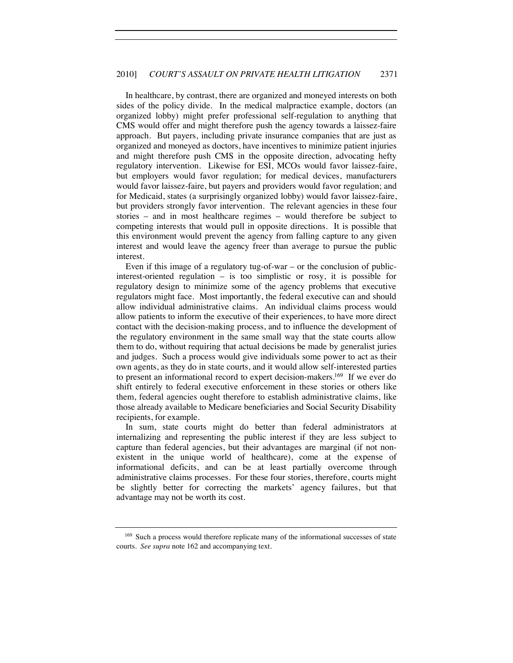In healthcare, by contrast, there are organized and moneyed interests on both sides of the policy divide. In the medical malpractice example, doctors (an organized lobby) might prefer professional self-regulation to anything that CMS would offer and might therefore push the agency towards a laissez-faire approach. But payers, including private insurance companies that are just as organized and moneyed as doctors, have incentives to minimize patient injuries and might therefore push CMS in the opposite direction, advocating hefty regulatory intervention. Likewise for ESI, MCOs would favor laissez-faire, but employers would favor regulation; for medical devices, manufacturers would favor laissez-faire, but payers and providers would favor regulation; and for Medicaid, states (a surprisingly organized lobby) would favor laissez-faire, but providers strongly favor intervention. The relevant agencies in these four stories – and in most healthcare regimes – would therefore be subject to competing interests that would pull in opposite directions. It is possible that this environment would prevent the agency from falling capture to any given interest and would leave the agency freer than average to pursue the public interest.

Even if this image of a regulatory tug-of-war – or the conclusion of publicinterest-oriented regulation – is too simplistic or rosy, it is possible for regulatory design to minimize some of the agency problems that executive regulators might face. Most importantly, the federal executive can and should allow individual administrative claims. An individual claims process would allow patients to inform the executive of their experiences, to have more direct contact with the decision-making process, and to influence the development of the regulatory environment in the same small way that the state courts allow them to do, without requiring that actual decisions be made by generalist juries and judges. Such a process would give individuals some power to act as their own agents, as they do in state courts, and it would allow self-interested parties to present an informational record to expert decision-makers.169 If we ever do shift entirely to federal executive enforcement in these stories or others like them, federal agencies ought therefore to establish administrative claims, like those already available to Medicare beneficiaries and Social Security Disability recipients, for example.

In sum, state courts might do better than federal administrators at internalizing and representing the public interest if they are less subject to capture than federal agencies, but their advantages are marginal (if not nonexistent in the unique world of healthcare), come at the expense of informational deficits, and can be at least partially overcome through administrative claims processes. For these four stories, therefore, courts might be slightly better for correcting the markets' agency failures, but that advantage may not be worth its cost.

<sup>&</sup>lt;sup>169</sup> Such a process would therefore replicate many of the informational successes of state courts. *See supra* note 162 and accompanying text.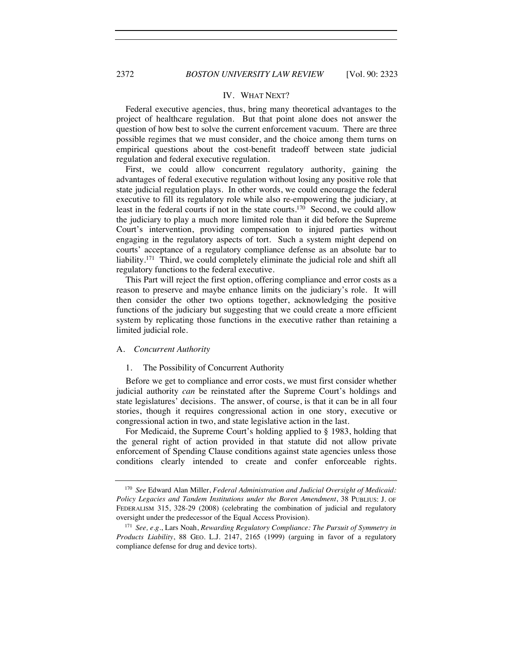#### IV. WHAT NEXT?

Federal executive agencies, thus, bring many theoretical advantages to the project of healthcare regulation. But that point alone does not answer the question of how best to solve the current enforcement vacuum. There are three possible regimes that we must consider, and the choice among them turns on empirical questions about the cost-benefit tradeoff between state judicial regulation and federal executive regulation.

First, we could allow concurrent regulatory authority, gaining the advantages of federal executive regulation without losing any positive role that state judicial regulation plays. In other words, we could encourage the federal executive to fill its regulatory role while also re-empowering the judiciary, at least in the federal courts if not in the state courts.<sup>170</sup> Second, we could allow the judiciary to play a much more limited role than it did before the Supreme Court's intervention, providing compensation to injured parties without engaging in the regulatory aspects of tort. Such a system might depend on courts' acceptance of a regulatory compliance defense as an absolute bar to liability.<sup>171</sup> Third, we could completely eliminate the judicial role and shift all regulatory functions to the federal executive.

This Part will reject the first option, offering compliance and error costs as a reason to preserve and maybe enhance limits on the judiciary's role. It will then consider the other two options together, acknowledging the positive functions of the judiciary but suggesting that we could create a more efficient system by replicating those functions in the executive rather than retaining a limited judicial role.

#### A. *Concurrent Authority*

#### 1. The Possibility of Concurrent Authority

Before we get to compliance and error costs, we must first consider whether judicial authority *can* be reinstated after the Supreme Court's holdings and state legislatures' decisions. The answer, of course, is that it can be in all four stories, though it requires congressional action in one story, executive or congressional action in two, and state legislative action in the last.

For Medicaid, the Supreme Court's holding applied to § 1983, holding that the general right of action provided in that statute did not allow private enforcement of Spending Clause conditions against state agencies unless those conditions clearly intended to create and confer enforceable rights.

<sup>170</sup> *See* Edward Alan Miller, *Federal Administration and Judicial Oversight of Medicaid: Policy Legacies and Tandem Institutions under the Boren Amendment*, 38 PUBLIUS: J. OF FEDERALISM 315, 328-29 (2008) (celebrating the combination of judicial and regulatory oversight under the predecessor of the Equal Access Provision).

<sup>171</sup> *See, e.g.*, Lars Noah, *Rewarding Regulatory Compliance: The Pursuit of Symmetry in Products Liability*, 88 GEO. L.J. 2147, 2165 (1999) (arguing in favor of a regulatory compliance defense for drug and device torts).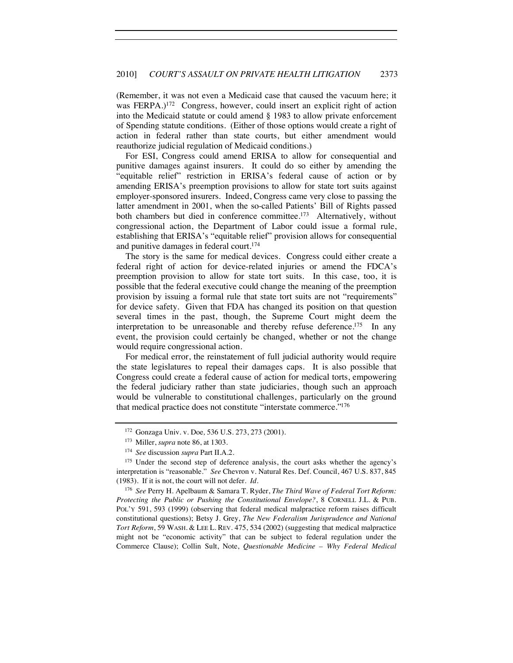(Remember, it was not even a Medicaid case that caused the vacuum here; it was FERPA.)<sup>172</sup> Congress, however, could insert an explicit right of action into the Medicaid statute or could amend § 1983 to allow private enforcement of Spending statute conditions. (Either of those options would create a right of action in federal rather than state courts, but either amendment would reauthorize judicial regulation of Medicaid conditions.)

For ESI, Congress could amend ERISA to allow for consequential and punitive damages against insurers. It could do so either by amending the "equitable relief" restriction in ERISA's federal cause of action or by amending ERISA's preemption provisions to allow for state tort suits against employer-sponsored insurers. Indeed, Congress came very close to passing the latter amendment in 2001, when the so-called Patients' Bill of Rights passed both chambers but died in conference committee.<sup>173</sup> Alternatively, without congressional action, the Department of Labor could issue a formal rule, establishing that ERISA's "equitable relief" provision allows for consequential and punitive damages in federal court.174

The story is the same for medical devices. Congress could either create a federal right of action for device-related injuries or amend the FDCA's preemption provision to allow for state tort suits. In this case, too, it is possible that the federal executive could change the meaning of the preemption provision by issuing a formal rule that state tort suits are not "requirements" for device safety. Given that FDA has changed its position on that question several times in the past, though, the Supreme Court might deem the interpretation to be unreasonable and thereby refuse deference.<sup>175</sup> In any event, the provision could certainly be changed, whether or not the change would require congressional action.

For medical error, the reinstatement of full judicial authority would require the state legislatures to repeal their damages caps. It is also possible that Congress could create a federal cause of action for medical torts, empowering the federal judiciary rather than state judiciaries, though such an approach would be vulnerable to constitutional challenges, particularly on the ground that medical practice does not constitute "interstate commerce."176

<sup>176</sup> *See* Perry H. Apelbaum & Samara T. Ryder, *The Third Wave of Federal Tort Reform: Protecting the Public or Pushing the Constitutional Envelope?*, 8 CORNELL J.L. & PUB. POL'Y 591, 593 (1999) (observing that federal medical malpractice reform raises difficult constitutional questions); Betsy J. Grey, *The New Federalism Jurisprudence and National Tort Reform*, 59 WASH. & LEE L. REV. 475, 534 (2002) (suggesting that medical malpractice might not be "economic activity" that can be subject to federal regulation under the Commerce Clause); Collin Sult, Note, *Questionable Medicine – Why Federal Medical* 

<sup>172</sup> Gonzaga Univ. v. Doe*,* 536 U.S. 273, 273 (2001).

<sup>173</sup> Miller, *supra* note 86, at 1303.

<sup>174</sup> *See* discussion *supra* Part II.A.2.

<sup>&</sup>lt;sup>175</sup> Under the second step of deference analysis, the court asks whether the agency's interpretation is "reasonable." *See* Chevron v. Natural Res. Def. Council, 467 U.S. 837, 845 (1983). If it is not, the court will not defer. *Id.*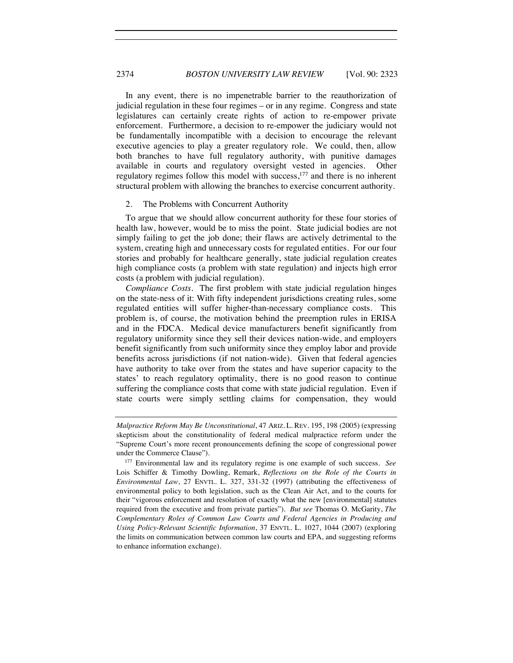In any event, there is no impenetrable barrier to the reauthorization of judicial regulation in these four regimes – or in any regime. Congress and state legislatures can certainly create rights of action to re-empower private enforcement. Furthermore, a decision to re-empower the judiciary would not be fundamentally incompatible with a decision to encourage the relevant executive agencies to play a greater regulatory role. We could, then, allow both branches to have full regulatory authority, with punitive damages available in courts and regulatory oversight vested in agencies. Other regulatory regimes follow this model with success,<sup>177</sup> and there is no inherent structural problem with allowing the branches to exercise concurrent authority.

#### 2. The Problems with Concurrent Authority

To argue that we should allow concurrent authority for these four stories of health law, however, would be to miss the point. State judicial bodies are not simply failing to get the job done; their flaws are actively detrimental to the system, creating high and unnecessary costs for regulated entities. For our four stories and probably for healthcare generally, state judicial regulation creates high compliance costs (a problem with state regulation) and injects high error costs (a problem with judicial regulation).

*Compliance Costs.* The first problem with state judicial regulation hinges on the state-ness of it: With fifty independent jurisdictions creating rules, some regulated entities will suffer higher-than-necessary compliance costs. This problem is, of course, the motivation behind the preemption rules in ERISA and in the FDCA. Medical device manufacturers benefit significantly from regulatory uniformity since they sell their devices nation-wide, and employers benefit significantly from such uniformity since they employ labor and provide benefits across jurisdictions (if not nation-wide). Given that federal agencies have authority to take over from the states and have superior capacity to the states' to reach regulatory optimality, there is no good reason to continue suffering the compliance costs that come with state judicial regulation. Even if state courts were simply settling claims for compensation, they would

*Malpractice Reform May Be Unconstitutional*, 47 ARIZ. L. REV. 195, 198 (2005) (expressing skepticism about the constitutionality of federal medical malpractice reform under the "Supreme Court's more recent pronouncements defining the scope of congressional power

under the Commerce Clause"). 177 Environmental law and its regulatory regime is one example of such success. *See* Lois Schiffer & Timothy Dowling, Remark, *Reflections on the Role of the Courts in Environmental Law*, 27 ENVTL. L. 327, 331-32 (1997) (attributing the effectiveness of environmental policy to both legislation, such as the Clean Air Act, and to the courts for their "vigorous enforcement and resolution of exactly what the new [environmental] statutes required from the executive and from private parties"). *But see* Thomas O. McGarity, *The Complementary Roles of Common Law Courts and Federal Agencies in Producing and Using Policy-Relevant Scientific Information*, 37 ENVTL. L. 1027, 1044 (2007) (exploring the limits on communication between common law courts and EPA, and suggesting reforms to enhance information exchange).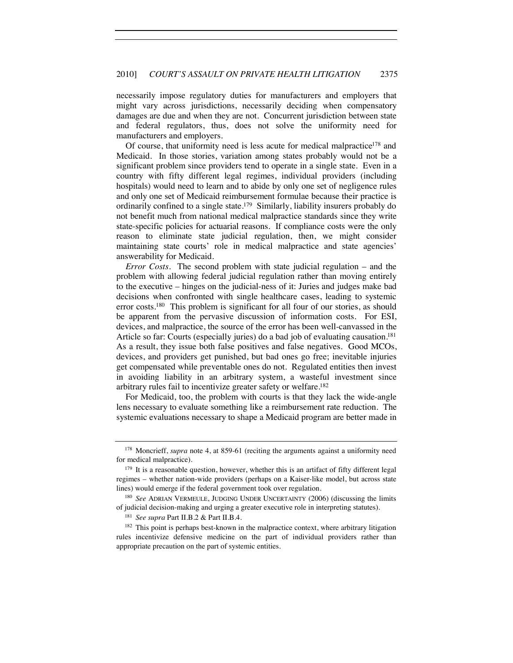necessarily impose regulatory duties for manufacturers and employers that might vary across jurisdictions, necessarily deciding when compensatory damages are due and when they are not. Concurrent jurisdiction between state and federal regulators, thus, does not solve the uniformity need for manufacturers and employers.

Of course, that uniformity need is less acute for medical malpractice<sup>178</sup> and Medicaid. In those stories, variation among states probably would not be a significant problem since providers tend to operate in a single state. Even in a country with fifty different legal regimes, individual providers (including hospitals) would need to learn and to abide by only one set of negligence rules and only one set of Medicaid reimbursement formulae because their practice is ordinarily confined to a single state.179 Similarly, liability insurers probably do not benefit much from national medical malpractice standards since they write state-specific policies for actuarial reasons. If compliance costs were the only reason to eliminate state judicial regulation, then, we might consider maintaining state courts' role in medical malpractice and state agencies' answerability for Medicaid.

*Error Costs.* The second problem with state judicial regulation – and the problem with allowing federal judicial regulation rather than moving entirely to the executive – hinges on the judicial-ness of it: Juries and judges make bad decisions when confronted with single healthcare cases, leading to systemic error costs.<sup>180</sup> This problem is significant for all four of our stories, as should be apparent from the pervasive discussion of information costs. For ESI, devices, and malpractice, the source of the error has been well-canvassed in the Article so far: Courts (especially juries) do a bad job of evaluating causation.<sup>181</sup> As a result, they issue both false positives and false negatives. Good MCOs, devices, and providers get punished, but bad ones go free; inevitable injuries get compensated while preventable ones do not. Regulated entities then invest in avoiding liability in an arbitrary system, a wasteful investment since arbitrary rules fail to incentivize greater safety or welfare.182

For Medicaid, too, the problem with courts is that they lack the wide-angle lens necessary to evaluate something like a reimbursement rate reduction. The systemic evaluations necessary to shape a Medicaid program are better made in

<sup>&</sup>lt;sup>178</sup> Moncrieff, *supra* note 4, at 859-61 (reciting the arguments against a uniformity need for medical malpractice).

 $179$  It is a reasonable question, however, whether this is an artifact of fifty different legal regimes – whether nation-wide providers (perhaps on a Kaiser-like model, but across state lines) would emerge if the federal government took over regulation.

<sup>180</sup> *See* ADRIAN VERMEULE, JUDGING UNDER UNCERTAINTY (2006) (discussing the limits of judicial decision-making and urging a greater executive role in interpreting statutes).

<sup>181</sup> *See supra* Part II.B.2 & Part II.B.4.

<sup>&</sup>lt;sup>182</sup> This point is perhaps best-known in the malpractice context, where arbitrary litigation rules incentivize defensive medicine on the part of individual providers rather than appropriate precaution on the part of systemic entities.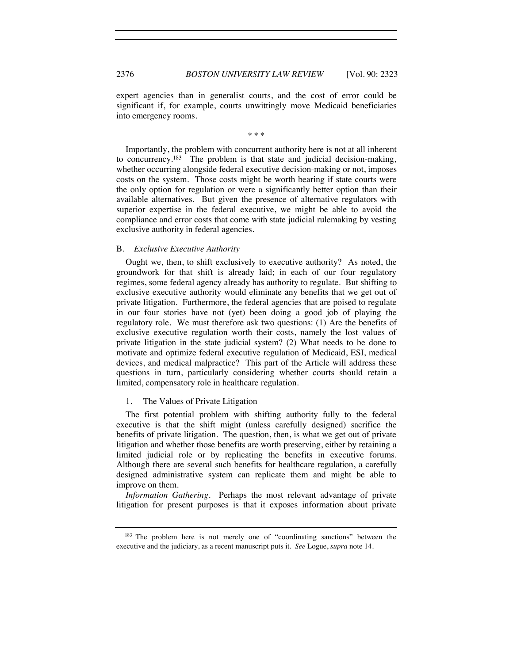expert agencies than in generalist courts, and the cost of error could be significant if, for example, courts unwittingly move Medicaid beneficiaries into emergency rooms.

\* \* \*

Importantly, the problem with concurrent authority here is not at all inherent to concurrency.183 The problem is that state and judicial decision-making, whether occurring alongside federal executive decision-making or not, imposes costs on the system. Those costs might be worth bearing if state courts were the only option for regulation or were a significantly better option than their available alternatives. But given the presence of alternative regulators with superior expertise in the federal executive, we might be able to avoid the compliance and error costs that come with state judicial rulemaking by vesting exclusive authority in federal agencies.

#### B. *Exclusive Executive Authority*

Ought we, then, to shift exclusively to executive authority? As noted, the groundwork for that shift is already laid; in each of our four regulatory regimes, some federal agency already has authority to regulate. But shifting to exclusive executive authority would eliminate any benefits that we get out of private litigation. Furthermore, the federal agencies that are poised to regulate in our four stories have not (yet) been doing a good job of playing the regulatory role. We must therefore ask two questions: (1) Are the benefits of exclusive executive regulation worth their costs, namely the lost values of private litigation in the state judicial system? (2) What needs to be done to motivate and optimize federal executive regulation of Medicaid, ESI, medical devices, and medical malpractice? This part of the Article will address these questions in turn, particularly considering whether courts should retain a limited, compensatory role in healthcare regulation.

#### 1. The Values of Private Litigation

The first potential problem with shifting authority fully to the federal executive is that the shift might (unless carefully designed) sacrifice the benefits of private litigation. The question, then, is what we get out of private litigation and whether those benefits are worth preserving, either by retaining a limited judicial role or by replicating the benefits in executive forums. Although there are several such benefits for healthcare regulation, a carefully designed administrative system can replicate them and might be able to improve on them.

*Information Gathering.* Perhaps the most relevant advantage of private litigation for present purposes is that it exposes information about private

<sup>183</sup> The problem here is not merely one of "coordinating sanctions" between the executive and the judiciary, as a recent manuscript puts it. *See* Logue, *supra* note 14.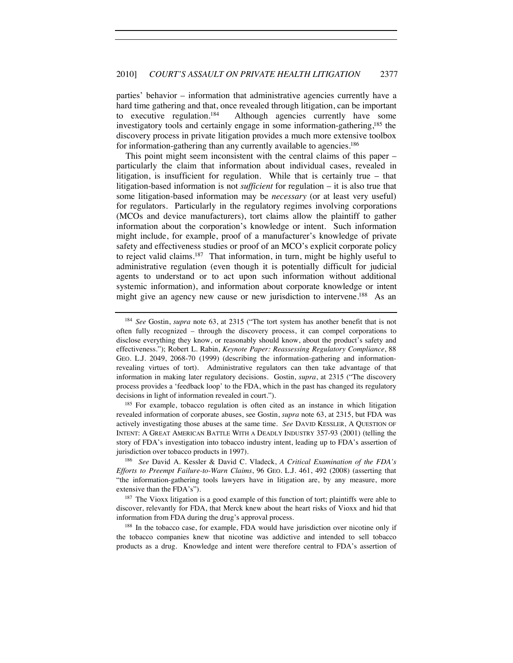parties' behavior – information that administrative agencies currently have a hard time gathering and that, once revealed through litigation, can be important to executive regulation.184 Although agencies currently have some investigatory tools and certainly engage in some information-gathering,185 the discovery process in private litigation provides a much more extensive toolbox for information-gathering than any currently available to agencies.<sup>186</sup>

This point might seem inconsistent with the central claims of this paper – particularly the claim that information about individual cases, revealed in litigation, is insufficient for regulation. While that is certainly true – that litigation-based information is not *sufficient* for regulation – it is also true that some litigation-based information may be *necessary* (or at least very useful) for regulators. Particularly in the regulatory regimes involving corporations (MCOs and device manufacturers), tort claims allow the plaintiff to gather information about the corporation's knowledge or intent. Such information might include, for example, proof of a manufacturer's knowledge of private safety and effectiveness studies or proof of an MCO's explicit corporate policy to reject valid claims.<sup>187</sup> That information, in turn, might be highly useful to administrative regulation (even though it is potentially difficult for judicial agents to understand or to act upon such information without additional systemic information), and information about corporate knowledge or intent might give an agency new cause or new jurisdiction to intervene.<sup>188</sup> As an

revealed information of corporate abuses, see Gostin, *supra* note 63, at 2315, but FDA was actively investigating those abuses at the same time. *See* DAVID KESSLER, A QUESTION OF INTENT: A GREAT AMERICAN BATTLE WITH A DEADLY INDUSTRY 357-93 (2001) (telling the story of FDA's investigation into tobacco industry intent, leading up to FDA's assertion of jurisdiction over tobacco products in 1997).

<sup>186</sup> *See* David A. Kessler & David C. Vladeck, *A Critical Examination of the FDA's Efforts to Preempt Failure-to-Warn Claims*, 96 GEO. L.J. 461, 492 (2008) (asserting that "the information-gathering tools lawyers have in litigation are, by any measure, more extensive than the FDA's").

<sup>187</sup> The Vioxx litigation is a good example of this function of tort; plaintiffs were able to discover, relevantly for FDA, that Merck knew about the heart risks of Vioxx and hid that information from FDA during the drug's approval process.

<sup>188</sup> In the tobacco case, for example, FDA would have jurisdiction over nicotine only if the tobacco companies knew that nicotine was addictive and intended to sell tobacco products as a drug. Knowledge and intent were therefore central to FDA's assertion of

<sup>184</sup> *See* Gostin, *supra* note 63, at 2315 ("The tort system has another benefit that is not often fully recognized – through the discovery process, it can compel corporations to disclose everything they know, or reasonably should know, about the product's safety and effectiveness."); Robert L. Rabin, *Keynote Paper: Reassessing Regulatory Compliance*, 88 GEO. L.J. 2049, 2068-70 (1999) (describing the information-gathering and informationrevealing virtues of tort). Administrative regulators can then take advantage of that information in making later regulatory decisions. Gostin, *supra*, at 2315 ("The discovery process provides a 'feedback loop' to the FDA, which in the past has changed its regulatory decisions in light of information revealed in court.").<br><sup>185</sup> For example, tobacco regulation is often cited as an instance in which litigation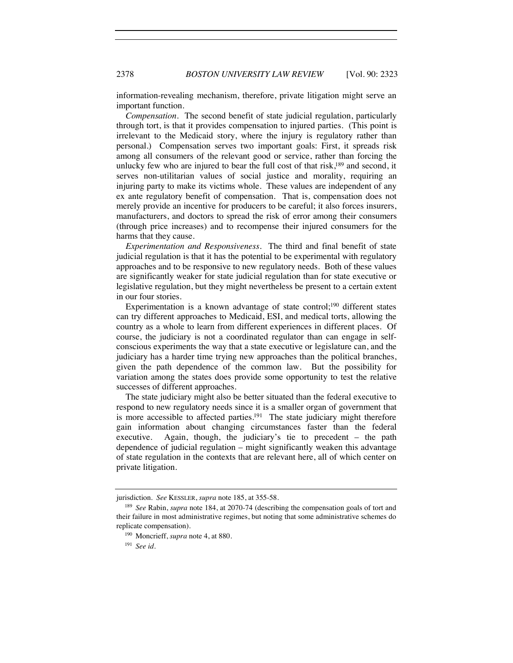information-revealing mechanism, therefore, private litigation might serve an important function.

*Compensation.* The second benefit of state judicial regulation, particularly through tort, is that it provides compensation to injured parties. (This point is irrelevant to the Medicaid story, where the injury is regulatory rather than personal.) Compensation serves two important goals: First, it spreads risk among all consumers of the relevant good or service, rather than forcing the unlucky few who are injured to bear the full cost of that risk, $189$  and second, it serves non-utilitarian values of social justice and morality, requiring an injuring party to make its victims whole. These values are independent of any ex ante regulatory benefit of compensation. That is, compensation does not merely provide an incentive for producers to be careful; it also forces insurers, manufacturers, and doctors to spread the risk of error among their consumers (through price increases) and to recompense their injured consumers for the harms that they cause.

*Experimentation and Responsiveness.* The third and final benefit of state judicial regulation is that it has the potential to be experimental with regulatory approaches and to be responsive to new regulatory needs. Both of these values are significantly weaker for state judicial regulation than for state executive or legislative regulation, but they might nevertheless be present to a certain extent in our four stories.

Experimentation is a known advantage of state control;<sup>190</sup> different states can try different approaches to Medicaid, ESI, and medical torts, allowing the country as a whole to learn from different experiences in different places. Of course, the judiciary is not a coordinated regulator than can engage in selfconscious experiments the way that a state executive or legislature can, and the judiciary has a harder time trying new approaches than the political branches, given the path dependence of the common law. But the possibility for variation among the states does provide some opportunity to test the relative successes of different approaches.

The state judiciary might also be better situated than the federal executive to respond to new regulatory needs since it is a smaller organ of government that is more accessible to affected parties.<sup>191</sup> The state judiciary might therefore gain information about changing circumstances faster than the federal executive. Again, though, the judiciary's tie to precedent – the path dependence of judicial regulation – might significantly weaken this advantage of state regulation in the contexts that are relevant here, all of which center on private litigation.

jurisdiction. *See* KESSLER, *supra* note 185, at 355-58.

<sup>189</sup> *See* Rabin, *supra* note 184, at 2070-74 (describing the compensation goals of tort and their failure in most administrative regimes, but noting that some administrative schemes do replicate compensation).

<sup>190</sup> Moncrieff, *supra* note 4, at 880.

<sup>191</sup> *See id.*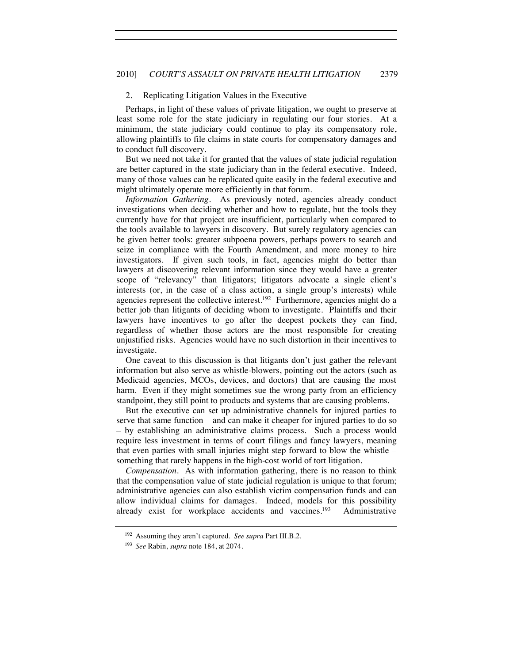#### 2. Replicating Litigation Values in the Executive

Perhaps, in light of these values of private litigation, we ought to preserve at least some role for the state judiciary in regulating our four stories. At a minimum, the state judiciary could continue to play its compensatory role, allowing plaintiffs to file claims in state courts for compensatory damages and to conduct full discovery.

But we need not take it for granted that the values of state judicial regulation are better captured in the state judiciary than in the federal executive. Indeed, many of those values can be replicated quite easily in the federal executive and might ultimately operate more efficiently in that forum.

*Information Gathering.* As previously noted, agencies already conduct investigations when deciding whether and how to regulate, but the tools they currently have for that project are insufficient, particularly when compared to the tools available to lawyers in discovery. But surely regulatory agencies can be given better tools: greater subpoena powers, perhaps powers to search and seize in compliance with the Fourth Amendment, and more money to hire investigators. If given such tools, in fact, agencies might do better than lawyers at discovering relevant information since they would have a greater scope of "relevancy" than litigators; litigators advocate a single client's interests (or, in the case of a class action, a single group's interests) while agencies represent the collective interest.192 Furthermore, agencies might do a better job than litigants of deciding whom to investigate. Plaintiffs and their lawyers have incentives to go after the deepest pockets they can find, regardless of whether those actors are the most responsible for creating unjustified risks. Agencies would have no such distortion in their incentives to investigate.

One caveat to this discussion is that litigants don't just gather the relevant information but also serve as whistle-blowers, pointing out the actors (such as Medicaid agencies, MCOs, devices, and doctors) that are causing the most harm. Even if they might sometimes sue the wrong party from an efficiency standpoint, they still point to products and systems that are causing problems.

But the executive can set up administrative channels for injured parties to serve that same function – and can make it cheaper for injured parties to do so – by establishing an administrative claims process. Such a process would require less investment in terms of court filings and fancy lawyers, meaning that even parties with small injuries might step forward to blow the whistle – something that rarely happens in the high-cost world of tort litigation.

*Compensation.* As with information gathering, there is no reason to think that the compensation value of state judicial regulation is unique to that forum; administrative agencies can also establish victim compensation funds and can allow individual claims for damages. Indeed, models for this possibility already exist for workplace accidents and vaccines.<sup>193</sup> Administrative

<sup>192</sup> Assuming they aren't captured. *See supra* Part III.B.2.

<sup>193</sup> *See* Rabin, *supra* note 184, at 2074.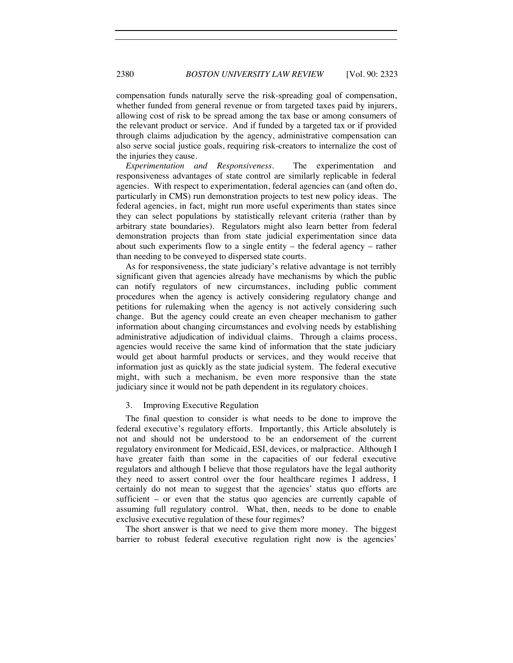compensation funds naturally serve the risk-spreading goal of compensation, whether funded from general revenue or from targeted taxes paid by injurers, allowing cost of risk to be spread among the tax base or among consumers of the relevant product or service. And if funded by a targeted tax or if provided through claims adjudication by the agency, administrative compensation can also serve social justice goals, requiring risk-creators to internalize the cost of the injuries they cause.

*Experimentation and Responsiveness*. The experimentation and responsiveness advantages of state control are similarly replicable in federal agencies. With respect to experimentation, federal agencies can (and often do, particularly in CMS) run demonstration projects to test new policy ideas. The federal agencies, in fact, might run more useful experiments than states since they can select populations by statistically relevant criteria (rather than by arbitrary state boundaries). Regulators might also learn better from federal demonstration projects than from state judicial experimentation since data about such experiments flow to a single entity – the federal agency – rather than needing to be conveyed to dispersed state courts.

As for responsiveness, the state judiciary's relative advantage is not terribly significant given that agencies already have mechanisms by which the public can notify regulators of new circumstances, including public comment procedures when the agency is actively considering regulatory change and petitions for rulemaking when the agency is not actively considering such change. But the agency could create an even cheaper mechanism to gather information about changing circumstances and evolving needs by establishing administrative adjudication of individual claims. Through a claims process, agencies would receive the same kind of information that the state judiciary would get about harmful products or services, and they would receive that information just as quickly as the state judicial system. The federal executive might, with such a mechanism, be even more responsive than the state judiciary since it would not be path dependent in its regulatory choices.

#### 3. Improving Executive Regulation

The final question to consider is what needs to be done to improve the federal executive's regulatory efforts. Importantly, this Article absolutely is not and should not be understood to be an endorsement of the current regulatory environment for Medicaid, ESI, devices, or malpractice. Although I have greater faith than some in the capacities of our federal executive regulators and although I believe that those regulators have the legal authority they need to assert control over the four healthcare regimes I address, I certainly do not mean to suggest that the agencies' status quo efforts are sufficient – or even that the status quo agencies are currently capable of assuming full regulatory control. What, then, needs to be done to enable exclusive executive regulation of these four regimes?

The short answer is that we need to give them more money. The biggest barrier to robust federal executive regulation right now is the agencies'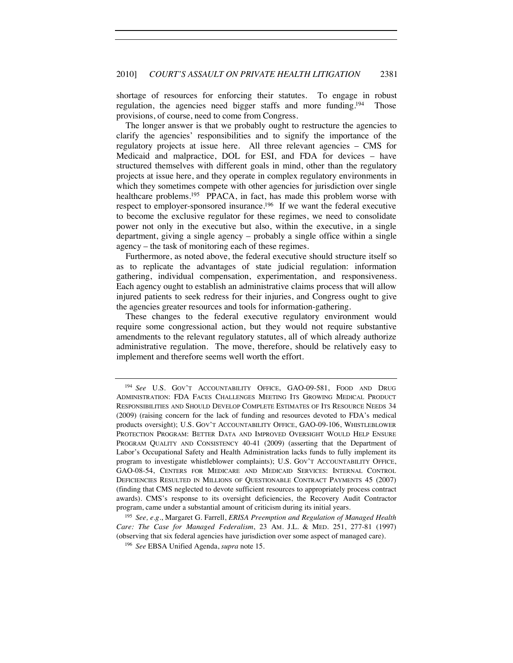shortage of resources for enforcing their statutes. To engage in robust regulation, the agencies need bigger staffs and more funding.<sup>194</sup> Those provisions, of course, need to come from Congress.

The longer answer is that we probably ought to restructure the agencies to clarify the agencies' responsibilities and to signify the importance of the regulatory projects at issue here. All three relevant agencies – CMS for Medicaid and malpractice, DOL for ESI, and FDA for devices – have structured themselves with different goals in mind, other than the regulatory projects at issue here, and they operate in complex regulatory environments in which they sometimes compete with other agencies for jurisdiction over single healthcare problems.<sup>195</sup> PPACA, in fact, has made this problem worse with respect to employer-sponsored insurance.<sup>196</sup> If we want the federal executive to become the exclusive regulator for these regimes, we need to consolidate power not only in the executive but also, within the executive, in a single department, giving a single agency – probably a single office within a single agency – the task of monitoring each of these regimes.

Furthermore, as noted above, the federal executive should structure itself so as to replicate the advantages of state judicial regulation: information gathering, individual compensation, experimentation, and responsiveness. Each agency ought to establish an administrative claims process that will allow injured patients to seek redress for their injuries, and Congress ought to give the agencies greater resources and tools for information-gathering.

These changes to the federal executive regulatory environment would require some congressional action, but they would not require substantive amendments to the relevant regulatory statutes, all of which already authorize administrative regulation. The move, therefore, should be relatively easy to implement and therefore seems well worth the effort.

<sup>195</sup> *See, e.g.*, Margaret G. Farrell, *ERISA Preemption and Regulation of Managed Health Care: The Case for Managed Federalism*, 23 AM. J.L. & MED. 251, 277-81 (1997) (observing that six federal agencies have jurisdiction over some aspect of managed care). 196 *See* EBSA Unified Agenda, *supra* note 15.

<sup>194</sup> *See* U.S. GOV'T ACCOUNTABILITY OFFICE, GAO-09-581, FOOD AND DRUG ADMINISTRATION: FDA FACES CHALLENGES MEETING ITS GROWING MEDICAL PRODUCT RESPONSIBILITIES AND SHOULD DEVELOP COMPLETE ESTIMATES OF ITS RESOURCE NEEDS 34 (2009) (raising concern for the lack of funding and resources devoted to FDA's medical products oversight); U.S. GOV'T ACCOUNTABILITY OFFICE, GAO-09-106, WHISTLEBLOWER PROTECTION PROGRAM: BETTER DATA AND IMPROVED OVERSIGHT WOULD HELP ENSURE PROGRAM QUALITY AND CONSISTENCY 40-41 (2009) (asserting that the Department of Labor's Occupational Safety and Health Administration lacks funds to fully implement its program to investigate whistleblower complaints); U.S. GOV'T ACCOUNTABILITY OFFICE, GAO-08-54, CENTERS FOR MEDICARE AND MEDICAID SERVICES: INTERNAL CONTROL DEFICIENCIES RESULTED IN MILLIONS OF QUESTIONABLE CONTRACT PAYMENTS 45 (2007) (finding that CMS neglected to devote sufficient resources to appropriately process contract awards). CMS's response to its oversight deficiencies, the Recovery Audit Contractor program, came under a substantial amount of criticism during its initial years.